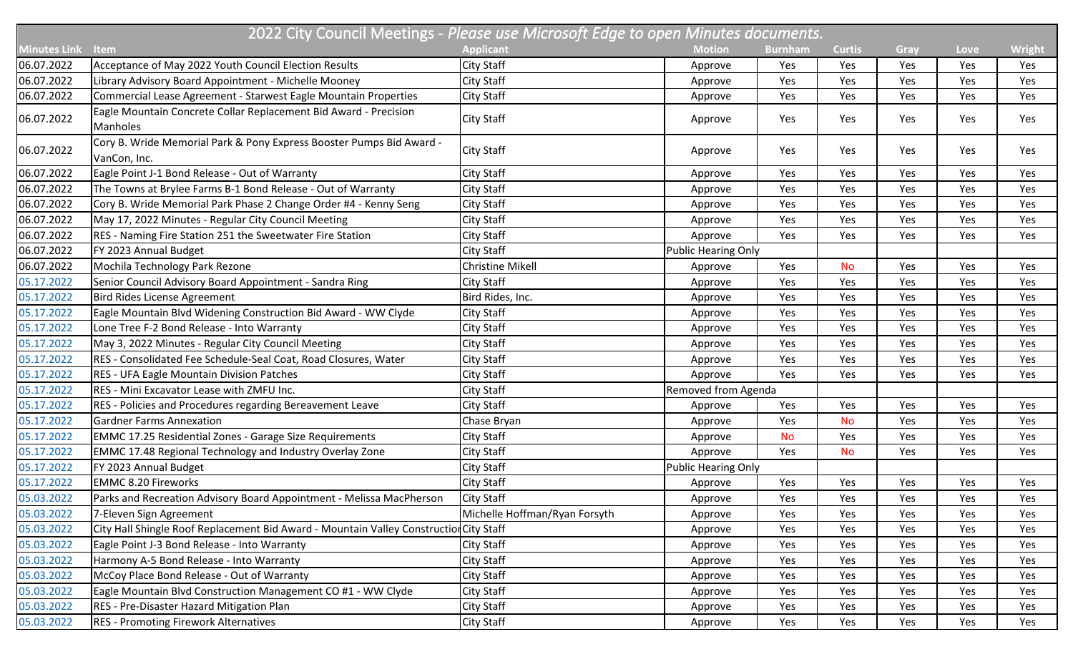|                     | 2022 City Council Meetings - Please use Microsoft Edge to open Minutes documents.      |                               |                            |                |               |      |      |               |  |  |  |
|---------------------|----------------------------------------------------------------------------------------|-------------------------------|----------------------------|----------------|---------------|------|------|---------------|--|--|--|
| <b>Minutes Link</b> | <b>Item</b>                                                                            | <b>Applicant</b>              | <b>Motion</b>              | <b>Burnham</b> | <b>Curtis</b> | Gray | Love | <b>Wright</b> |  |  |  |
| 06.07.2022          | Acceptance of May 2022 Youth Council Election Results                                  | <b>City Staff</b>             | Approve                    | Yes            | Yes           | Yes  | Yes  | Yes           |  |  |  |
| 06.07.2022          | Library Advisory Board Appointment - Michelle Mooney                                   | <b>City Staff</b>             | Approve                    | Yes            | Yes           | Yes  | Yes  | Yes           |  |  |  |
| 06.07.2022          | Commercial Lease Agreement - Starwest Eagle Mountain Properties                        | City Staff                    | Approve                    | Yes            | Yes           | Yes  | Yes  | Yes           |  |  |  |
| 06.07.2022          | Eagle Mountain Concrete Collar Replacement Bid Award - Precision<br>Manholes           | City Staff                    | Approve                    | Yes            | Yes           | Yes  | Yes  | Yes           |  |  |  |
| 06.07.2022          | Cory B. Wride Memorial Park & Pony Express Booster Pumps Bid Award -<br>VanCon, Inc.   | City Staff                    | Approve                    | Yes            | Yes           | Yes  | Yes  | Yes           |  |  |  |
| 06.07.2022          | Eagle Point J-1 Bond Release - Out of Warranty                                         | City Staff                    | Approve                    | Yes            | Yes           | Yes  | Yes  | Yes           |  |  |  |
| 06.07.2022          | The Towns at Brylee Farms B-1 Bond Release - Out of Warranty                           | <b>City Staff</b>             | Approve                    | Yes            | Yes           | Yes  | Yes  | Yes           |  |  |  |
| 06.07.2022          | Cory B. Wride Memorial Park Phase 2 Change Order #4 - Kenny Seng                       | <b>City Staff</b>             | Approve                    | Yes            | Yes           | Yes  | Yes  | Yes           |  |  |  |
| 06.07.2022          | May 17, 2022 Minutes - Regular City Council Meeting                                    | <b>City Staff</b>             | Approve                    | Yes            | Yes           | Yes  | Yes  | Yes           |  |  |  |
| 06.07.2022          | RES - Naming Fire Station 251 the Sweetwater Fire Station                              | City Staff                    | Approve                    | Yes            | Yes           | Yes  | Yes  | Yes           |  |  |  |
| 06.07.2022          | FY 2023 Annual Budget                                                                  | City Staff                    | <b>Public Hearing Only</b> |                |               |      |      |               |  |  |  |
| 06.07.2022          | Mochila Technology Park Rezone                                                         | <b>Christine Mikell</b>       | Approve                    | Yes            | <b>No</b>     | Yes  | Yes  | Yes           |  |  |  |
| 05.17.2022          | Senior Council Advisory Board Appointment - Sandra Ring                                | <b>City Staff</b>             | Approve                    | Yes            | Yes           | Yes  | Yes  | Yes           |  |  |  |
| 05.17.2022          | <b>Bird Rides License Agreement</b>                                                    | Bird Rides, Inc.              | Approve                    | Yes            | Yes           | Yes  | Yes  | Yes           |  |  |  |
| 05.17.2022          | Eagle Mountain Blvd Widening Construction Bid Award - WW Clyde                         | City Staff                    | Approve                    | Yes            | Yes           | Yes  | Yes  | Yes           |  |  |  |
| 05.17.2022          | Lone Tree F-2 Bond Release - Into Warranty                                             | <b>City Staff</b>             | Approve                    | Yes            | Yes           | Yes  | Yes  | Yes           |  |  |  |
| 05.17.2022          | May 3, 2022 Minutes - Regular City Council Meeting                                     | City Staff                    | Approve                    | Yes            | Yes           | Yes  | Yes  | Yes           |  |  |  |
| 05.17.2022          | RES - Consolidated Fee Schedule-Seal Coat, Road Closures, Water                        | City Staff                    | Approve                    | Yes            | Yes           | Yes  | Yes  | Yes           |  |  |  |
| 05.17.2022          | <b>RES - UFA Eagle Mountain Division Patches</b>                                       | <b>City Staff</b>             | Approve                    | Yes            | Yes           | Yes  | Yes  | Yes           |  |  |  |
| 05.17.2022          | RES - Mini Excavator Lease with ZMFU Inc.                                              | <b>City Staff</b>             | Removed from Agenda        |                |               |      |      |               |  |  |  |
| 05.17.2022          | RES - Policies and Procedures regarding Bereavement Leave                              | <b>City Staff</b>             | Approve                    | Yes            | Yes           | Yes  | Yes  | Yes           |  |  |  |
| 05.17.2022          | <b>Gardner Farms Annexation</b>                                                        | Chase Bryan                   | Approve                    | Yes            | <b>No</b>     | Yes  | Yes  | Yes           |  |  |  |
| 05.17.2022          | <b>EMMC 17.25 Residential Zones - Garage Size Requirements</b>                         | City Staff                    | Approve                    | <b>No</b>      | Yes           | Yes  | Yes  | Yes           |  |  |  |
| 05.17.2022          | <b>EMMC 17.48 Regional Technology and Industry Overlay Zone</b>                        | City Staff                    | Approve                    | Yes            | <b>No</b>     | Yes  | Yes  | Yes           |  |  |  |
| 05.17.2022          | FY 2023 Annual Budget                                                                  | <b>City Staff</b>             | <b>Public Hearing Only</b> |                |               |      |      |               |  |  |  |
| 05.17.2022          | <b>EMMC 8.20 Fireworks</b>                                                             | City Staff                    | Approve                    | Yes            | Yes           | Yes  | Yes  | Yes           |  |  |  |
| 05.03.2022          | Parks and Recreation Advisory Board Appointment - Melissa MacPherson                   | <b>City Staff</b>             | Approve                    | Yes            | Yes           | Yes  | Yes  | Yes           |  |  |  |
| 05.03.2022          | 7-Eleven Sign Agreement                                                                | Michelle Hoffman/Ryan Forsyth | Approve                    | Yes            | Yes           | Yes  | Yes  | Yes           |  |  |  |
| 05.03.2022          | City Hall Shingle Roof Replacement Bid Award - Mountain Valley Construction City Staff |                               | Approve                    | Yes            | Yes           | Yes  | Yes  | Yes           |  |  |  |
| 05.03.2022          | Eagle Point J-3 Bond Release - Into Warranty                                           | City Staff                    | Approve                    | Yes            | Yes           | Yes  | Yes  | Yes           |  |  |  |
| 05.03.2022          | Harmony A-5 Bond Release - Into Warranty                                               | City Staff                    | Approve                    | Yes            | Yes           | Yes  | Yes  | Yes           |  |  |  |
| 05.03.2022          | McCoy Place Bond Release - Out of Warranty                                             | City Staff                    | Approve                    | Yes            | Yes           | Yes  | Yes  | Yes           |  |  |  |
| 05.03.2022          | Eagle Mountain Blvd Construction Management CO #1 - WW Clyde                           | City Staff                    | Approve                    | Yes            | Yes           | Yes  | Yes  | Yes           |  |  |  |
| 05.03.2022          | RES - Pre-Disaster Hazard Mitigation Plan                                              | <b>City Staff</b>             | Approve                    | Yes            | Yes           | Yes  | Yes  | Yes           |  |  |  |
| 05.03.2022          | <b>RES - Promoting Firework Alternatives</b>                                           | City Staff                    | Approve                    | Yes            | Yes           | Yes  | Yes  | Yes           |  |  |  |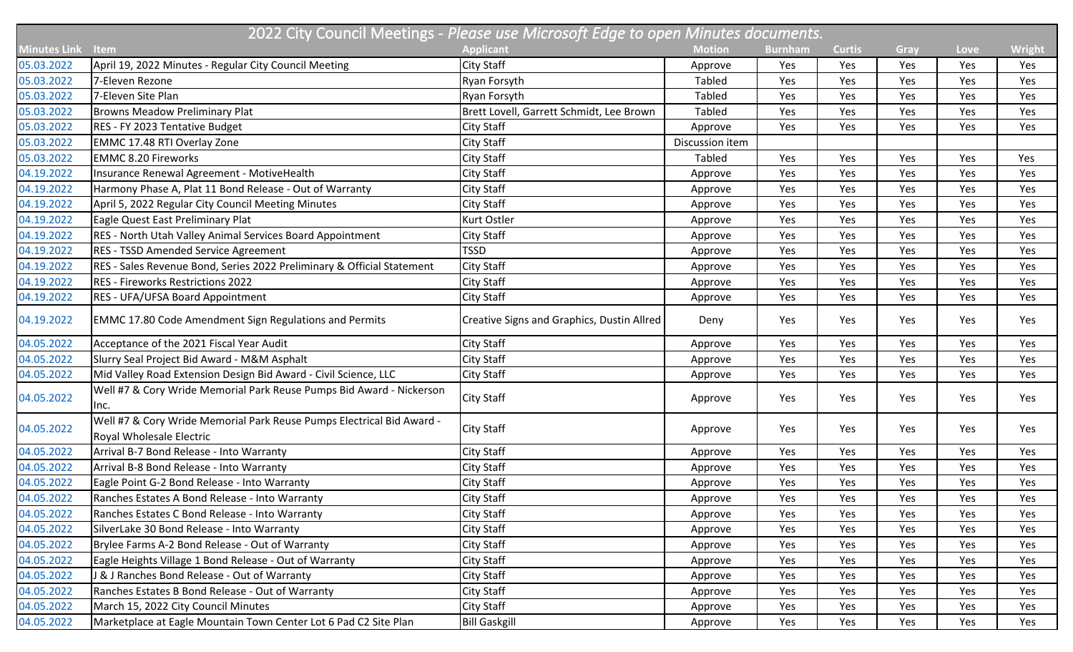| 2022 City Council Meetings - Please use Microsoft Edge to open Minutes documents. |                                                                                                   |                                            |                 |                |               |      |      |               |  |  |
|-----------------------------------------------------------------------------------|---------------------------------------------------------------------------------------------------|--------------------------------------------|-----------------|----------------|---------------|------|------|---------------|--|--|
| <b>Minutes Link</b>                                                               | <b>Item</b>                                                                                       | <b>Applicant</b>                           | <b>Motion</b>   | <b>Burnham</b> | <b>Curtis</b> | Gray | Love | <b>Wright</b> |  |  |
| 05.03.2022                                                                        | April 19, 2022 Minutes - Regular City Council Meeting                                             | <b>City Staff</b>                          | Approve         | Yes            | Yes           | Yes  | Yes  | Yes           |  |  |
| 05.03.2022                                                                        | 7-Eleven Rezone                                                                                   | Ryan Forsyth                               | Tabled          | Yes            | Yes           | Yes  | Yes  | Yes           |  |  |
| 05.03.2022                                                                        | 7-Eleven Site Plan                                                                                | Ryan Forsyth                               | <b>Tabled</b>   | Yes            | Yes           | Yes  | Yes  | Yes           |  |  |
| 05.03.2022                                                                        | <b>Browns Meadow Preliminary Plat</b>                                                             | Brett Lovell, Garrett Schmidt, Lee Brown   | <b>Tabled</b>   | Yes            | Yes           | Yes  | Yes  | Yes           |  |  |
| 05.03.2022                                                                        | RES - FY 2023 Tentative Budget                                                                    | City Staff                                 | Approve         | Yes            | Yes           | Yes  | Yes  | Yes           |  |  |
| 05.03.2022                                                                        | EMMC 17.48 RTI Overlay Zone                                                                       | <b>City Staff</b>                          | Discussion item |                |               |      |      |               |  |  |
| 05.03.2022                                                                        | <b>EMMC 8.20 Fireworks</b>                                                                        | City Staff                                 | Tabled          | Yes            | Yes           | Yes  | Yes  | Yes           |  |  |
| 04.19.2022                                                                        | Insurance Renewal Agreement - MotiveHealth                                                        | City Staff                                 | Approve         | Yes            | Yes           | Yes  | Yes  | Yes           |  |  |
| 04.19.2022                                                                        | Harmony Phase A, Plat 11 Bond Release - Out of Warranty                                           | City Staff                                 | Approve         | Yes            | Yes           | Yes  | Yes  | Yes           |  |  |
| 04.19.2022                                                                        | April 5, 2022 Regular City Council Meeting Minutes                                                | City Staff                                 | Approve         | Yes            | Yes           | Yes  | Yes  | Yes           |  |  |
| 04.19.2022                                                                        | Eagle Quest East Preliminary Plat                                                                 | Kurt Ostler                                | Approve         | Yes            | Yes           | Yes  | Yes  | Yes           |  |  |
| 04.19.2022                                                                        | RES - North Utah Valley Animal Services Board Appointment                                         | City Staff                                 | Approve         | Yes            | Yes           | Yes  | Yes  | Yes           |  |  |
| 04.19.2022                                                                        | <b>RES - TSSD Amended Service Agreement</b>                                                       | <b>TSSD</b>                                | Approve         | Yes            | Yes           | Yes  | Yes  | Yes           |  |  |
| 04.19.2022                                                                        | RES - Sales Revenue Bond, Series 2022 Preliminary & Official Statement                            | <b>City Staff</b>                          | Approve         | Yes            | Yes           | Yes  | Yes  | Yes           |  |  |
| 04.19.2022                                                                        | <b>RES - Fireworks Restrictions 2022</b>                                                          | City Staff                                 | Approve         | Yes            | Yes           | Yes  | Yes  | Yes           |  |  |
| 04.19.2022                                                                        | RES - UFA/UFSA Board Appointment                                                                  | City Staff                                 | Approve         | Yes            | Yes           | Yes  | Yes  | Yes           |  |  |
| 04.19.2022                                                                        | <b>EMMC 17.80 Code Amendment Sign Regulations and Permits</b>                                     | Creative Signs and Graphics, Dustin Allred | Deny            | Yes            | Yes           | Yes  | Yes  | Yes           |  |  |
| 04.05.2022                                                                        | Acceptance of the 2021 Fiscal Year Audit                                                          | City Staff                                 | Approve         | Yes            | Yes           | Yes  | Yes  | Yes           |  |  |
| 04.05.2022                                                                        | Slurry Seal Project Bid Award - M&M Asphalt                                                       | City Staff                                 | Approve         | Yes            | Yes           | Yes  | Yes  | Yes           |  |  |
| 04.05.2022                                                                        | Mid Valley Road Extension Design Bid Award - Civil Science, LLC                                   | City Staff                                 | Approve         | Yes            | Yes           | Yes  | Yes  | Yes           |  |  |
| 04.05.2022                                                                        | Well #7 & Cory Wride Memorial Park Reuse Pumps Bid Award - Nickerson<br>Inc.                      | City Staff                                 | Approve         | Yes            | Yes           | Yes  | Yes  | Yes           |  |  |
| 04.05.2022                                                                        | Well #7 & Cory Wride Memorial Park Reuse Pumps Electrical Bid Award -<br>Royal Wholesale Electric | <b>City Staff</b>                          | Approve         | Yes            | Yes           | Yes  | Yes  | Yes           |  |  |
| 04.05.2022                                                                        | Arrival B-7 Bond Release - Into Warranty                                                          | City Staff                                 | Approve         | Yes            | Yes           | Yes  | Yes  | Yes           |  |  |
| 04.05.2022                                                                        | Arrival B-8 Bond Release - Into Warranty                                                          | <b>City Staff</b>                          | Approve         | Yes            | Yes           | Yes  | Yes  | Yes           |  |  |
| 04.05.2022                                                                        | Eagle Point G-2 Bond Release - Into Warranty                                                      | City Staff                                 | Approve         | Yes            | Yes           | Yes  | Yes  | Yes           |  |  |
| 04.05.2022                                                                        | Ranches Estates A Bond Release - Into Warranty                                                    | <b>City Staff</b>                          | Approve         | Yes            | Yes           | Yes  | Yes  | Yes           |  |  |
| 04.05.2022                                                                        | Ranches Estates C Bond Release - Into Warranty                                                    | City Staff                                 | Approve         | Yes            | Yes           | Yes  | Yes  | Yes           |  |  |
| 04.05.2022                                                                        | SilverLake 30 Bond Release - Into Warranty                                                        | City Staff                                 | Approve         | Yes            | Yes           | Yes  | Yes  | Yes           |  |  |
| 04.05.2022                                                                        | Brylee Farms A-2 Bond Release - Out of Warranty                                                   | City Staff                                 | Approve         | Yes            | Yes           | Yes  | Yes  | Yes           |  |  |
| 04.05.2022                                                                        | Eagle Heights Village 1 Bond Release - Out of Warranty                                            | City Staff                                 | Approve         | Yes            | Yes           | Yes  | Yes  | Yes           |  |  |
| 04.05.2022                                                                        | J & J Ranches Bond Release - Out of Warranty                                                      | City Staff                                 | Approve         | Yes            | Yes           | Yes  | Yes  | Yes           |  |  |
| 04.05.2022                                                                        | Ranches Estates B Bond Release - Out of Warranty                                                  | City Staff                                 | Approve         | Yes            | Yes           | Yes  | Yes  | Yes           |  |  |
| 04.05.2022                                                                        | March 15, 2022 City Council Minutes                                                               | <b>City Staff</b>                          | Approve         | Yes            | Yes           | Yes  | Yes  | Yes           |  |  |
| 04.05.2022                                                                        | Marketplace at Eagle Mountain Town Center Lot 6 Pad C2 Site Plan                                  | <b>Bill Gaskgill</b>                       | Approve         | Yes            | Yes           | Yes  | Yes  | Yes           |  |  |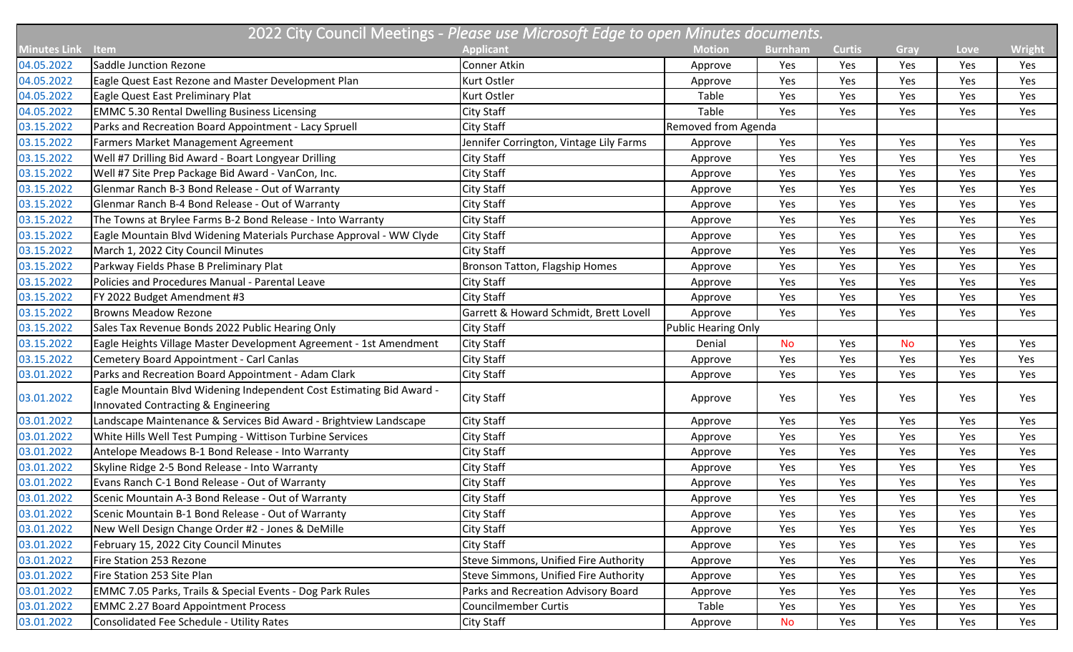| 2022 City Council Meetings - Please use Microsoft Edge to open Minutes documents. |                                                                      |                                              |                            |                |               |           |      |               |  |  |
|-----------------------------------------------------------------------------------|----------------------------------------------------------------------|----------------------------------------------|----------------------------|----------------|---------------|-----------|------|---------------|--|--|
| <b>Minutes Link</b>                                                               | Item                                                                 | <b>Applicant</b>                             | <b>Motion</b>              | <b>Burnham</b> | <b>Curtis</b> | Gray      | Love | <b>Wright</b> |  |  |
| 04.05.2022                                                                        | Saddle Junction Rezone                                               | Conner Atkin                                 | Approve                    | Yes            | Yes           | Yes       | Yes  | Yes           |  |  |
| 04.05.2022                                                                        | Eagle Quest East Rezone and Master Development Plan                  | Kurt Ostler                                  | Approve                    | Yes            | Yes           | Yes       | Yes  | Yes           |  |  |
| 04.05.2022                                                                        | Eagle Quest East Preliminary Plat                                    | Kurt Ostler                                  | Table                      | Yes            | Yes           | Yes       | Yes  | Yes           |  |  |
| 04.05.2022                                                                        | <b>EMMC 5.30 Rental Dwelling Business Licensing</b>                  | City Staff                                   | Table                      | Yes            | Yes           | Yes       | Yes  | Yes           |  |  |
| 03.15.2022                                                                        | Parks and Recreation Board Appointment - Lacy Spruell                | City Staff                                   | Removed from Agenda        |                |               |           |      |               |  |  |
| 03.15.2022                                                                        | Farmers Market Management Agreement                                  | Jennifer Corrington, Vintage Lily Farms      | Approve                    | Yes            | Yes           | Yes       | Yes  | Yes           |  |  |
| 03.15.2022                                                                        | Well #7 Drilling Bid Award - Boart Longyear Drilling                 | <b>City Staff</b>                            | Approve                    | Yes            | Yes           | Yes       | Yes  | Yes           |  |  |
| 03.15.2022                                                                        | Well #7 Site Prep Package Bid Award - VanCon, Inc.                   | City Staff                                   | Approve                    | Yes            | Yes           | Yes       | Yes  | Yes           |  |  |
| 03.15.2022                                                                        | Glenmar Ranch B-3 Bond Release - Out of Warranty                     | City Staff                                   | Approve                    | Yes            | Yes           | Yes       | Yes  | Yes           |  |  |
| 03.15.2022                                                                        | Glenmar Ranch B-4 Bond Release - Out of Warranty                     | City Staff                                   | Approve                    | Yes            | Yes           | Yes       | Yes  | Yes           |  |  |
| 03.15.2022                                                                        | The Towns at Brylee Farms B-2 Bond Release - Into Warranty           | City Staff                                   | Approve                    | Yes            | Yes           | Yes       | Yes  | Yes           |  |  |
| 03.15.2022                                                                        | Eagle Mountain Blvd Widening Materials Purchase Approval - WW Clyde  | City Staff                                   | Approve                    | Yes            | Yes           | Yes       | Yes  | Yes           |  |  |
| 03.15.2022                                                                        | March 1, 2022 City Council Minutes                                   | <b>City Staff</b>                            | Approve                    | Yes            | Yes           | Yes       | Yes  | Yes           |  |  |
| 03.15.2022                                                                        | Parkway Fields Phase B Preliminary Plat                              | Bronson Tatton, Flagship Homes               | Approve                    | Yes            | Yes           | Yes       | Yes  | Yes           |  |  |
| 03.15.2022                                                                        | Policies and Procedures Manual - Parental Leave                      | City Staff                                   | Approve                    | Yes            | Yes           | Yes       | Yes  | Yes           |  |  |
| 03.15.2022                                                                        | FY 2022 Budget Amendment #3                                          | <b>City Staff</b>                            | Approve                    | Yes            | Yes           | Yes       | Yes  | Yes           |  |  |
| 03.15.2022                                                                        | <b>Browns Meadow Rezone</b>                                          | Garrett & Howard Schmidt, Brett Lovell       | Approve                    | Yes            | Yes           | Yes       | Yes  | Yes           |  |  |
| 03.15.2022                                                                        | Sales Tax Revenue Bonds 2022 Public Hearing Only                     | <b>City Staff</b>                            | <b>Public Hearing Only</b> |                |               |           |      |               |  |  |
| 03.15.2022                                                                        | Eagle Heights Village Master Development Agreement - 1st Amendment   | <b>City Staff</b>                            | Denial                     | No             | Yes           | <b>No</b> | Yes  | Yes           |  |  |
| 03.15.2022                                                                        | Cemetery Board Appointment - Carl Canlas                             | <b>City Staff</b>                            | Approve                    | Yes            | Yes           | Yes       | Yes  | Yes           |  |  |
| 03.01.2022                                                                        | Parks and Recreation Board Appointment - Adam Clark                  | City Staff                                   | Approve                    | Yes            | Yes           | Yes       | Yes  | Yes           |  |  |
| 03.01.2022                                                                        | Eagle Mountain Blvd Widening Independent Cost Estimating Bid Award - |                                              |                            |                |               | Yes       |      | Yes           |  |  |
|                                                                                   | Innovated Contracting & Engineering                                  | City Staff                                   | Approve                    | Yes            | Yes           |           | Yes  |               |  |  |
| 03.01.2022                                                                        | Landscape Maintenance & Services Bid Award - Brightview Landscape    | City Staff                                   | Approve                    | Yes            | Yes           | Yes       | Yes  | Yes           |  |  |
| 03.01.2022                                                                        | White Hills Well Test Pumping - Wittison Turbine Services            | <b>City Staff</b>                            | Approve                    | Yes            | Yes           | Yes       | Yes  | Yes           |  |  |
| 03.01.2022                                                                        | Antelope Meadows B-1 Bond Release - Into Warranty                    | <b>City Staff</b>                            | Approve                    | Yes            | Yes           | Yes       | Yes  | Yes           |  |  |
| 03.01.2022                                                                        | Skyline Ridge 2-5 Bond Release - Into Warranty                       | <b>City Staff</b>                            | Approve                    | Yes            | Yes           | Yes       | Yes  | Yes           |  |  |
| 03.01.2022                                                                        | Evans Ranch C-1 Bond Release - Out of Warranty                       | <b>City Staff</b>                            | Approve                    | Yes            | Yes           | Yes       | Yes  | Yes           |  |  |
| 03.01.2022                                                                        | Scenic Mountain A-3 Bond Release - Out of Warranty                   | City Staff                                   | Approve                    | Yes            | Yes           | Yes       | Yes  | Yes           |  |  |
| 03.01.2022                                                                        | Scenic Mountain B-1 Bond Release - Out of Warranty                   | City Staff                                   | Approve                    | Yes            | Yes           | Yes       | Yes  | Yes           |  |  |
| 03.01.2022                                                                        | New Well Design Change Order #2 - Jones & DeMille                    | City Staff                                   | Approve                    | Yes            | Yes           | Yes       | Yes  | Yes           |  |  |
| 03.01.2022                                                                        | February 15, 2022 City Council Minutes                               | City Staff                                   | Approve                    | Yes            | Yes           | Yes       | Yes  | Yes           |  |  |
| 03.01.2022                                                                        | Fire Station 253 Rezone                                              | Steve Simmons, Unified Fire Authority        | Approve                    | Yes            | Yes           | Yes       | Yes  | Yes           |  |  |
| 03.01.2022                                                                        | Fire Station 253 Site Plan                                           | <b>Steve Simmons, Unified Fire Authority</b> | Approve                    | Yes            | Yes           | Yes       | Yes  | Yes           |  |  |
| 03.01.2022                                                                        | EMMC 7.05 Parks, Trails & Special Events - Dog Park Rules            | Parks and Recreation Advisory Board          | Approve                    | Yes            | Yes           | Yes       | Yes  | Yes           |  |  |
| 03.01.2022                                                                        | <b>EMMC 2.27 Board Appointment Process</b>                           | <b>Councilmember Curtis</b>                  | Table                      | Yes            | Yes           | Yes       | Yes  | Yes           |  |  |
| 03.01.2022                                                                        | Consolidated Fee Schedule - Utility Rates                            | <b>City Staff</b>                            | Approve                    | <b>No</b>      | Yes           | Yes       | Yes  | Yes           |  |  |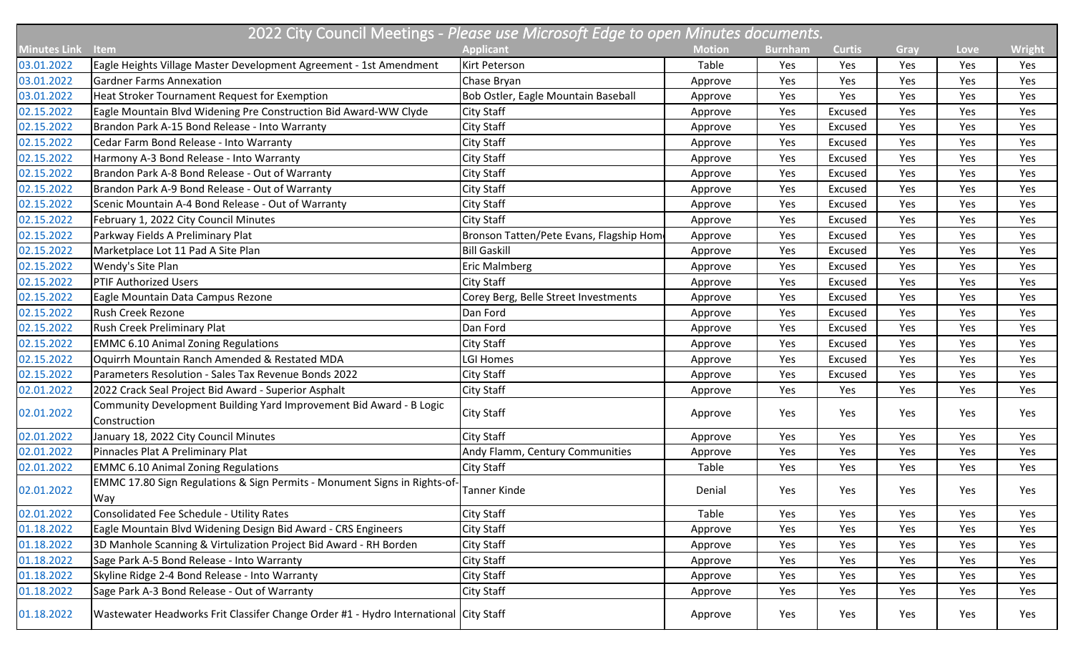| 2022 City Council Meetings - Please use Microsoft Edge to open Minutes documents. |                                                                                      |                                         |               |                |               |      |      |               |  |  |
|-----------------------------------------------------------------------------------|--------------------------------------------------------------------------------------|-----------------------------------------|---------------|----------------|---------------|------|------|---------------|--|--|
| Minutes Link                                                                      | Item                                                                                 | <b>Applicant</b>                        | <b>Motion</b> | <b>Burnham</b> | <b>Curtis</b> | Gray | Love | <b>Wright</b> |  |  |
| 03.01.2022                                                                        | Eagle Heights Village Master Development Agreement - 1st Amendment                   | <b>Kirt Peterson</b>                    | Table         | Yes            | Yes           | Yes  | Yes  | Yes           |  |  |
| 03.01.2022                                                                        | <b>Gardner Farms Annexation</b>                                                      | Chase Bryan                             | Approve       | Yes            | Yes           | Yes  | Yes  | Yes           |  |  |
| 03.01.2022                                                                        | Heat Stroker Tournament Request for Exemption                                        | Bob Ostler, Eagle Mountain Baseball     | Approve       | Yes            | Yes           | Yes  | Yes  | Yes           |  |  |
| 02.15.2022                                                                        | Eagle Mountain Blvd Widening Pre Construction Bid Award-WW Clyde                     | City Staff                              | Approve       | Yes            | Excused       | Yes  | Yes  | Yes           |  |  |
| 02.15.2022                                                                        | Brandon Park A-15 Bond Release - Into Warranty                                       | <b>City Staff</b>                       | Approve       | Yes            | Excused       | Yes  | Yes  | Yes           |  |  |
| 02.15.2022                                                                        | Cedar Farm Bond Release - Into Warranty                                              | City Staff                              | Approve       | Yes            | Excused       | Yes  | Yes  | Yes           |  |  |
| 02.15.2022                                                                        | Harmony A-3 Bond Release - Into Warranty                                             | <b>City Staff</b>                       | Approve       | Yes            | Excused       | Yes  | Yes  | Yes           |  |  |
| 02.15.2022                                                                        | Brandon Park A-8 Bond Release - Out of Warranty                                      | <b>City Staff</b>                       | Approve       | Yes            | Excused       | Yes  | Yes  | Yes           |  |  |
| 02.15.2022                                                                        | Brandon Park A-9 Bond Release - Out of Warranty                                      | <b>City Staff</b>                       | Approve       | Yes            | Excused       | Yes  | Yes  | Yes           |  |  |
| 02.15.2022                                                                        | Scenic Mountain A-4 Bond Release - Out of Warranty                                   | <b>City Staff</b>                       | Approve       | Yes            | Excused       | Yes  | Yes  | Yes           |  |  |
| 02.15.2022                                                                        | February 1, 2022 City Council Minutes                                                | <b>City Staff</b>                       | Approve       | Yes            | Excused       | Yes  | Yes  | Yes           |  |  |
| 02.15.2022                                                                        | Parkway Fields A Preliminary Plat                                                    | Bronson Tatten/Pete Evans, Flagship Hom | Approve       | Yes            | Excused       | Yes  | Yes  | Yes           |  |  |
| 02.15.2022                                                                        | Marketplace Lot 11 Pad A Site Plan                                                   | <b>Bill Gaskill</b>                     | Approve       | Yes            | Excused       | Yes  | Yes  | Yes           |  |  |
| 02.15.2022                                                                        | <b>Wendy's Site Plan</b>                                                             | <b>Eric Malmberg</b>                    | Approve       | Yes            | Excused       | Yes  | Yes  | Yes           |  |  |
| 02.15.2022                                                                        | <b>PTIF Authorized Users</b>                                                         | <b>City Staff</b>                       | Approve       | Yes            | Excused       | Yes  | Yes  | Yes           |  |  |
| 02.15.2022                                                                        | Eagle Mountain Data Campus Rezone                                                    | Corey Berg, Belle Street Investments    | Approve       | Yes            | Excused       | Yes  | Yes  | Yes           |  |  |
| 02.15.2022                                                                        | <b>Rush Creek Rezone</b>                                                             | Dan Ford                                | Approve       | Yes            | Excused       | Yes  | Yes  | Yes           |  |  |
| 02.15.2022                                                                        | Rush Creek Preliminary Plat                                                          | Dan Ford                                | Approve       | Yes            | Excused       | Yes  | Yes  | Yes           |  |  |
| 02.15.2022                                                                        | <b>EMMC 6.10 Animal Zoning Regulations</b>                                           | City Staff                              | Approve       | Yes            | Excused       | Yes  | Yes  | Yes           |  |  |
| 02.15.2022                                                                        | Oquirrh Mountain Ranch Amended & Restated MDA                                        | LGI Homes                               | Approve       | Yes            | Excused       | Yes  | Yes  | Yes           |  |  |
| 02.15.2022                                                                        | Parameters Resolution - Sales Tax Revenue Bonds 2022                                 | <b>City Staff</b>                       | Approve       | Yes            | Excused       | Yes  | Yes  | Yes           |  |  |
| 02.01.2022                                                                        | 2022 Crack Seal Project Bid Award - Superior Asphalt                                 | City Staff                              | Approve       | Yes            | Yes           | Yes  | Yes  | Yes           |  |  |
| 02.01.2022                                                                        | Community Development Building Yard Improvement Bid Award - B Logic<br>Construction  | <b>City Staff</b>                       | Approve       | Yes            | Yes           | Yes  | Yes  | Yes           |  |  |
| 02.01.2022                                                                        | January 18, 2022 City Council Minutes                                                | City Staff                              | Approve       | Yes            | Yes           | Yes  | Yes  | Yes           |  |  |
| 02.01.2022                                                                        | Pinnacles Plat A Preliminary Plat                                                    | Andy Flamm, Century Communities         | Approve       | Yes            | Yes           | Yes  | Yes  | Yes           |  |  |
| 02.01.2022                                                                        | <b>EMMC 6.10 Animal Zoning Regulations</b>                                           | City Staff                              | Table         | Yes            | Yes           | Yes  | Yes  | Yes           |  |  |
| 02.01.2022                                                                        | EMMC 17.80 Sign Regulations & Sign Permits - Monument Signs in Rights-of-<br>Way     | Tanner Kinde                            | Denial        | Yes            | Yes           | Yes  | Yes  | Yes           |  |  |
| 02.01.2022                                                                        | Consolidated Fee Schedule - Utility Rates                                            | <b>City Staff</b>                       | Table         | Yes            | Yes           | Yes  | Yes  | Yes           |  |  |
| 01.18.2022                                                                        | Eagle Mountain Blvd Widening Design Bid Award - CRS Engineers                        | City Staff                              | Approve       | Yes            | Yes           | Yes  | Yes  | Yes           |  |  |
| 01.18.2022                                                                        | 3D Manhole Scanning & Virtulization Project Bid Award - RH Borden                    | City Staff                              | Approve       | Yes            | Yes           | Yes  | Yes  | Yes           |  |  |
| 01.18.2022                                                                        | Sage Park A-5 Bond Release - Into Warranty                                           | <b>City Staff</b>                       | Approve       | Yes            | Yes           | Yes  | Yes  | Yes           |  |  |
| 01.18.2022                                                                        | Skyline Ridge 2-4 Bond Release - Into Warranty                                       | City Staff                              | Approve       | Yes            | Yes           | Yes  | Yes  | Yes           |  |  |
| 01.18.2022                                                                        | Sage Park A-3 Bond Release - Out of Warranty                                         | <b>City Staff</b>                       | Approve       | Yes            | Yes           | Yes  | Yes  | Yes           |  |  |
| 01.18.2022                                                                        | Wastewater Headworks Frit Classifer Change Order #1 - Hydro International City Staff |                                         | Approve       | Yes            | Yes           | Yes  | Yes  | Yes           |  |  |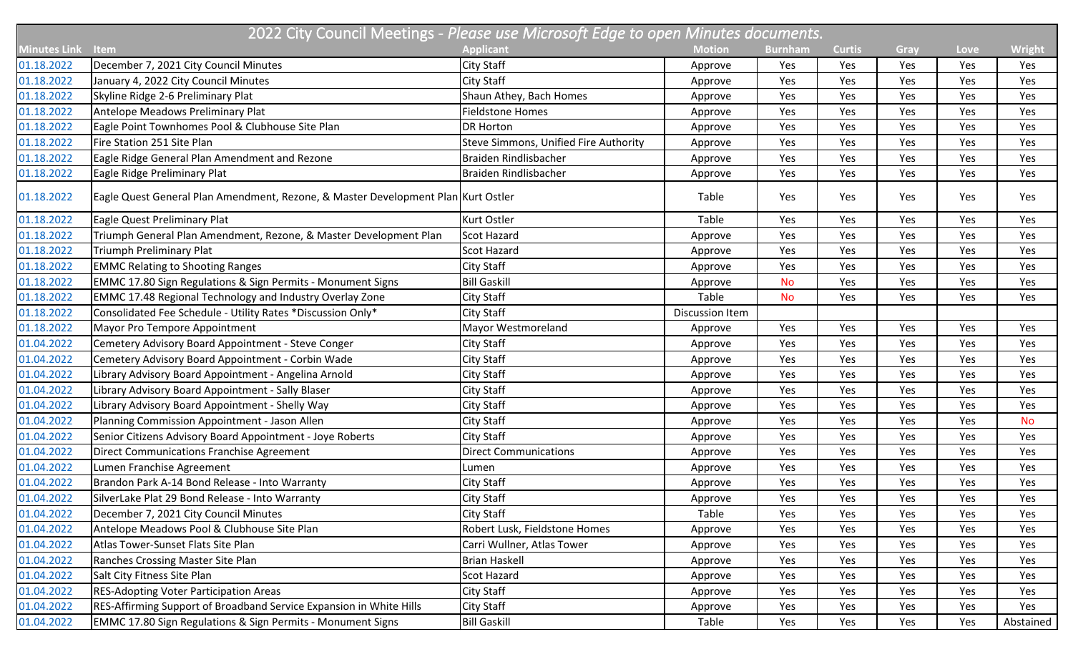| <b>Minutes Link</b> | <b>Item</b>                                                                       | <b>Applicant</b>                             | <b>Motion</b>          | <b>Burnham</b> | <b>Curtis</b> | Gray | Love | <b>Wright</b> |
|---------------------|-----------------------------------------------------------------------------------|----------------------------------------------|------------------------|----------------|---------------|------|------|---------------|
| 01.18.2022          | December 7, 2021 City Council Minutes                                             | <b>City Staff</b>                            | Approve                | Yes            | Yes           | Yes  | Yes  | Yes           |
| 01.18.2022          | January 4, 2022 City Council Minutes                                              | City Staff                                   | Approve                | Yes            | Yes           | Yes  | Yes  | Yes           |
| 01.18.2022          | Skyline Ridge 2-6 Preliminary Plat                                                | Shaun Athey, Bach Homes                      | Approve                | Yes            | Yes           | Yes  | Yes  | Yes           |
| 01.18.2022          | Antelope Meadows Preliminary Plat                                                 | <b>Fieldstone Homes</b>                      | Approve                | Yes            | Yes           | Yes  | Yes  | Yes           |
| 01.18.2022          | Eagle Point Townhomes Pool & Clubhouse Site Plan                                  | <b>DR Horton</b>                             | Approve                | Yes            | Yes           | Yes  | Yes  | Yes           |
| 01.18.2022          | Fire Station 251 Site Plan                                                        | <b>Steve Simmons, Unified Fire Authority</b> | Approve                | Yes            | Yes           | Yes  | Yes  | Yes           |
| 01.18.2022          | Eagle Ridge General Plan Amendment and Rezone                                     | Braiden Rindlisbacher                        | Approve                | Yes            | Yes           | Yes  | Yes  | Yes           |
| 01.18.2022          | Eagle Ridge Preliminary Plat                                                      | Braiden Rindlisbacher                        | Approve                | Yes            | Yes           | Yes  | Yes  | Yes           |
| 01.18.2022          | Eagle Quest General Plan Amendment, Rezone, & Master Development Plan Kurt Ostler |                                              | Table                  | Yes            | Yes           | Yes  | Yes  | Yes           |
| 01.18.2022          | Eagle Quest Preliminary Plat                                                      | Kurt Ostler                                  | Table                  | Yes            | Yes           | Yes  | Yes  | Yes           |
| 01.18.2022          | Triumph General Plan Amendment, Rezone, & Master Development Plan                 | <b>Scot Hazard</b>                           | Approve                | Yes            | Yes           | Yes  | Yes  | Yes           |
| 01.18.2022          | <b>Triumph Preliminary Plat</b>                                                   | Scot Hazard                                  | Approve                | Yes            | Yes           | Yes  | Yes  | Yes           |
| 01.18.2022          | <b>EMMC Relating to Shooting Ranges</b>                                           | City Staff                                   | Approve                | Yes            | Yes           | Yes  | Yes  | Yes           |
| 01.18.2022          | EMMC 17.80 Sign Regulations & Sign Permits - Monument Signs                       | <b>Bill Gaskill</b>                          | Approve                | <b>No</b>      | Yes           | Yes  | Yes  | Yes           |
| 01.18.2022          | <b>EMMC 17.48 Regional Technology and Industry Overlay Zone</b>                   | City Staff                                   | Table                  | No             | Yes           | Yes  | Yes  | Yes           |
| 01.18.2022          | Consolidated Fee Schedule - Utility Rates *Discussion Only*                       | <b>City Staff</b>                            | <b>Discussion Item</b> |                |               |      |      |               |
| 01.18.2022          | Mayor Pro Tempore Appointment                                                     | Mayor Westmoreland                           | Approve                | Yes            | Yes           | Yes  | Yes  | Yes           |
| 01.04.2022          | Cemetery Advisory Board Appointment - Steve Conger                                | City Staff                                   | Approve                | Yes            | Yes           | Yes  | Yes  | Yes           |
| 01.04.2022          | Cemetery Advisory Board Appointment - Corbin Wade                                 | City Staff                                   | Approve                | Yes            | Yes           | Yes  | Yes  | Yes           |
| 01.04.2022          | Library Advisory Board Appointment - Angelina Arnold                              | City Staff                                   | Approve                | Yes            | Yes           | Yes  | Yes  | Yes           |
| 01.04.2022          | Library Advisory Board Appointment - Sally Blaser                                 | <b>City Staff</b>                            | Approve                | Yes            | Yes           | Yes  | Yes  | Yes           |
| 01.04.2022          | Library Advisory Board Appointment - Shelly Way                                   | City Staff                                   | Approve                | Yes            | Yes           | Yes  | Yes  | Yes           |
| 01.04.2022          | Planning Commission Appointment - Jason Allen                                     | <b>City Staff</b>                            | Approve                | Yes            | Yes           | Yes  | Yes  | <b>No</b>     |
| 01.04.2022          | Senior Citizens Advisory Board Appointment - Joye Roberts                         | <b>City Staff</b>                            | Approve                | Yes            | Yes           | Yes  | Yes  | Yes           |
| 01.04.2022          | Direct Communications Franchise Agreement                                         | <b>Direct Communications</b>                 | Approve                | Yes            | Yes           | Yes  | Yes  | Yes           |
| 01.04.2022          | Lumen Franchise Agreement                                                         | Lumen                                        | Approve                | Yes            | Yes           | Yes  | Yes  | Yes           |
| 01.04.2022          | Brandon Park A-14 Bond Release - Into Warranty                                    | <b>City Staff</b>                            | Approve                | Yes            | Yes           | Yes  | Yes  | Yes           |
| 01.04.2022          | SilverLake Plat 29 Bond Release - Into Warranty                                   | City Staff                                   | Approve                | Yes            | Yes           | Yes  | Yes  | Yes           |
| 01.04.2022          | December 7, 2021 City Council Minutes                                             | City Staff                                   | Table                  | Yes            | Yes           | Yes  | Yes  | Yes           |
| 01.04.2022          | Antelope Meadows Pool & Clubhouse Site Plan                                       | Robert Lusk, Fieldstone Homes                | Approve                | Yes            | Yes           | Yes  | Yes  | Yes           |
| 01.04.2022          | Atlas Tower-Sunset Flats Site Plan                                                | Carri Wullner, Atlas Tower                   | Approve                | Yes            | Yes           | Yes  | Yes  | Yes           |
| 01.04.2022          | Ranches Crossing Master Site Plan                                                 | <b>Brian Haskell</b>                         | Approve                | Yes            | Yes           | Yes  | Yes  | Yes           |
| 01.04.2022          | Salt City Fitness Site Plan                                                       | <b>Scot Hazard</b>                           | Approve                | Yes            | Yes           | Yes  | Yes  | Yes           |
| 01.04.2022          | <b>RES-Adopting Voter Participation Areas</b>                                     | City Staff                                   | Approve                | Yes            | Yes           | Yes  | Yes  | Yes           |
| 01.04.2022          | RES-Affirming Support of Broadband Service Expansion in White Hills               | City Staff                                   | Approve                | Yes            | Yes           | Yes  | Yes  | Yes           |
| 01.04.2022          | <b>EMMC 17.80 Sign Regulations &amp; Sign Permits - Monument Signs</b>            | <b>Bill Gaskill</b>                          | Table                  | Yes            | Yes           | Yes  | Yes  | Abstained     |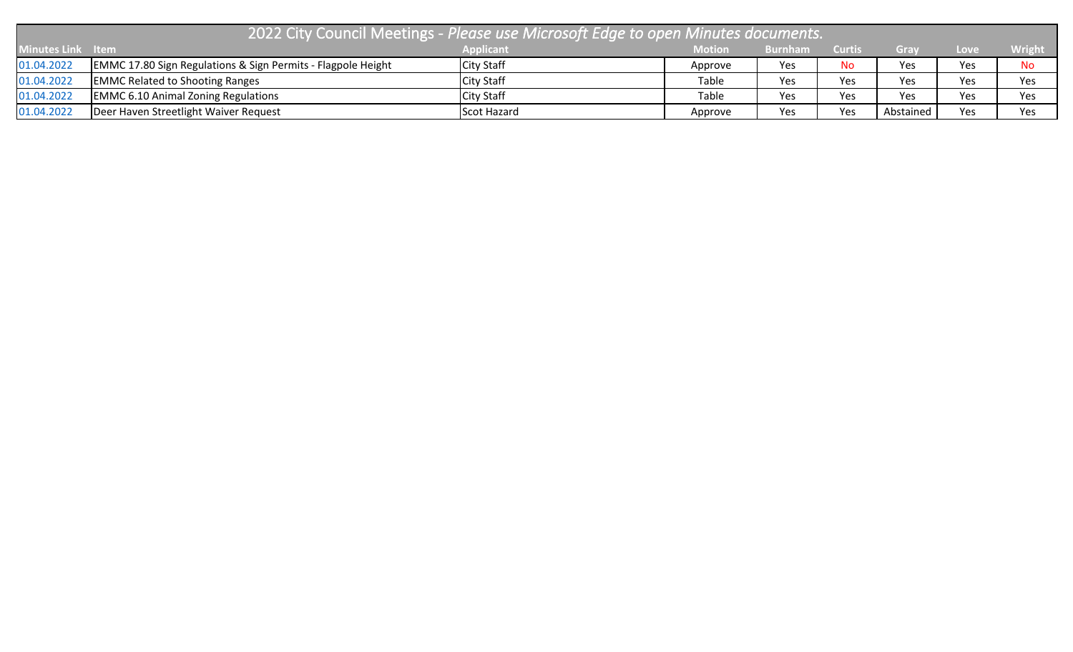| 72022 City Council Meetings - Please use Microsoft Edge to open Minutes documents. |                                                                         |                   |               |                |               |           |      |               |  |
|------------------------------------------------------------------------------------|-------------------------------------------------------------------------|-------------------|---------------|----------------|---------------|-----------|------|---------------|--|
| Minutes Link Item                                                                  |                                                                         | <b>Applicant</b>  | <b>Motion</b> | <b>Burnham</b> | <b>Curtis</b> | Gray      | Love | <b>Wright</b> |  |
| 01.04.2022                                                                         | <b>EMMC 17.80 Sign Regulations &amp; Sign Permits - Flagpole Height</b> | <b>City Staff</b> | Approve       | Yes            | <b>No</b>     | Yes       | Yes  | No            |  |
| 01.04.2022                                                                         | <b>EMMC Related to Shooting Ranges</b>                                  | <b>City Staff</b> | Table         | Yes            | Yes           | Yes       | Yes  | Yes           |  |
| 01.04.2022                                                                         | <b>EMMC 6.10 Animal Zoning Regulations</b>                              | <b>City Staff</b> | Table         | Yes            | Yes           | Yes       | Yes  | Yes           |  |
| 01.04.2022                                                                         | Deer Haven Streetlight Waiver Request                                   | Scot Hazard       | Approve       | Yes            | Yes           | Abstained | Yes  | Yes           |  |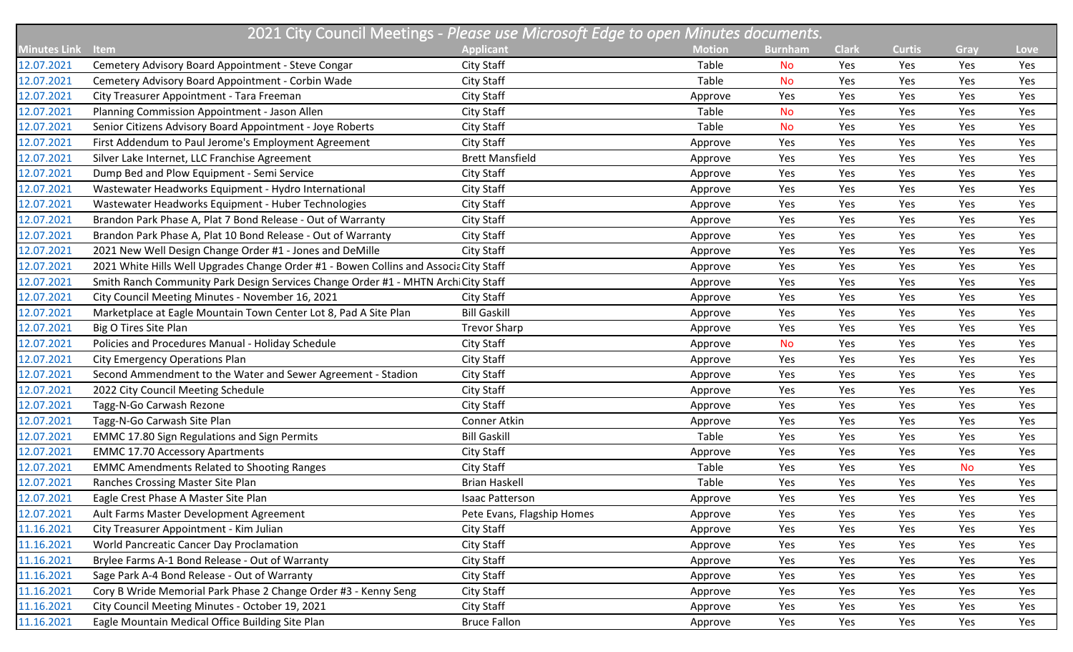|                     | 2021 City Council Meetings - Please use Microsoft Edge to open Minutes documents.     |                            |               |                |              |               |           |      |
|---------------------|---------------------------------------------------------------------------------------|----------------------------|---------------|----------------|--------------|---------------|-----------|------|
| <b>Minutes Link</b> | Item                                                                                  | <b>Applicant</b>           | <b>Motion</b> | <b>Burnham</b> | <b>Clark</b> | <b>Curtis</b> | Gray      | Love |
| 12.07.2021          | Cemetery Advisory Board Appointment - Steve Congar                                    | City Staff                 | Table         | <b>No</b>      | Yes          | Yes           | Yes       | Yes  |
| 12.07.2021          | Cemetery Advisory Board Appointment - Corbin Wade                                     | City Staff                 | Table         | <b>No</b>      | Yes          | Yes           | Yes       | Yes  |
| 12.07.2021          | City Treasurer Appointment - Tara Freeman                                             | City Staff                 | Approve       | Yes            | Yes          | Yes           | Yes       | Yes  |
| 12.07.2021          | Planning Commission Appointment - Jason Allen                                         | City Staff                 | Table         | <b>No</b>      | Yes          | Yes           | Yes       | Yes  |
| 12.07.2021          | Senior Citizens Advisory Board Appointment - Joye Roberts                             | City Staff                 | Table         | <b>No</b>      | Yes          | Yes           | Yes       | Yes  |
| 12.07.2021          | First Addendum to Paul Jerome's Employment Agreement                                  | City Staff                 | Approve       | Yes            | Yes          | Yes           | Yes       | Yes  |
| 12.07.2021          | Silver Lake Internet, LLC Franchise Agreement                                         | <b>Brett Mansfield</b>     | Approve       | Yes            | Yes          | Yes           | Yes       | Yes  |
| 12.07.2021          | Dump Bed and Plow Equipment - Semi Service                                            | City Staff                 | Approve       | Yes            | Yes          | Yes           | Yes       | Yes  |
| 12.07.2021          | Wastewater Headworks Equipment - Hydro International                                  | City Staff                 | Approve       | Yes            | Yes          | Yes           | Yes       | Yes  |
| 12.07.2021          | Wastewater Headworks Equipment - Huber Technologies                                   | City Staff                 | Approve       | Yes            | Yes          | Yes           | Yes       | Yes  |
| 12.07.2021          | Brandon Park Phase A, Plat 7 Bond Release - Out of Warranty                           | City Staff                 | Approve       | Yes            | Yes          | Yes           | Yes       | Yes  |
| 12.07.2021          | Brandon Park Phase A, Plat 10 Bond Release - Out of Warranty                          | City Staff                 | Approve       | Yes            | Yes          | Yes           | Yes       | Yes  |
| 12.07.2021          | 2021 New Well Design Change Order #1 - Jones and DeMille                              | City Staff                 | Approve       | Yes            | Yes          | Yes           | Yes       | Yes  |
| 12.07.2021          | 2021 White Hills Well Upgrades Change Order #1 - Bowen Collins and Associa City Staff |                            | Approve       | Yes            | Yes          | Yes           | Yes       | Yes  |
| 12.07.2021          | Smith Ranch Community Park Design Services Change Order #1 - MHTN Arch City Staff     |                            | Approve       | Yes            | Yes          | Yes           | Yes       | Yes  |
| 12.07.2021          | City Council Meeting Minutes - November 16, 2021                                      | City Staff                 | Approve       | Yes            | Yes          | Yes           | Yes       | Yes  |
| 12.07.2021          | Marketplace at Eagle Mountain Town Center Lot 8, Pad A Site Plan                      | <b>Bill Gaskill</b>        | Approve       | Yes            | Yes          | Yes           | Yes       | Yes  |
| 12.07.2021          | Big O Tires Site Plan                                                                 | <b>Trevor Sharp</b>        | Approve       | Yes            | Yes          | Yes           | Yes       | Yes  |
| 12.07.2021          | Policies and Procedures Manual - Holiday Schedule                                     | City Staff                 | Approve       | <b>No</b>      | Yes          | Yes           | Yes       | Yes  |
| 12.07.2021          | <b>City Emergency Operations Plan</b>                                                 | City Staff                 | Approve       | Yes            | Yes          | Yes           | Yes       | Yes  |
| 12.07.2021          | Second Ammendment to the Water and Sewer Agreement - Stadion                          | City Staff                 | Approve       | Yes            | Yes          | Yes           | Yes       | Yes  |
| 12.07.2021          | 2022 City Council Meeting Schedule                                                    | City Staff                 | Approve       | Yes            | Yes          | Yes           | Yes       | Yes  |
| 12.07.2021          | Tagg-N-Go Carwash Rezone                                                              | City Staff                 | Approve       | Yes            | Yes          | Yes           | Yes       | Yes  |
| 12.07.2021          | Tagg-N-Go Carwash Site Plan                                                           | Conner Atkin               | Approve       | Yes            | Yes          | Yes           | Yes       | Yes  |
| 12.07.2021          | <b>EMMC 17.80 Sign Regulations and Sign Permits</b>                                   | <b>Bill Gaskill</b>        | Table         | Yes            | Yes          | Yes           | Yes       | Yes  |
| 12.07.2021          | <b>EMMC 17.70 Accessory Apartments</b>                                                | City Staff                 | Approve       | Yes            | Yes          | Yes           | Yes       | Yes  |
| 12.07.2021          | <b>EMMC Amendments Related to Shooting Ranges</b>                                     | City Staff                 | Table         | Yes            | Yes          | Yes           | <b>No</b> | Yes  |
| 12.07.2021          | Ranches Crossing Master Site Plan                                                     | <b>Brian Haskell</b>       | Table         | Yes            | Yes          | Yes           | Yes       | Yes  |
| 12.07.2021          | Eagle Crest Phase A Master Site Plan                                                  | <b>Isaac Patterson</b>     | Approve       | Yes            | Yes          | Yes           | Yes       | Yes  |
| 12.07.2021          | Ault Farms Master Development Agreement                                               | Pete Evans, Flagship Homes | Approve       | Yes            | Yes          | Yes           | Yes       | Yes  |
| 11.16.2021          | City Treasurer Appointment - Kim Julian                                               | City Staff                 | Approve       | Yes            | Yes          | Yes           | Yes       | Yes  |
| 11.16.2021          | World Pancreatic Cancer Day Proclamation                                              | City Staff                 | Approve       | Yes            | Yes          | Yes           | Yes       | Yes  |
| 11.16.2021          | Brylee Farms A-1 Bond Release - Out of Warranty                                       | City Staff                 | Approve       | Yes            | Yes          | Yes           | Yes       | Yes  |
| 11.16.2021          | Sage Park A-4 Bond Release - Out of Warranty                                          | City Staff                 | Approve       | Yes            | Yes          | Yes           | Yes       | Yes  |
| 11.16.2021          | Cory B Wride Memorial Park Phase 2 Change Order #3 - Kenny Seng                       | City Staff                 | Approve       | Yes            | Yes          | Yes           | Yes       | Yes  |
| 11.16.2021          | City Council Meeting Minutes - October 19, 2021                                       | City Staff                 | Approve       | Yes            | Yes          | Yes           | Yes       | Yes  |
| 11.16.2021          | Eagle Mountain Medical Office Building Site Plan                                      | <b>Bruce Fallon</b>        | Approve       | Yes            | Yes          | Yes           | Yes       | Yes  |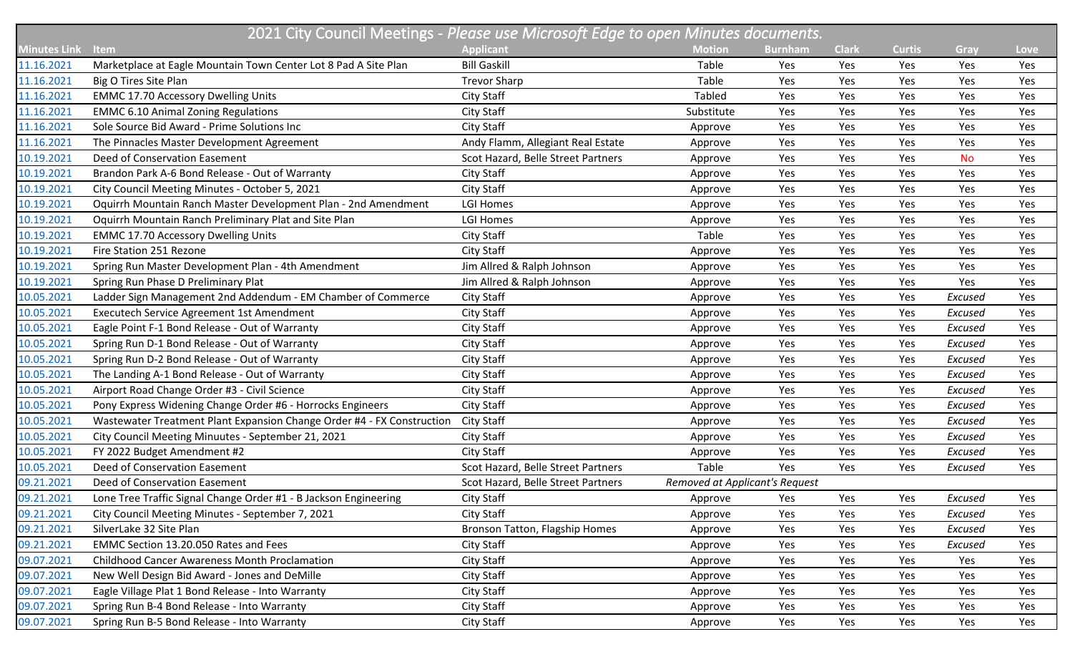| 2021 City Council Meetings - Please use Microsoft Edge to open Minutes documents. |                                                                        |                                    |                                |                |              |               |           |      |  |
|-----------------------------------------------------------------------------------|------------------------------------------------------------------------|------------------------------------|--------------------------------|----------------|--------------|---------------|-----------|------|--|
| Minutes Link                                                                      | Item                                                                   | <b>Applicant</b>                   | <b>Motion</b>                  | <b>Burnham</b> | <b>Clark</b> | <b>Curtis</b> | Gray      | Love |  |
| 11.16.2021                                                                        | Marketplace at Eagle Mountain Town Center Lot 8 Pad A Site Plan        | <b>Bill Gaskill</b>                | Table                          | Yes            | Yes          | Yes           | Yes       | Yes  |  |
| 11.16.2021                                                                        | Big O Tires Site Plan                                                  | <b>Trevor Sharp</b>                | Table                          | Yes            | Yes          | Yes           | Yes       | Yes  |  |
| 11.16.2021                                                                        | <b>EMMC 17.70 Accessory Dwelling Units</b>                             | City Staff                         | Tabled                         | Yes            | Yes          | Yes           | Yes       | Yes  |  |
| 11.16.2021                                                                        | <b>EMMC 6.10 Animal Zoning Regulations</b>                             | City Staff                         | Substitute                     | Yes            | Yes          | Yes           | Yes       | Yes  |  |
| 11.16.2021                                                                        | Sole Source Bid Award - Prime Solutions Inc                            | City Staff                         | Approve                        | Yes            | Yes          | Yes           | Yes       | Yes  |  |
| 11.16.2021                                                                        | The Pinnacles Master Development Agreement                             | Andy Flamm, Allegiant Real Estate  | Approve                        | Yes            | Yes          | Yes           | Yes       | Yes  |  |
| 10.19.2021                                                                        | Deed of Conservation Easement                                          | Scot Hazard, Belle Street Partners | Approve                        | Yes            | Yes          | Yes           | <b>No</b> | Yes  |  |
| 10.19.2021                                                                        | Brandon Park A-6 Bond Release - Out of Warranty                        | City Staff                         | Approve                        | Yes            | Yes          | Yes           | Yes       | Yes  |  |
| 10.19.2021                                                                        | City Council Meeting Minutes - October 5, 2021                         | City Staff                         | Approve                        | Yes            | Yes          | Yes           | Yes       | Yes  |  |
| 10.19.2021                                                                        | Oquirrh Mountain Ranch Master Development Plan - 2nd Amendment         | <b>LGI Homes</b>                   | Approve                        | Yes            | Yes          | Yes           | Yes       | Yes  |  |
| 10.19.2021                                                                        | Oquirrh Mountain Ranch Preliminary Plat and Site Plan                  | <b>LGI Homes</b>                   | Approve                        | Yes            | Yes          | Yes           | Yes       | Yes  |  |
| 10.19.2021                                                                        | <b>EMMC 17.70 Accessory Dwelling Units</b>                             | City Staff                         | Table                          | Yes            | Yes          | Yes           | Yes       | Yes  |  |
| 10.19.2021                                                                        | Fire Station 251 Rezone                                                | City Staff                         | Approve                        | Yes            | Yes          | Yes           | Yes       | Yes  |  |
| 10.19.2021                                                                        | Spring Run Master Development Plan - 4th Amendment                     | Jim Allred & Ralph Johnson         | Approve                        | Yes            | Yes          | Yes           | Yes       | Yes  |  |
| 10.19.2021                                                                        | Spring Run Phase D Preliminary Plat                                    | Jim Allred & Ralph Johnson         | Approve                        | Yes            | Yes          | Yes           | Yes       | Yes  |  |
| 10.05.2021                                                                        | Ladder Sign Management 2nd Addendum - EM Chamber of Commerce           | City Staff                         | Approve                        | Yes            | Yes          | Yes           | Excused   | Yes  |  |
| 10.05.2021                                                                        | Executech Service Agreement 1st Amendment                              | City Staff                         | Approve                        | Yes            | Yes          | Yes           | Excused   | Yes  |  |
| 10.05.2021                                                                        | Eagle Point F-1 Bond Release - Out of Warranty                         | City Staff                         | Approve                        | Yes            | Yes          | Yes           | Excused   | Yes  |  |
| 10.05.2021                                                                        | Spring Run D-1 Bond Release - Out of Warranty                          | City Staff                         | Approve                        | Yes            | Yes          | Yes           | Excused   | Yes  |  |
| 10.05.2021                                                                        | Spring Run D-2 Bond Release - Out of Warranty                          | City Staff                         | Approve                        | Yes            | Yes          | Yes           | Excused   | Yes  |  |
| 10.05.2021                                                                        | The Landing A-1 Bond Release - Out of Warranty                         | City Staff                         | Approve                        | Yes            | Yes          | Yes           | Excused   | Yes  |  |
| 10.05.2021                                                                        | Airport Road Change Order #3 - Civil Science                           | City Staff                         | Approve                        | Yes            | Yes          | Yes           | Excused   | Yes  |  |
| 10.05.2021                                                                        | Pony Express Widening Change Order #6 - Horrocks Engineers             | City Staff                         | Approve                        | Yes            | Yes          | Yes           | Excused   | Yes  |  |
| 10.05.2021                                                                        | Wastewater Treatment Plant Expansion Change Order #4 - FX Construction | City Staff                         | Approve                        | Yes            | Yes          | Yes           | Excused   | Yes  |  |
| 10.05.2021                                                                        | City Council Meeting Minuutes - September 21, 2021                     | City Staff                         | Approve                        | Yes            | Yes          | Yes           | Excused   | Yes  |  |
| 10.05.2021                                                                        | FY 2022 Budget Amendment #2                                            | City Staff                         | Approve                        | Yes            | Yes          | Yes           | Excused   | Yes  |  |
| 10.05.2021                                                                        | Deed of Conservation Easement                                          | Scot Hazard, Belle Street Partners | Table                          | Yes            | Yes          | Yes           | Excused   | Yes  |  |
| 09.21.2021                                                                        | Deed of Conservation Easement                                          | Scot Hazard, Belle Street Partners | Removed at Applicant's Request |                |              |               |           |      |  |
| 09.21.2021                                                                        | Lone Tree Traffic Signal Change Order #1 - B Jackson Engineering       | City Staff                         | Approve                        | Yes            | Yes          | Yes           | Excused   | Yes  |  |
| 09.21.2021                                                                        | City Council Meeting Minutes - September 7, 2021                       | City Staff                         | Approve                        | Yes            | Yes          | Yes           | Excused   | Yes  |  |
| 09.21.2021                                                                        | SilverLake 32 Site Plan                                                | Bronson Tatton, Flagship Homes     | Approve                        | Yes            | Yes          | Yes           | Excused   | Yes  |  |
| 09.21.2021                                                                        | EMMC Section 13.20.050 Rates and Fees                                  | City Staff                         | Approve                        | Yes            | Yes          | Yes           | Excused   | Yes  |  |
| 09.07.2021                                                                        | <b>Childhood Cancer Awareness Month Proclamation</b>                   | City Staff                         | Approve                        | Yes            | Yes          | Yes           | Yes       | Yes  |  |
| 09.07.2021                                                                        | New Well Design Bid Award - Jones and DeMille                          | City Staff                         | Approve                        | Yes            | Yes          | Yes           | Yes       | Yes  |  |
| 09.07.2021                                                                        | Eagle Village Plat 1 Bond Release - Into Warranty                      | City Staff                         | Approve                        | Yes            | Yes          | Yes           | Yes       | Yes  |  |
| 09.07.2021                                                                        | Spring Run B-4 Bond Release - Into Warranty                            | City Staff                         | Approve                        | Yes            | Yes          | Yes           | Yes       | Yes  |  |
| 09.07.2021                                                                        | Spring Run B-5 Bond Release - Into Warranty                            | City Staff                         | Approve                        | Yes            | Yes          | Yes           | Yes       | Yes  |  |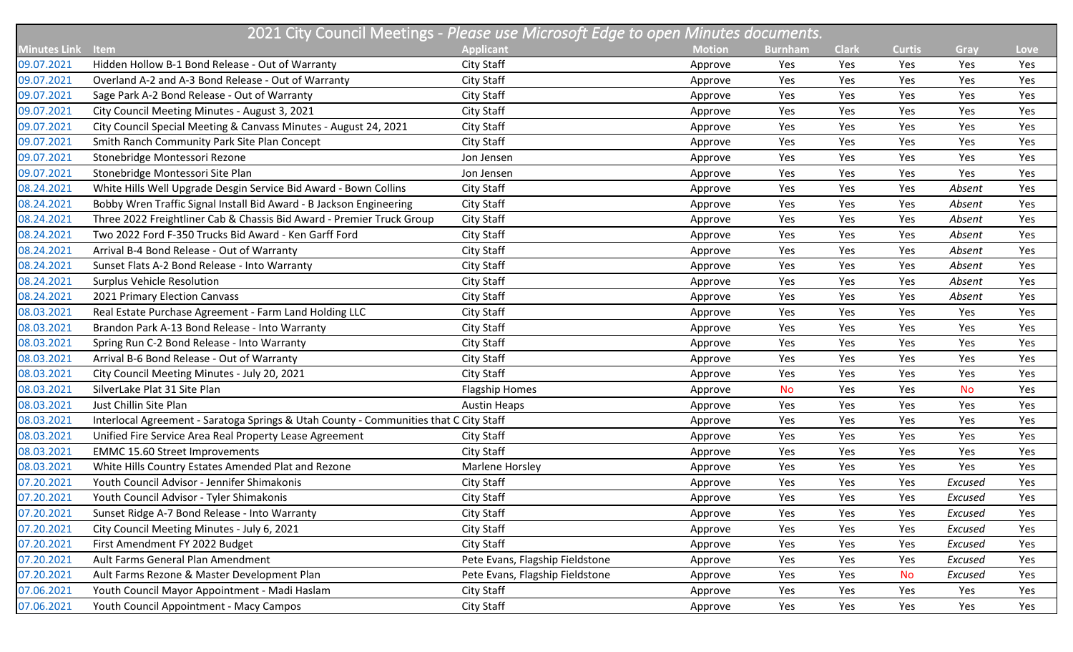| 2021 City Council Meetings - Please use Microsoft Edge to open Minutes documents. |                                                                                       |                                 |               |                |              |               |           |      |
|-----------------------------------------------------------------------------------|---------------------------------------------------------------------------------------|---------------------------------|---------------|----------------|--------------|---------------|-----------|------|
| <b>Minutes Link</b>                                                               | <b>Item</b>                                                                           | <b>Applicant</b>                | <b>Motion</b> | <b>Burnham</b> | <b>Clark</b> | <b>Curtis</b> | Gray      | Love |
| 09.07.2021                                                                        | Hidden Hollow B-1 Bond Release - Out of Warranty                                      | City Staff                      | Approve       | Yes            | Yes          | Yes           | Yes       | Yes  |
| 09.07.2021                                                                        | Overland A-2 and A-3 Bond Release - Out of Warranty                                   | City Staff                      | Approve       | Yes            | Yes          | Yes           | Yes       | Yes  |
| 09.07.2021                                                                        | Sage Park A-2 Bond Release - Out of Warranty                                          | City Staff                      | Approve       | Yes            | Yes          | Yes           | Yes       | Yes  |
| 09.07.2021                                                                        | City Council Meeting Minutes - August 3, 2021                                         | City Staff                      | Approve       | Yes            | Yes          | Yes           | Yes       | Yes  |
| 09.07.2021                                                                        | City Council Special Meeting & Canvass Minutes - August 24, 2021                      | City Staff                      | Approve       | Yes            | Yes          | Yes           | Yes       | Yes  |
| 09.07.2021                                                                        | Smith Ranch Community Park Site Plan Concept                                          | City Staff                      | Approve       | Yes            | Yes          | Yes           | Yes       | Yes  |
| 09.07.2021                                                                        | Stonebridge Montessori Rezone                                                         | Jon Jensen                      | Approve       | Yes            | Yes          | Yes           | Yes       | Yes  |
| 09.07.2021                                                                        | Stonebridge Montessori Site Plan                                                      | Jon Jensen                      | Approve       | Yes            | Yes          | Yes           | Yes       | Yes  |
| 08.24.2021                                                                        | White Hills Well Upgrade Desgin Service Bid Award - Bown Collins                      | City Staff                      | Approve       | Yes            | Yes          | Yes           | Absent    | Yes  |
| 08.24.2021                                                                        | Bobby Wren Traffic Signal Install Bid Award - B Jackson Engineering                   | City Staff                      | Approve       | Yes            | Yes          | Yes           | Absent    | Yes  |
| 08.24.2021                                                                        | Three 2022 Freightliner Cab & Chassis Bid Award - Premier Truck Group                 | City Staff                      | Approve       | Yes            | Yes          | Yes           | Absent    | Yes  |
| 08.24.2021                                                                        | Two 2022 Ford F-350 Trucks Bid Award - Ken Garff Ford                                 | City Staff                      | Approve       | Yes            | Yes          | Yes           | Absent    | Yes  |
| 08.24.2021                                                                        | Arrival B-4 Bond Release - Out of Warranty                                            | City Staff                      | Approve       | Yes            | Yes          | Yes           | Absent    | Yes  |
| 08.24.2021                                                                        | Sunset Flats A-2 Bond Release - Into Warranty                                         | City Staff                      | Approve       | Yes            | Yes          | Yes           | Absent    | Yes  |
| 08.24.2021                                                                        | <b>Surplus Vehicle Resolution</b>                                                     | City Staff                      | Approve       | Yes            | Yes          | Yes           | Absent    | Yes  |
| 08.24.2021                                                                        | 2021 Primary Election Canvass                                                         | City Staff                      | Approve       | Yes            | Yes          | Yes           | Absent    | Yes  |
| 08.03.2021                                                                        | Real Estate Purchase Agreement - Farm Land Holding LLC                                | City Staff                      | Approve       | Yes            | Yes          | Yes           | Yes       | Yes  |
| 08.03.2021                                                                        | Brandon Park A-13 Bond Release - Into Warranty                                        | City Staff                      | Approve       | Yes            | Yes          | Yes           | Yes       | Yes  |
| 08.03.2021                                                                        | Spring Run C-2 Bond Release - Into Warranty                                           | City Staff                      | Approve       | Yes            | Yes          | Yes           | Yes       | Yes  |
| 08.03.2021                                                                        | Arrival B-6 Bond Release - Out of Warranty                                            | City Staff                      | Approve       | Yes            | Yes          | Yes           | Yes       | Yes  |
| 08.03.2021                                                                        | City Council Meeting Minutes - July 20, 2021                                          | City Staff                      | Approve       | Yes            | Yes          | Yes           | Yes       | Yes  |
| 08.03.2021                                                                        | SilverLake Plat 31 Site Plan                                                          | <b>Flagship Homes</b>           | Approve       | <b>No</b>      | Yes          | Yes           | <b>No</b> | Yes  |
| 08.03.2021                                                                        | Just Chillin Site Plan                                                                | <b>Austin Heaps</b>             | Approve       | Yes            | Yes          | Yes           | Yes       | Yes  |
| 08.03.2021                                                                        | Interlocal Agreement - Saratoga Springs & Utah County - Communities that C City Staff |                                 | Approve       | Yes            | Yes          | Yes           | Yes       | Yes  |
| 08.03.2021                                                                        | Unified Fire Service Area Real Property Lease Agreement                               | City Staff                      | Approve       | Yes            | Yes          | Yes           | Yes       | Yes  |
| 08.03.2021                                                                        | <b>EMMC 15.60 Street Improvements</b>                                                 | City Staff                      | Approve       | Yes            | Yes          | Yes           | Yes       | Yes  |
| 08.03.2021                                                                        | White Hills Country Estates Amended Plat and Rezone                                   | Marlene Horsley                 | Approve       | Yes            | Yes          | Yes           | Yes       | Yes  |
| 07.20.2021                                                                        | Youth Council Advisor - Jennifer Shimakonis                                           | City Staff                      | Approve       | Yes            | Yes          | Yes           | Excused   | Yes  |
| 07.20.2021                                                                        | Youth Council Advisor - Tyler Shimakonis                                              | City Staff                      | Approve       | Yes            | Yes          | Yes           | Excused   | Yes  |
| 07.20.2021                                                                        | Sunset Ridge A-7 Bond Release - Into Warranty                                         | City Staff                      | Approve       | Yes            | Yes          | Yes           | Excused   | Yes  |
| 07.20.2021                                                                        | City Council Meeting Minutes - July 6, 2021                                           | City Staff                      | Approve       | Yes            | Yes          | Yes           | Excused   | Yes  |
| 07.20.2021                                                                        | First Amendment FY 2022 Budget                                                        | City Staff                      | Approve       | Yes            | Yes          | Yes           | Excused   | Yes  |
| 07.20.2021                                                                        | Ault Farms General Plan Amendment                                                     | Pete Evans, Flagship Fieldstone | Approve       | Yes            | Yes          | Yes           | Excused   | Yes  |
| 07.20.2021                                                                        | Ault Farms Rezone & Master Development Plan                                           | Pete Evans, Flagship Fieldstone | Approve       | Yes            | Yes          | <b>No</b>     | Excused   | Yes  |
| 07.06.2021                                                                        | Youth Council Mayor Appointment - Madi Haslam                                         | City Staff                      | Approve       | Yes            | Yes          | Yes           | Yes       | Yes  |
| 07.06.2021                                                                        | Youth Council Appointment - Macy Campos                                               | City Staff                      | Approve       | Yes            | Yes          | Yes           | Yes       | Yes  |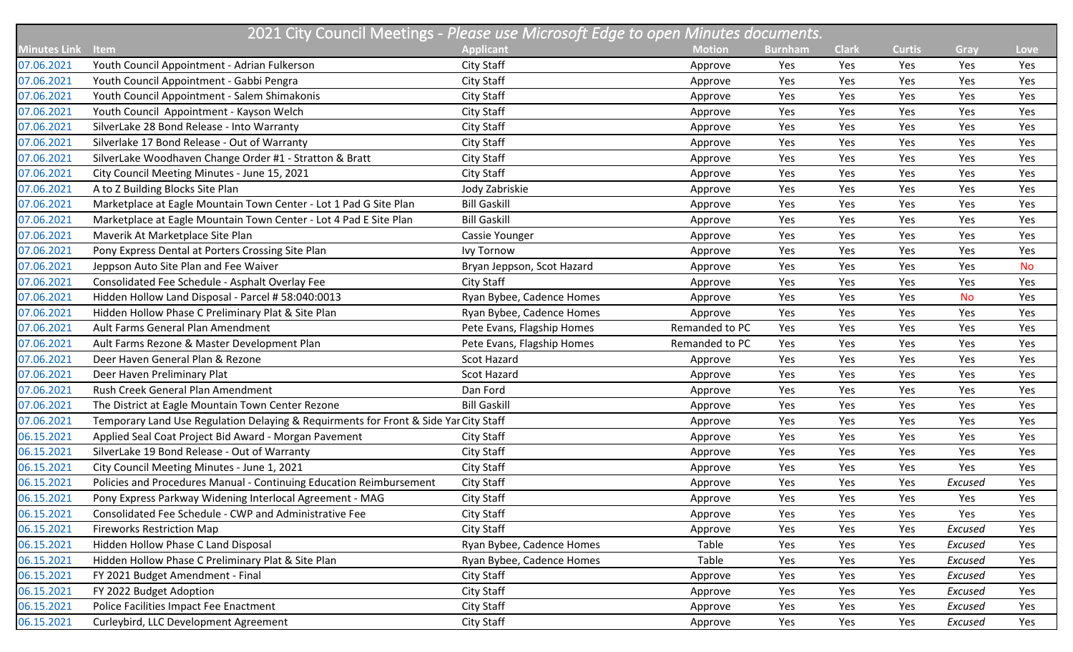| 2021 City Council Meetings - Please use Microsoft Edge to open Minutes documents. |                                                                                      |                            |                |                |              |               |           |           |  |
|-----------------------------------------------------------------------------------|--------------------------------------------------------------------------------------|----------------------------|----------------|----------------|--------------|---------------|-----------|-----------|--|
| <b>Minutes Link</b>                                                               | Item                                                                                 | <b>Applicant</b>           | <b>Motion</b>  | <b>Burnham</b> | <b>Clark</b> | <b>Curtis</b> | Gray      | Love      |  |
| 07.06.2021                                                                        | Youth Council Appointment - Adrian Fulkerson                                         | City Staff                 | Approve        | Yes            | Yes          | Yes           | Yes       | Yes       |  |
| 07.06.2021                                                                        | Youth Council Appointment - Gabbi Pengra                                             | City Staff                 | Approve        | Yes            | Yes          | Yes           | Yes       | Yes       |  |
| 07.06.2021                                                                        | Youth Council Appointment - Salem Shimakonis                                         | City Staff                 | Approve        | Yes            | Yes          | Yes           | Yes       | Yes       |  |
| 07.06.2021                                                                        | Youth Council Appointment - Kayson Welch                                             | City Staff                 | Approve        | Yes            | Yes          | Yes           | Yes       | Yes       |  |
| 07.06.2021                                                                        | SilverLake 28 Bond Release - Into Warranty                                           | City Staff                 | Approve        | Yes            | Yes          | Yes           | Yes       | Yes       |  |
| 07.06.2021                                                                        | Silverlake 17 Bond Release - Out of Warranty                                         | City Staff                 | Approve        | Yes            | Yes          | Yes           | Yes       | Yes       |  |
| 07.06.2021                                                                        | SilverLake Woodhaven Change Order #1 - Stratton & Bratt                              | City Staff                 | Approve        | Yes            | Yes          | Yes           | Yes       | Yes       |  |
| 07.06.2021                                                                        | City Council Meeting Minutes - June 15, 2021                                         | City Staff                 | Approve        | Yes            | Yes          | Yes           | Yes       | Yes       |  |
| 07.06.2021                                                                        | A to Z Building Blocks Site Plan                                                     | Jody Zabriskie             | Approve        | Yes            | Yes          | Yes           | Yes       | Yes       |  |
| 07.06.2021                                                                        | Marketplace at Eagle Mountain Town Center - Lot 1 Pad G Site Plan                    | <b>Bill Gaskill</b>        | Approve        | Yes            | Yes          | Yes           | Yes       | Yes       |  |
| 07.06.2021                                                                        | Marketplace at Eagle Mountain Town Center - Lot 4 Pad E Site Plan                    | <b>Bill Gaskill</b>        | Approve        | Yes            | Yes          | Yes           | Yes       | Yes       |  |
| 07.06.2021                                                                        | Maverik At Marketplace Site Plan                                                     | Cassie Younger             | Approve        | Yes            | Yes          | Yes           | Yes       | Yes       |  |
| 07.06.2021                                                                        | Pony Express Dental at Porters Crossing Site Plan                                    | <b>Ivy Tornow</b>          | Approve        | Yes            | Yes          | Yes           | Yes       | Yes       |  |
| 07.06.2021                                                                        | Jeppson Auto Site Plan and Fee Waiver                                                | Bryan Jeppson, Scot Hazard | Approve        | Yes            | Yes          | Yes           | Yes       | <b>No</b> |  |
| 07.06.2021                                                                        | Consolidated Fee Schedule - Asphalt Overlay Fee                                      | City Staff                 | Approve        | Yes            | Yes          | Yes           | Yes       | Yes       |  |
| 07.06.2021                                                                        | Hidden Hollow Land Disposal - Parcel # 58:040:0013                                   | Ryan Bybee, Cadence Homes  | Approve        | Yes            | Yes          | Yes           | <b>No</b> | Yes       |  |
| 07.06.2021                                                                        | Hidden Hollow Phase C Preliminary Plat & Site Plan                                   | Ryan Bybee, Cadence Homes  | Approve        | Yes            | Yes          | Yes           | Yes       | Yes       |  |
| 07.06.2021                                                                        | Ault Farms General Plan Amendment                                                    | Pete Evans, Flagship Homes | Remanded to PC | Yes            | Yes          | Yes           | Yes       | Yes       |  |
| 07.06.2021                                                                        | Ault Farms Rezone & Master Development Plan                                          | Pete Evans, Flagship Homes | Remanded to PC | Yes            | Yes          | Yes           | Yes       | Yes       |  |
| 07.06.2021                                                                        | Deer Haven General Plan & Rezone                                                     | <b>Scot Hazard</b>         | Approve        | Yes            | Yes          | Yes           | Yes       | Yes       |  |
| 07.06.2021                                                                        | Deer Haven Preliminary Plat                                                          | <b>Scot Hazard</b>         | Approve        | Yes            | Yes          | Yes           | Yes       | Yes       |  |
| 07.06.2021                                                                        | Rush Creek General Plan Amendment                                                    | Dan Ford                   | Approve        | Yes            | Yes          | Yes           | Yes       | Yes       |  |
| 07.06.2021                                                                        | The District at Eagle Mountain Town Center Rezone                                    | <b>Bill Gaskill</b>        | Approve        | Yes            | Yes          | Yes           | Yes       | Yes       |  |
| 07.06.2021                                                                        | Temporary Land Use Regulation Delaying & Requirments for Front & Side Yar City Staff |                            | Approve        | Yes            | Yes          | Yes           | Yes       | Yes       |  |
| 06.15.2021                                                                        | Applied Seal Coat Project Bid Award - Morgan Pavement                                | City Staff                 | Approve        | Yes            | Yes          | Yes           | Yes       | Yes       |  |
| 06.15.2021                                                                        | SilverLake 19 Bond Release - Out of Warranty                                         | City Staff                 | Approve        | Yes            | Yes          | Yes           | Yes       | Yes       |  |
| 06.15.2021                                                                        | City Council Meeting Minutes - June 1, 2021                                          | City Staff                 | Approve        | Yes            | Yes          | Yes           | Yes       | Yes       |  |
| 06.15.2021                                                                        | Policies and Procedures Manual - Continuing Education Reimbursement                  | City Staff                 | Approve        | Yes            | Yes          | Yes           | Excused   | Yes       |  |
| 06.15.2021                                                                        | Pony Express Parkway Widening Interlocal Agreement - MAG                             | City Staff                 | Approve        | Yes            | Yes          | Yes           | Yes       | Yes       |  |
| 06.15.2021                                                                        | Consolidated Fee Schedule - CWP and Administrative Fee                               | City Staff                 | Approve        | Yes            | Yes          | Yes           | Yes       | Yes       |  |
| 06.15.2021                                                                        | <b>Fireworks Restriction Map</b>                                                     | City Staff                 | Approve        | Yes            | Yes          | Yes           | Excused   | Yes       |  |
| 06.15.2021                                                                        | Hidden Hollow Phase C Land Disposal                                                  | Ryan Bybee, Cadence Homes  | Table          | Yes            | Yes          | Yes           | Excused   | Yes       |  |
| 06.15.2021                                                                        | Hidden Hollow Phase C Preliminary Plat & Site Plan                                   | Ryan Bybee, Cadence Homes  | Table          | Yes            | Yes          | Yes           | Excused   | Yes       |  |
| 06.15.2021                                                                        | FY 2021 Budget Amendment - Final                                                     | City Staff                 | Approve        | Yes            | Yes          | Yes           | Excused   | Yes       |  |
| 06.15.2021                                                                        | FY 2022 Budget Adoption                                                              | City Staff                 | Approve        | Yes            | Yes          | Yes           | Excused   | Yes       |  |
| 06.15.2021                                                                        | Police Facilities Impact Fee Enactment                                               | City Staff                 | Approve        | Yes            | Yes          | Yes           | Excused   | Yes       |  |
| 06.15.2021                                                                        | Curleybird, LLC Development Agreement                                                | City Staff                 | Approve        | Yes            | Yes          | Yes           | Excused   | Yes       |  |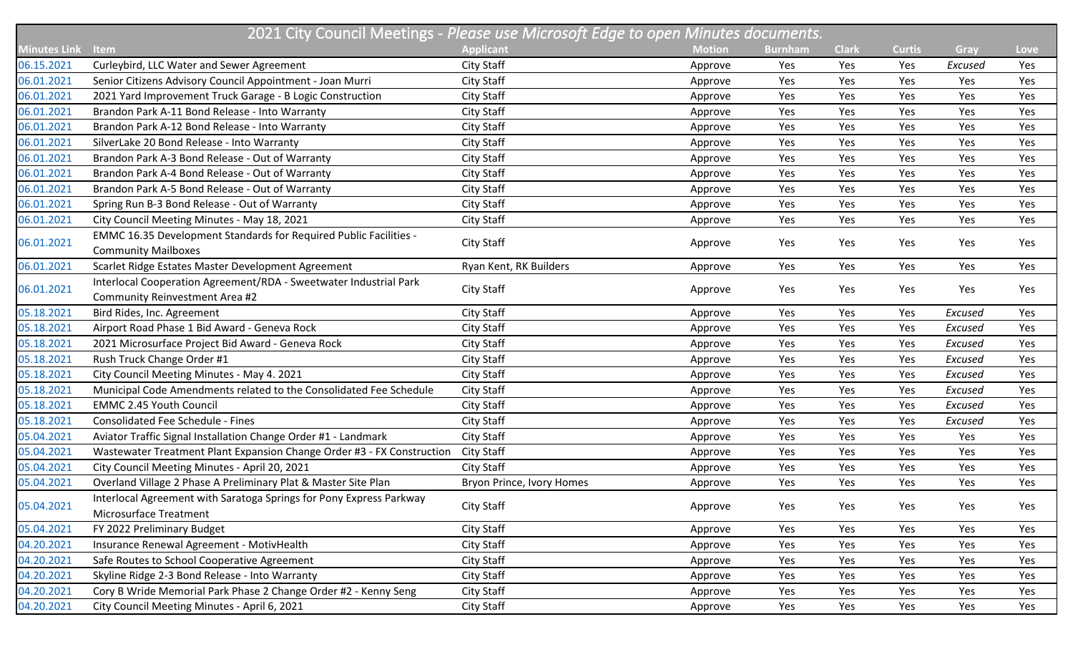| 2021 City Council Meetings - Please use Microsoft Edge to open Minutes documents. |                                                                                                     |                           |               |                |              |               |         |      |  |
|-----------------------------------------------------------------------------------|-----------------------------------------------------------------------------------------------------|---------------------------|---------------|----------------|--------------|---------------|---------|------|--|
| <b>Minutes Link</b>                                                               | <b>Item</b>                                                                                         | <b>Applicant</b>          | <b>Motion</b> | <b>Burnham</b> | <b>Clark</b> | <b>Curtis</b> | Gray    | Love |  |
| 06.15.2021                                                                        | Curleybird, LLC Water and Sewer Agreement                                                           | City Staff                | Approve       | Yes            | Yes          | Yes           | Excused | Yes  |  |
| 06.01.2021                                                                        | Senior Citizens Advisory Council Appointment - Joan Murri                                           | City Staff                | Approve       | Yes            | Yes          | Yes           | Yes     | Yes  |  |
| 06.01.2021                                                                        | 2021 Yard Improvement Truck Garage - B Logic Construction                                           | City Staff                | Approve       | Yes            | Yes          | Yes           | Yes     | Yes  |  |
| 06.01.2021                                                                        | Brandon Park A-11 Bond Release - Into Warranty                                                      | City Staff                | Approve       | Yes            | Yes          | Yes           | Yes     | Yes  |  |
| 06.01.2021                                                                        | Brandon Park A-12 Bond Release - Into Warranty                                                      | City Staff                | Approve       | Yes            | Yes          | Yes           | Yes     | Yes  |  |
| 06.01.2021                                                                        | SilverLake 20 Bond Release - Into Warranty                                                          | City Staff                | Approve       | Yes            | Yes          | Yes           | Yes     | Yes  |  |
| 06.01.2021                                                                        | Brandon Park A-3 Bond Release - Out of Warranty                                                     | City Staff                | Approve       | Yes            | Yes          | Yes           | Yes     | Yes  |  |
| 06.01.2021                                                                        | Brandon Park A-4 Bond Release - Out of Warranty                                                     | City Staff                | Approve       | Yes            | Yes          | Yes           | Yes     | Yes  |  |
| 06.01.2021                                                                        | Brandon Park A-5 Bond Release - Out of Warranty                                                     | City Staff                | Approve       | Yes            | Yes          | Yes           | Yes     | Yes  |  |
| 06.01.2021                                                                        | Spring Run B-3 Bond Release - Out of Warranty                                                       | City Staff                | Approve       | Yes            | Yes          | Yes           | Yes     | Yes  |  |
| 06.01.2021                                                                        | City Council Meeting Minutes - May 18, 2021                                                         | City Staff                | Approve       | Yes            | Yes          | Yes           | Yes     | Yes  |  |
| 06.01.2021                                                                        | EMMC 16.35 Development Standards for Required Public Facilities -<br><b>Community Mailboxes</b>     | City Staff                | Approve       | Yes            | Yes          | Yes           | Yes     | Yes  |  |
| 06.01.2021                                                                        | Scarlet Ridge Estates Master Development Agreement                                                  | Ryan Kent, RK Builders    | Approve       | Yes            | Yes          | Yes           | Yes     | Yes  |  |
| 06.01.2021                                                                        | Interlocal Cooperation Agreement/RDA - Sweetwater Industrial Park<br>Community Reinvestment Area #2 | City Staff                | Approve       | Yes            | Yes          | Yes           | Yes     | Yes  |  |
| 05.18.2021                                                                        | Bird Rides, Inc. Agreement                                                                          | City Staff                | Approve       | Yes            | Yes          | Yes           | Excused | Yes  |  |
| 05.18.2021                                                                        | Airport Road Phase 1 Bid Award - Geneva Rock                                                        | City Staff                | Approve       | Yes            | Yes          | Yes           | Excused | Yes  |  |
| 05.18.2021                                                                        | 2021 Microsurface Project Bid Award - Geneva Rock                                                   | City Staff                | Approve       | Yes            | Yes          | Yes           | Excused | Yes  |  |
| 05.18.2021                                                                        | Rush Truck Change Order #1                                                                          | City Staff                | Approve       | Yes            | Yes          | Yes           | Excused | Yes  |  |
| 05.18.2021                                                                        | City Council Meeting Minutes - May 4. 2021                                                          | City Staff                | Approve       | Yes            | Yes          | Yes           | Excused | Yes  |  |
| 05.18.2021                                                                        | Municipal Code Amendments related to the Consolidated Fee Schedule                                  | City Staff                | Approve       | Yes            | Yes          | Yes           | Excused | Yes  |  |
| 05.18.2021                                                                        | <b>EMMC 2.45 Youth Council</b>                                                                      | City Staff                | Approve       | Yes            | Yes          | Yes           | Excused | Yes  |  |
| 05.18.2021                                                                        | <b>Consolidated Fee Schedule - Fines</b>                                                            | City Staff                | Approve       | Yes            | Yes          | Yes           | Excused | Yes  |  |
| 05.04.2021                                                                        | Aviator Traffic Signal Installation Change Order #1 - Landmark                                      | City Staff                | Approve       | Yes            | Yes          | Yes           | Yes     | Yes  |  |
| 05.04.2021                                                                        | Wastewater Treatment Plant Expansion Change Order #3 - FX Construction                              | City Staff                | Approve       | Yes            | Yes          | Yes           | Yes     | Yes  |  |
| 05.04.2021                                                                        | City Council Meeting Minutes - April 20, 2021                                                       | City Staff                | Approve       | Yes            | Yes          | Yes           | Yes     | Yes  |  |
| 05.04.2021                                                                        | Overland Village 2 Phase A Preliminary Plat & Master Site Plan                                      | Bryon Prince, Ivory Homes | Approve       | Yes            | Yes          | Yes           | Yes     | Yes  |  |
| 05.04.2021                                                                        | Interlocal Agreement with Saratoga Springs for Pony Express Parkway<br>Microsurface Treatment       | City Staff                | Approve       | Yes            | Yes          | Yes           | Yes     | Yes  |  |
| 05.04.2021                                                                        | FY 2022 Preliminary Budget                                                                          | City Staff                | Approve       | Yes            | Yes          | Yes           | Yes     | Yes  |  |
| 04.20.2021                                                                        | Insurance Renewal Agreement - MotivHealth                                                           | City Staff                | Approve       | Yes            | Yes          | Yes           | Yes     | Yes  |  |
| 04.20.2021                                                                        | Safe Routes to School Cooperative Agreement                                                         | City Staff                | Approve       | Yes            | Yes          | Yes           | Yes     | Yes  |  |
| 04.20.2021                                                                        | Skyline Ridge 2-3 Bond Release - Into Warranty                                                      | City Staff                | Approve       | Yes            | Yes          | Yes           | Yes     | Yes  |  |
| 04.20.2021                                                                        | Cory B Wride Memorial Park Phase 2 Change Order #2 - Kenny Seng                                     | City Staff                | Approve       | Yes            | Yes          | Yes           | Yes     | Yes  |  |
| 04.20.2021                                                                        | City Council Meeting Minutes - April 6, 2021                                                        | City Staff                | Approve       | Yes            | Yes          | Yes           | Yes     | Yes  |  |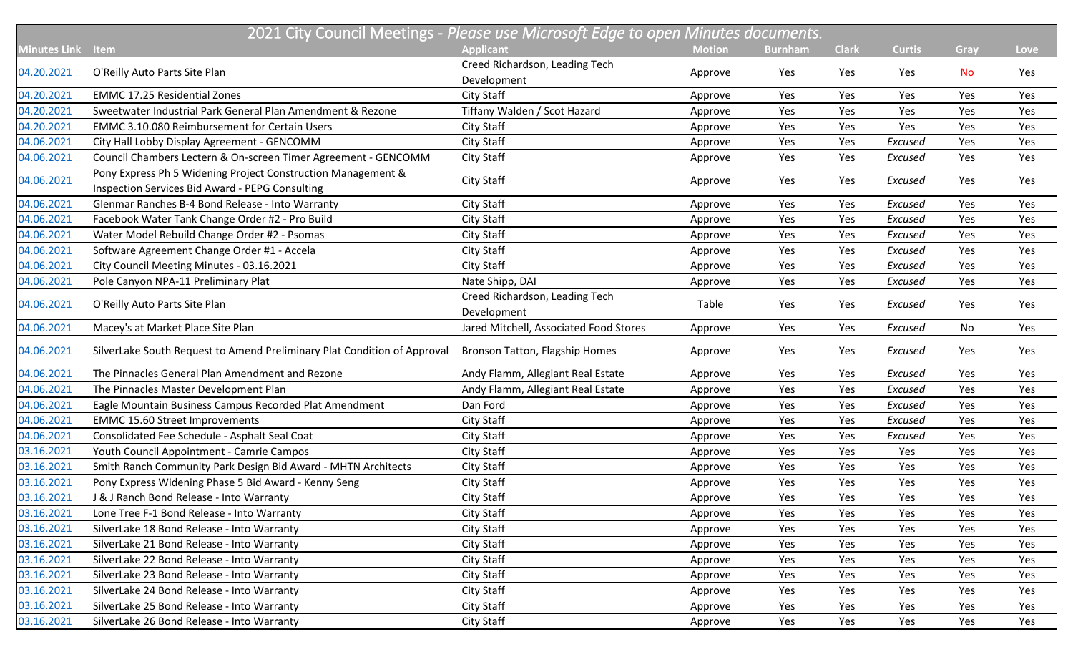| 2021 City Council Meetings - Please use Microsoft Edge to open Minutes documents. |                                                                          |                                        |               |                |              |               |           |             |  |
|-----------------------------------------------------------------------------------|--------------------------------------------------------------------------|----------------------------------------|---------------|----------------|--------------|---------------|-----------|-------------|--|
| <b>Minutes Link</b>                                                               | Item                                                                     | <b>Applicant</b>                       | <b>Motion</b> | <b>Burnham</b> | <b>Clark</b> | <b>Curtis</b> | Gray      | <b>Love</b> |  |
|                                                                                   |                                                                          | Creed Richardson, Leading Tech         |               |                |              |               | <b>No</b> |             |  |
| 04.20.2021                                                                        | O'Reilly Auto Parts Site Plan                                            | Development                            | Approve       | Yes            | Yes          | Yes           |           | Yes         |  |
| 04.20.2021                                                                        | <b>EMMC 17.25 Residential Zones</b>                                      | <b>City Staff</b>                      | Approve       | Yes            | Yes          | Yes           | Yes       | Yes         |  |
| 04.20.2021                                                                        | Sweetwater Industrial Park General Plan Amendment & Rezone               | Tiffany Walden / Scot Hazard           | Approve       | Yes            | Yes          | Yes           | Yes       | Yes         |  |
| 04.20.2021                                                                        | <b>EMMC 3.10.080 Reimbursement for Certain Users</b>                     | City Staff                             | Approve       | Yes            | Yes          | Yes           | Yes       | Yes         |  |
| 04.06.2021                                                                        | City Hall Lobby Display Agreement - GENCOMM                              | City Staff                             | Approve       | Yes            | Yes          | Excused       | Yes       | Yes         |  |
| 04.06.2021                                                                        | Council Chambers Lectern & On-screen Timer Agreement - GENCOMM           | <b>City Staff</b>                      | Approve       | Yes            | Yes          | Excused       | Yes       | Yes         |  |
| 04.06.2021                                                                        | Pony Express Ph 5 Widening Project Construction Management &             | <b>City Staff</b>                      |               | Yes            | Yes          | Excused       | Yes       | Yes         |  |
|                                                                                   | Inspection Services Bid Award - PEPG Consulting                          |                                        | Approve       |                |              |               |           |             |  |
| 04.06.2021                                                                        | Glenmar Ranches B-4 Bond Release - Into Warranty                         | City Staff                             | Approve       | Yes            | Yes          | Excused       | Yes       | Yes         |  |
| 04.06.2021                                                                        | Facebook Water Tank Change Order #2 - Pro Build                          | <b>City Staff</b>                      | Approve       | Yes            | Yes          | Excused       | Yes       | Yes         |  |
| 04.06.2021                                                                        | Water Model Rebuild Change Order #2 - Psomas                             | <b>City Staff</b>                      | Approve       | Yes            | Yes          | Excused       | Yes       | Yes         |  |
| 04.06.2021                                                                        | Software Agreement Change Order #1 - Accela                              | <b>City Staff</b>                      | Approve       | Yes            | Yes          | Excused       | Yes       | Yes         |  |
| 04.06.2021                                                                        | City Council Meeting Minutes - 03.16.2021                                | City Staff                             | Approve       | Yes            | Yes          | Excused       | Yes       | Yes         |  |
| 04.06.2021                                                                        | Pole Canyon NPA-11 Preliminary Plat                                      | Nate Shipp, DAI                        | Approve       | Yes            | Yes          | Excused       | Yes       | Yes         |  |
| 04.06.2021                                                                        | O'Reilly Auto Parts Site Plan                                            | Creed Richardson, Leading Tech         | Table         | Yes            | Yes          | Excused       | Yes       | Yes         |  |
|                                                                                   |                                                                          | Development                            |               |                |              |               |           |             |  |
| 04.06.2021                                                                        | Macey's at Market Place Site Plan                                        | Jared Mitchell, Associated Food Stores | Approve       | Yes            | Yes          | Excused       | No        | Yes         |  |
| 04.06.2021                                                                        | SilverLake South Request to Amend Preliminary Plat Condition of Approval | Bronson Tatton, Flagship Homes         | Approve       | Yes            | Yes          | Excused       | Yes       | Yes         |  |
| 04.06.2021                                                                        | The Pinnacles General Plan Amendment and Rezone                          | Andy Flamm, Allegiant Real Estate      | Approve       | Yes            | Yes          | Excused       | Yes       | Yes         |  |
| 04.06.2021                                                                        | The Pinnacles Master Development Plan                                    | Andy Flamm, Allegiant Real Estate      | Approve       | Yes            | Yes          | Excused       | Yes       | Yes         |  |
| 04.06.2021                                                                        | Eagle Mountain Business Campus Recorded Plat Amendment                   | Dan Ford                               | Approve       | Yes            | Yes          | Excused       | Yes       | Yes         |  |
| 04.06.2021                                                                        | <b>EMMC 15.60 Street Improvements</b>                                    | City Staff                             | Approve       | Yes            | Yes          | Excused       | Yes       | Yes         |  |
| 04.06.2021                                                                        | Consolidated Fee Schedule - Asphalt Seal Coat                            | City Staff                             | Approve       | Yes            | Yes          | Excused       | Yes       | Yes         |  |
| 03.16.2021                                                                        | Youth Council Appointment - Camrie Campos                                | <b>City Staff</b>                      | Approve       | Yes            | Yes          | Yes           | Yes       | Yes         |  |
| 03.16.2021                                                                        | Smith Ranch Community Park Design Bid Award - MHTN Architects            | <b>City Staff</b>                      | Approve       | Yes            | Yes          | Yes           | Yes       | Yes         |  |
| 03.16.2021                                                                        | Pony Express Widening Phase 5 Bid Award - Kenny Seng                     | <b>City Staff</b>                      | Approve       | Yes            | Yes          | Yes           | Yes       | Yes         |  |
| 03.16.2021                                                                        | J & J Ranch Bond Release - Into Warranty                                 | City Staff                             | Approve       | Yes            | Yes          | Yes           | Yes       | Yes         |  |
| 03.16.2021                                                                        | Lone Tree F-1 Bond Release - Into Warranty                               | City Staff                             | Approve       | Yes            | Yes          | Yes           | Yes       | Yes         |  |
| 03.16.2021                                                                        | SilverLake 18 Bond Release - Into Warranty                               | City Staff                             | Approve       | Yes            | Yes          | Yes           | Yes       | Yes         |  |
| 03.16.2021                                                                        | SilverLake 21 Bond Release - Into Warranty                               | City Staff                             | Approve       | Yes            | Yes          | Yes           | Yes       | Yes         |  |
| 03.16.2021                                                                        | SilverLake 22 Bond Release - Into Warranty                               | <b>City Staff</b>                      | Approve       | Yes            | Yes          | Yes           | Yes       | Yes         |  |
| 03.16.2021                                                                        | SilverLake 23 Bond Release - Into Warranty                               | City Staff                             | Approve       | Yes            | Yes          | Yes           | Yes       | Yes         |  |
| 03.16.2021                                                                        | SilverLake 24 Bond Release - Into Warranty                               | City Staff                             | Approve       | Yes            | Yes          | Yes           | Yes       | Yes         |  |
| 03.16.2021                                                                        | SilverLake 25 Bond Release - Into Warranty                               | City Staff                             | Approve       | Yes            | Yes          | Yes           | Yes       | Yes         |  |
| 03.16.2021                                                                        | SilverLake 26 Bond Release - Into Warranty                               | City Staff                             | Approve       | Yes            | Yes          | Yes           | Yes       | Yes         |  |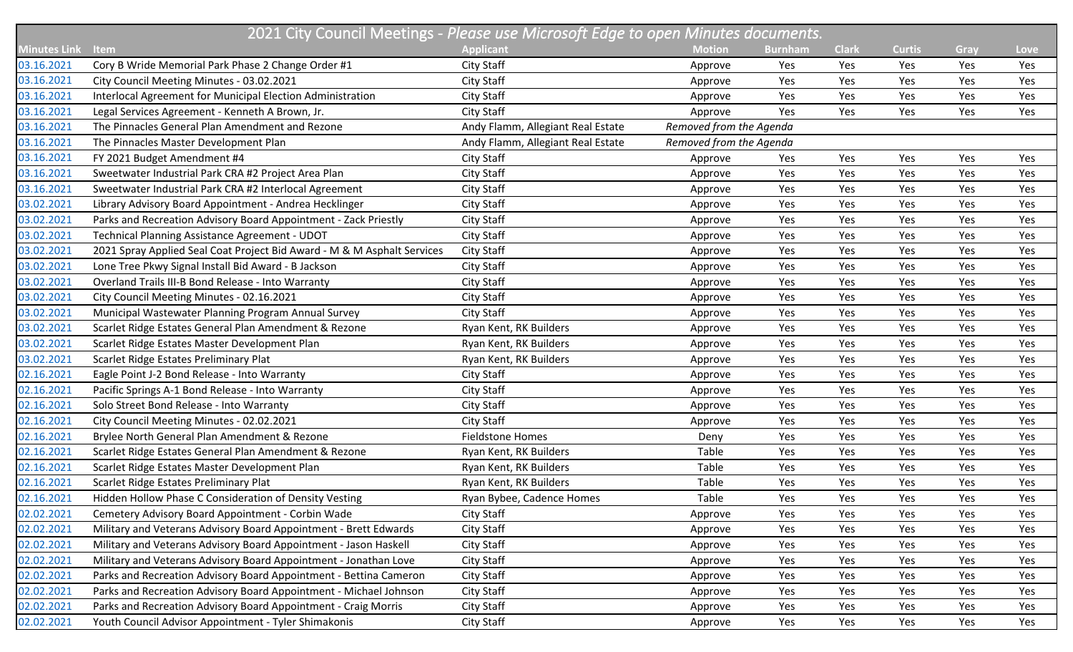| 2021 City Council Meetings - Please use Microsoft Edge to open Minutes documents. |                                                                         |                                   |                         |                |              |               |      |      |  |
|-----------------------------------------------------------------------------------|-------------------------------------------------------------------------|-----------------------------------|-------------------------|----------------|--------------|---------------|------|------|--|
| <b>Minutes Link</b>                                                               | <b>Item</b>                                                             | <b>Applicant</b>                  | <b>Motion</b>           | <b>Burnham</b> | <b>Clark</b> | <b>Curtis</b> | Gray | Love |  |
| 03.16.2021                                                                        | Cory B Wride Memorial Park Phase 2 Change Order #1                      | City Staff                        | Approve                 | Yes            | Yes          | Yes           | Yes  | Yes  |  |
| 03.16.2021                                                                        | City Council Meeting Minutes - 03.02.2021                               | City Staff                        | Approve                 | Yes            | Yes          | Yes           | Yes  | Yes  |  |
| 03.16.2021                                                                        | Interlocal Agreement for Municipal Election Administration              | City Staff                        | Approve                 | Yes            | Yes          | Yes           | Yes  | Yes  |  |
| 03.16.2021                                                                        | Legal Services Agreement - Kenneth A Brown, Jr.                         | City Staff                        | Approve                 | Yes            | Yes          | Yes           | Yes  | Yes  |  |
| 03.16.2021                                                                        | The Pinnacles General Plan Amendment and Rezone                         | Andy Flamm, Allegiant Real Estate | Removed from the Agenda |                |              |               |      |      |  |
| 03.16.2021                                                                        | The Pinnacles Master Development Plan                                   | Andy Flamm, Allegiant Real Estate | Removed from the Agenda |                |              |               |      |      |  |
| 03.16.2021                                                                        | FY 2021 Budget Amendment #4                                             | City Staff                        | Approve                 | Yes            | Yes          | Yes           | Yes  | Yes  |  |
| 03.16.2021                                                                        | Sweetwater Industrial Park CRA #2 Project Area Plan                     | City Staff                        | Approve                 | Yes            | Yes          | Yes           | Yes  | Yes  |  |
| 03.16.2021                                                                        | Sweetwater Industrial Park CRA #2 Interlocal Agreement                  | City Staff                        | Approve                 | Yes            | Yes          | Yes           | Yes  | Yes  |  |
| 03.02.2021                                                                        | Library Advisory Board Appointment - Andrea Hecklinger                  | City Staff                        | Approve                 | Yes            | Yes          | Yes           | Yes  | Yes  |  |
| 03.02.2021                                                                        | Parks and Recreation Advisory Board Appointment - Zack Priestly         | City Staff                        | Approve                 | Yes            | Yes          | Yes           | Yes  | Yes  |  |
| 03.02.2021                                                                        | Technical Planning Assistance Agreement - UDOT                          | City Staff                        | Approve                 | Yes            | Yes          | Yes           | Yes  | Yes  |  |
| 03.02.2021                                                                        | 2021 Spray Applied Seal Coat Project Bid Award - M & M Asphalt Services | City Staff                        | Approve                 | Yes            | Yes          | Yes           | Yes  | Yes  |  |
| 03.02.2021                                                                        | Lone Tree Pkwy Signal Install Bid Award - B Jackson                     | City Staff                        | Approve                 | Yes            | Yes          | Yes           | Yes  | Yes  |  |
| 03.02.2021                                                                        | Overland Trails III-B Bond Release - Into Warranty                      | City Staff                        | Approve                 | Yes            | Yes          | Yes           | Yes  | Yes  |  |
| 03.02.2021                                                                        | City Council Meeting Minutes - 02.16.2021                               | City Staff                        | Approve                 | Yes            | Yes          | Yes           | Yes  | Yes  |  |
| 03.02.2021                                                                        | Municipal Wastewater Planning Program Annual Survey                     | City Staff                        | Approve                 | Yes            | Yes          | Yes           | Yes  | Yes  |  |
| 03.02.2021                                                                        | Scarlet Ridge Estates General Plan Amendment & Rezone                   | Ryan Kent, RK Builders            | Approve                 | Yes            | Yes          | Yes           | Yes  | Yes  |  |
| 03.02.2021                                                                        | Scarlet Ridge Estates Master Development Plan                           | Ryan Kent, RK Builders            | Approve                 | Yes            | Yes          | Yes           | Yes  | Yes  |  |
| 03.02.2021                                                                        | Scarlet Ridge Estates Preliminary Plat                                  | Ryan Kent, RK Builders            | Approve                 | Yes            | Yes          | Yes           | Yes  | Yes  |  |
| 02.16.2021                                                                        | Eagle Point J-2 Bond Release - Into Warranty                            | City Staff                        | Approve                 | Yes            | Yes          | Yes           | Yes  | Yes  |  |
| 02.16.2021                                                                        | Pacific Springs A-1 Bond Release - Into Warranty                        | City Staff                        | Approve                 | Yes            | Yes          | Yes           | Yes  | Yes  |  |
| 02.16.2021                                                                        | Solo Street Bond Release - Into Warranty                                | City Staff                        | Approve                 | Yes            | Yes          | Yes           | Yes  | Yes  |  |
| 02.16.2021                                                                        | City Council Meeting Minutes - 02.02.2021                               | City Staff                        | Approve                 | Yes            | Yes          | Yes           | Yes  | Yes  |  |
| 02.16.2021                                                                        | Brylee North General Plan Amendment & Rezone                            | <b>Fieldstone Homes</b>           | Deny                    | Yes            | Yes          | Yes           | Yes  | Yes  |  |
| 02.16.2021                                                                        | Scarlet Ridge Estates General Plan Amendment & Rezone                   | Ryan Kent, RK Builders            | Table                   | Yes            | Yes          | Yes           | Yes  | Yes  |  |
| 02.16.2021                                                                        | Scarlet Ridge Estates Master Development Plan                           | Ryan Kent, RK Builders            | Table                   | Yes            | Yes          | Yes           | Yes  | Yes  |  |
| 02.16.2021                                                                        | Scarlet Ridge Estates Preliminary Plat                                  | Ryan Kent, RK Builders            | Table                   | Yes            | Yes          | Yes           | Yes  | Yes  |  |
| 02.16.2021                                                                        | Hidden Hollow Phase C Consideration of Density Vesting                  | Ryan Bybee, Cadence Homes         | Table                   | Yes            | Yes          | Yes           | Yes  | Yes  |  |
| 02.02.2021                                                                        | Cemetery Advisory Board Appointment - Corbin Wade                       | City Staff                        | Approve                 | Yes            | Yes          | Yes           | Yes  | Yes  |  |
| 02.02.2021                                                                        | Military and Veterans Advisory Board Appointment - Brett Edwards        | City Staff                        | Approve                 | Yes            | Yes          | Yes           | Yes  | Yes  |  |
| 02.02.2021                                                                        | Military and Veterans Advisory Board Appointment - Jason Haskell        | City Staff                        | Approve                 | Yes            | Yes          | Yes           | Yes  | Yes  |  |
| 02.02.2021                                                                        | Military and Veterans Advisory Board Appointment - Jonathan Love        | City Staff                        | Approve                 | Yes            | Yes          | Yes           | Yes  | Yes  |  |
| 02.02.2021                                                                        | Parks and Recreation Advisory Board Appointment - Bettina Cameron       | City Staff                        | Approve                 | Yes            | Yes          | Yes           | Yes  | Yes  |  |
| 02.02.2021                                                                        | Parks and Recreation Advisory Board Appointment - Michael Johnson       | City Staff                        | Approve                 | Yes            | Yes          | Yes           | Yes  | Yes  |  |
| 02.02.2021                                                                        | Parks and Recreation Advisory Board Appointment - Craig Morris          | City Staff                        | Approve                 | Yes            | Yes          | Yes           | Yes  | Yes  |  |
| 02.02.2021                                                                        | Youth Council Advisor Appointment - Tyler Shimakonis                    | City Staff                        | Approve                 | Yes            | Yes          | Yes           | Yes  | Yes  |  |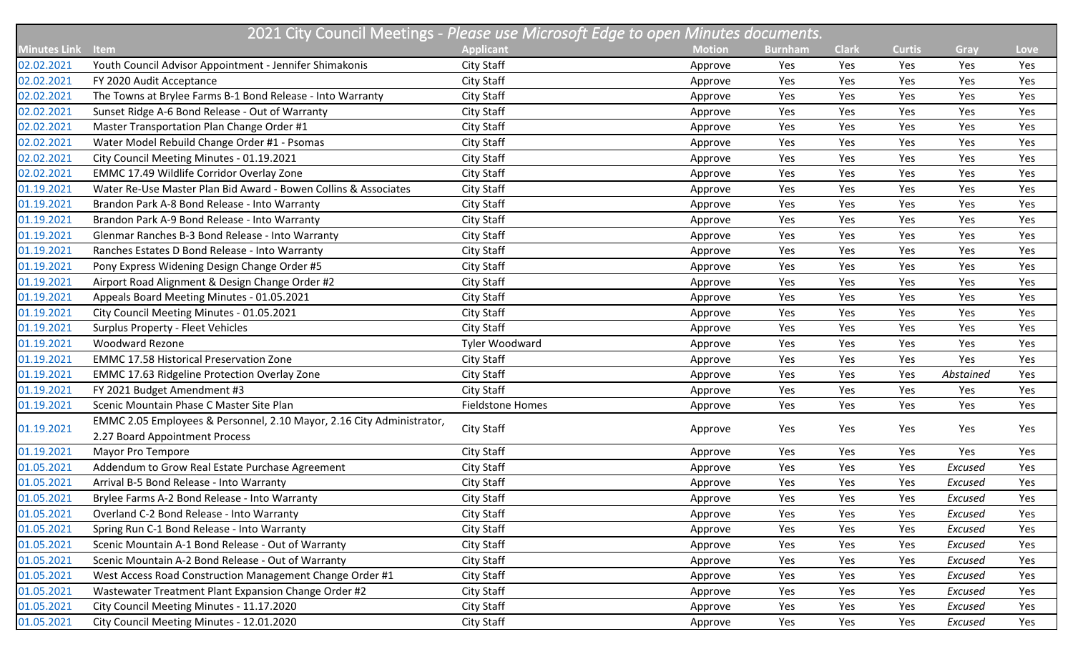|                     | 2021 City Council Meetings - Please use Microsoft Edge to open Minutes documents. |                         |               |                |              |               |           |      |  |
|---------------------|-----------------------------------------------------------------------------------|-------------------------|---------------|----------------|--------------|---------------|-----------|------|--|
| <b>Minutes Link</b> | <b>Item</b>                                                                       | <b>Applicant</b>        | <b>Motion</b> | <b>Burnham</b> | <b>Clark</b> | <b>Curtis</b> | Gray      | Love |  |
| 02.02.2021          | Youth Council Advisor Appointment - Jennifer Shimakonis                           | City Staff              | Approve       | Yes            | Yes          | Yes           | Yes       | Yes  |  |
| 02.02.2021          | FY 2020 Audit Acceptance                                                          | <b>City Staff</b>       | Approve       | Yes            | Yes          | Yes           | Yes       | Yes  |  |
| 02.02.2021          | The Towns at Brylee Farms B-1 Bond Release - Into Warranty                        | City Staff              | Approve       | Yes            | Yes          | Yes           | Yes       | Yes  |  |
| 02.02.2021          | Sunset Ridge A-6 Bond Release - Out of Warranty                                   | City Staff              | Approve       | Yes            | Yes          | Yes           | Yes       | Yes  |  |
| 02.02.2021          | Master Transportation Plan Change Order #1                                        | City Staff              | Approve       | Yes            | Yes          | Yes           | Yes       | Yes  |  |
| 02.02.2021          | Water Model Rebuild Change Order #1 - Psomas                                      | City Staff              | Approve       | Yes            | Yes          | Yes           | Yes       | Yes  |  |
| 02.02.2021          | City Council Meeting Minutes - 01.19.2021                                         | City Staff              | Approve       | Yes            | Yes          | Yes           | Yes       | Yes  |  |
| 02.02.2021          | EMMC 17.49 Wildlife Corridor Overlay Zone                                         | City Staff              | Approve       | Yes            | Yes          | Yes           | Yes       | Yes  |  |
| 01.19.2021          | Water Re-Use Master Plan Bid Award - Bowen Collins & Associates                   | City Staff              | Approve       | Yes            | Yes          | Yes           | Yes       | Yes  |  |
| 01.19.2021          | Brandon Park A-8 Bond Release - Into Warranty                                     | City Staff              | Approve       | Yes            | Yes          | Yes           | Yes       | Yes  |  |
| 01.19.2021          | Brandon Park A-9 Bond Release - Into Warranty                                     | City Staff              | Approve       | Yes            | Yes          | Yes           | Yes       | Yes  |  |
| 01.19.2021          | Glenmar Ranches B-3 Bond Release - Into Warranty                                  | City Staff              | Approve       | Yes            | Yes          | Yes           | Yes       | Yes  |  |
| 01.19.2021          | Ranches Estates D Bond Release - Into Warranty                                    | City Staff              | Approve       | Yes            | Yes          | Yes           | Yes       | Yes  |  |
| 01.19.2021          | Pony Express Widening Design Change Order #5                                      | City Staff              | Approve       | Yes            | Yes          | Yes           | Yes       | Yes  |  |
| 01.19.2021          | Airport Road Alignment & Design Change Order #2                                   | City Staff              | Approve       | Yes            | Yes          | Yes           | Yes       | Yes  |  |
| 01.19.2021          | Appeals Board Meeting Minutes - 01.05.2021                                        | City Staff              | Approve       | Yes            | Yes          | Yes           | Yes       | Yes  |  |
| 01.19.2021          | City Council Meeting Minutes - 01.05.2021                                         | City Staff              | Approve       | Yes            | Yes          | Yes           | Yes       | Yes  |  |
| 01.19.2021          | <b>Surplus Property - Fleet Vehicles</b>                                          | City Staff              | Approve       | Yes            | Yes          | Yes           | Yes       | Yes  |  |
| 01.19.2021          | <b>Woodward Rezone</b>                                                            | Tyler Woodward          | Approve       | Yes            | Yes          | Yes           | Yes       | Yes  |  |
| 01.19.2021          | <b>EMMC 17.58 Historical Preservation Zone</b>                                    | City Staff              | Approve       | Yes            | Yes          | Yes           | Yes       | Yes  |  |
| 01.19.2021          | <b>EMMC 17.63 Ridgeline Protection Overlay Zone</b>                               | City Staff              | Approve       | Yes            | Yes          | Yes           | Abstained | Yes  |  |
| 01.19.2021          | FY 2021 Budget Amendment #3                                                       | City Staff              | Approve       | Yes            | Yes          | Yes           | Yes       | Yes  |  |
| 01.19.2021          | Scenic Mountain Phase C Master Site Plan                                          | <b>Fieldstone Homes</b> | Approve       | Yes            | Yes          | Yes           | Yes       | Yes  |  |
| 01.19.2021          | EMMC 2.05 Employees & Personnel, 2.10 Mayor, 2.16 City Administrator,             |                         |               |                |              | Yes           | Yes       |      |  |
|                     | 2.27 Board Appointment Process                                                    | City Staff              | Approve       | Yes            | Yes          |               |           | Yes  |  |
| 01.19.2021          | Mayor Pro Tempore                                                                 | City Staff              | Approve       | Yes            | Yes          | Yes           | Yes       | Yes  |  |
| 01.05.2021          | Addendum to Grow Real Estate Purchase Agreement                                   | City Staff              | Approve       | Yes            | Yes          | Yes           | Excused   | Yes  |  |
| 01.05.2021          | Arrival B-5 Bond Release - Into Warranty                                          | City Staff              | Approve       | Yes            | Yes          | Yes           | Excused   | Yes  |  |
| 01.05.2021          | Brylee Farms A-2 Bond Release - Into Warranty                                     | City Staff              | Approve       | Yes            | Yes          | Yes           | Excused   | Yes  |  |
| 01.05.2021          | Overland C-2 Bond Release - Into Warranty                                         | City Staff              | Approve       | Yes            | Yes          | Yes           | Excused   | Yes  |  |
| 01.05.2021          | Spring Run C-1 Bond Release - Into Warranty                                       | City Staff              | Approve       | Yes            | Yes          | Yes           | Excused   | Yes  |  |
| 01.05.2021          | Scenic Mountain A-1 Bond Release - Out of Warranty                                | City Staff              | Approve       | Yes            | Yes          | Yes           | Excused   | Yes  |  |
| 01.05.2021          | Scenic Mountain A-2 Bond Release - Out of Warranty                                | City Staff              | Approve       | Yes            | Yes          | Yes           | Excused   | Yes  |  |
| 01.05.2021          | West Access Road Construction Management Change Order #1                          | City Staff              | Approve       | Yes            | Yes          | Yes           | Excused   | Yes  |  |
| 01.05.2021          | Wastewater Treatment Plant Expansion Change Order #2                              | City Staff              | Approve       | Yes            | Yes          | Yes           | Excused   | Yes  |  |
| 01.05.2021          | City Council Meeting Minutes - 11.17.2020                                         | City Staff              | Approve       | Yes            | Yes          | Yes           | Excused   | Yes  |  |
| 01.05.2021          | City Council Meeting Minutes - 12.01.2020                                         | City Staff              | Approve       | Yes            | Yes          | Yes           | Excused   | Yes  |  |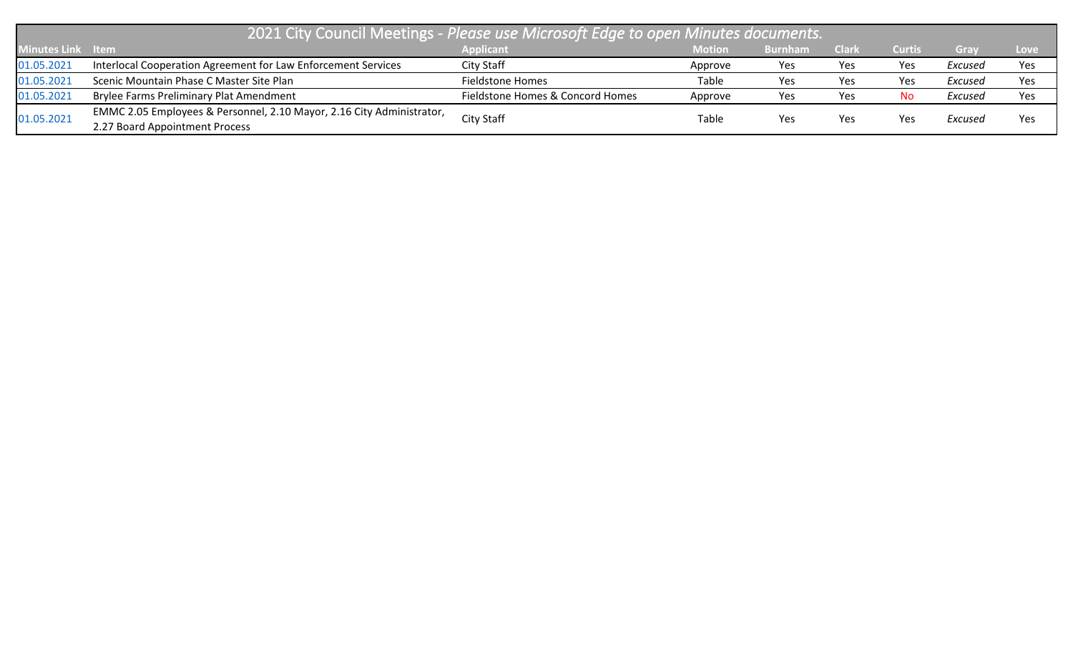| 2021 City Council Meetings - Please use Microsoft Edge to open Minutes documents. |                                                                       |                                  |               |                |              |               |         |      |  |
|-----------------------------------------------------------------------------------|-----------------------------------------------------------------------|----------------------------------|---------------|----------------|--------------|---------------|---------|------|--|
| Minutes Link Item                                                                 |                                                                       | <b>Applicant</b>                 | <b>Motion</b> | <b>Burnham</b> | <b>Clark</b> | <b>Curtis</b> | Gray    | Love |  |
| 01.05.2021                                                                        | Interlocal Cooperation Agreement for Law Enforcement Services         | City Staff                       | Approve       | Yes            | Yes          | Yes           | Excused | Yes  |  |
| 01.05.2021                                                                        | Scenic Mountain Phase C Master Site Plan                              | Fieldstone Homes                 | Table         | Yes            | Yes          | Yes           | Excused | Yes  |  |
| 01.05.2021                                                                        | <b>Brylee Farms Preliminary Plat Amendment</b>                        | Fieldstone Homes & Concord Homes | Approve       | Yes            | Yes          | No.           | Excused | Yes  |  |
|                                                                                   | EMMC 2.05 Employees & Personnel, 2.10 Mayor, 2.16 City Administrator, |                                  |               |                |              | Yes           | Excused | Yes  |  |
| 01.05.2021                                                                        | 2.27 Board Appointment Process                                        | City Staff                       | Table         | Yes            | Yes          |               |         |      |  |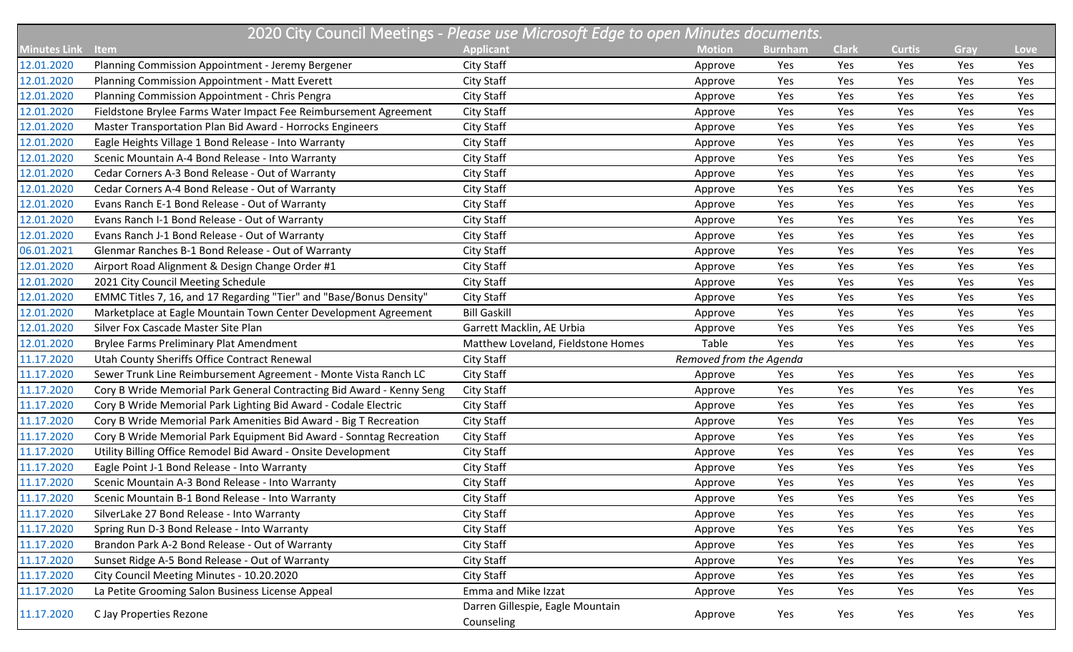|                     | 2020 City Council Meetings - Please use Microsoft Edge to open Minutes documents. |                                                |                         |                |              |               |      |      |  |
|---------------------|-----------------------------------------------------------------------------------|------------------------------------------------|-------------------------|----------------|--------------|---------------|------|------|--|
| <b>Minutes Link</b> | <b>Item</b>                                                                       | <b>Applicant</b>                               | <b>Motion</b>           | <b>Burnham</b> | <b>Clark</b> | <b>Curtis</b> | Gray | Love |  |
| 12.01.2020          | Planning Commission Appointment - Jeremy Bergener                                 | City Staff                                     | Approve                 | Yes            | Yes          | Yes           | Yes  | Yes  |  |
| 12.01.2020          | Planning Commission Appointment - Matt Everett                                    | City Staff                                     | Approve                 | Yes            | Yes          | Yes           | Yes  | Yes  |  |
| 12.01.2020          | Planning Commission Appointment - Chris Pengra                                    | <b>City Staff</b>                              | Approve                 | Yes            | Yes          | Yes           | Yes  | Yes  |  |
| 12.01.2020          | Fieldstone Brylee Farms Water Impact Fee Reimbursement Agreement                  | <b>City Staff</b>                              | Approve                 | Yes            | Yes          | Yes           | Yes  | Yes  |  |
| 12.01.2020          | Master Transportation Plan Bid Award - Horrocks Engineers                         | City Staff                                     | Approve                 | Yes            | Yes          | Yes           | Yes  | Yes  |  |
| 12.01.2020          | Eagle Heights Village 1 Bond Release - Into Warranty                              | <b>City Staff</b>                              | Approve                 | Yes            | Yes          | Yes           | Yes  | Yes  |  |
| 12.01.2020          | Scenic Mountain A-4 Bond Release - Into Warranty                                  | <b>City Staff</b>                              | Approve                 | Yes            | Yes          | Yes           | Yes  | Yes  |  |
| 12.01.2020          | Cedar Corners A-3 Bond Release - Out of Warranty                                  | City Staff                                     | Approve                 | Yes            | Yes          | Yes           | Yes  | Yes  |  |
| 12.01.2020          | Cedar Corners A-4 Bond Release - Out of Warranty                                  | City Staff                                     | Approve                 | Yes            | Yes          | Yes           | Yes  | Yes  |  |
| 12.01.2020          | Evans Ranch E-1 Bond Release - Out of Warranty                                    | City Staff                                     | Approve                 | Yes            | Yes          | Yes           | Yes  | Yes  |  |
| 12.01.2020          | Evans Ranch I-1 Bond Release - Out of Warranty                                    | <b>City Staff</b>                              | Approve                 | Yes            | Yes          | Yes           | Yes  | Yes  |  |
| 12.01.2020          | Evans Ranch J-1 Bond Release - Out of Warranty                                    | City Staff                                     | Approve                 | Yes            | Yes          | Yes           | Yes  | Yes  |  |
| 06.01.2021          | Glenmar Ranches B-1 Bond Release - Out of Warranty                                | <b>City Staff</b>                              | Approve                 | Yes            | Yes          | Yes           | Yes  | Yes  |  |
| 12.01.2020          | Airport Road Alignment & Design Change Order #1                                   | <b>City Staff</b>                              | Approve                 | Yes            | Yes          | Yes           | Yes  | Yes  |  |
| 12.01.2020          | 2021 City Council Meeting Schedule                                                | City Staff                                     | Approve                 | Yes            | Yes          | Yes           | Yes  | Yes  |  |
| 12.01.2020          | EMMC Titles 7, 16, and 17 Regarding "Tier" and "Base/Bonus Density"               | City Staff                                     | Approve                 | Yes            | Yes          | Yes           | Yes  | Yes  |  |
| 12.01.2020          | Marketplace at Eagle Mountain Town Center Development Agreement                   | <b>Bill Gaskill</b>                            | Approve                 | Yes            | Yes          | Yes           | Yes  | Yes  |  |
| 12.01.2020          | Silver Fox Cascade Master Site Plan                                               | Garrett Macklin, AE Urbia                      | Approve                 | Yes            | Yes          | Yes           | Yes  | Yes  |  |
| 12.01.2020          | Brylee Farms Preliminary Plat Amendment                                           | Matthew Loveland, Fieldstone Homes             | Table                   | Yes            | Yes          | Yes           | Yes  | Yes  |  |
| 11.17.2020          | Utah County Sheriffs Office Contract Renewal                                      | City Staff                                     | Removed from the Agenda |                |              |               |      |      |  |
| 11.17.2020          | Sewer Trunk Line Reimbursement Agreement - Monte Vista Ranch LC                   | City Staff                                     | Approve                 | Yes            | Yes          | Yes           | Yes  | Yes  |  |
| 11.17.2020          | Cory B Wride Memorial Park General Contracting Bid Award - Kenny Seng             | <b>City Staff</b>                              | Approve                 | Yes            | Yes          | Yes           | Yes  | Yes  |  |
| 11.17.2020          | Cory B Wride Memorial Park Lighting Bid Award - Codale Electric                   | City Staff                                     | Approve                 | Yes            | Yes          | Yes           | Yes  | Yes  |  |
| 11.17.2020          | Cory B Wride Memorial Park Amenities Bid Award - Big T Recreation                 | <b>City Staff</b>                              | Approve                 | Yes            | Yes          | Yes           | Yes  | Yes  |  |
| 11.17.2020          | Cory B Wride Memorial Park Equipment Bid Award - Sonntag Recreation               | <b>City Staff</b>                              | Approve                 | Yes            | Yes          | Yes           | Yes  | Yes  |  |
| 11.17.2020          | Utility Billing Office Remodel Bid Award - Onsite Development                     | City Staff                                     | Approve                 | Yes            | Yes          | Yes           | Yes  | Yes  |  |
| 11.17.2020          | Eagle Point J-1 Bond Release - Into Warranty                                      | City Staff                                     | Approve                 | Yes            | Yes          | Yes           | Yes  | Yes  |  |
| 11.17.2020          | Scenic Mountain A-3 Bond Release - Into Warranty                                  | <b>City Staff</b>                              | Approve                 | Yes            | Yes          | Yes           | Yes  | Yes  |  |
| 11.17.2020          | Scenic Mountain B-1 Bond Release - Into Warranty                                  | City Staff                                     | Approve                 | Yes            | Yes          | Yes           | Yes  | Yes  |  |
| 11.17.2020          | SilverLake 27 Bond Release - Into Warranty                                        | City Staff                                     | Approve                 | Yes            | Yes          | Yes           | Yes  | Yes  |  |
| 11.17.2020          | Spring Run D-3 Bond Release - Into Warranty                                       | City Staff                                     | Approve                 | Yes            | Yes          | Yes           | Yes  | Yes  |  |
| 11.17.2020          | Brandon Park A-2 Bond Release - Out of Warranty                                   | City Staff                                     | Approve                 | Yes            | Yes          | Yes           | Yes  | Yes  |  |
| 11.17.2020          | Sunset Ridge A-5 Bond Release - Out of Warranty                                   | City Staff                                     | Approve                 | Yes            | Yes          | Yes           | Yes  | Yes  |  |
| 11.17.2020          | City Council Meeting Minutes - 10.20.2020                                         | City Staff                                     | Approve                 | Yes            | Yes          | Yes           | Yes  | Yes  |  |
| 11.17.2020          | La Petite Grooming Salon Business License Appeal                                  | Emma and Mike Izzat                            | Approve                 | Yes            | Yes          | Yes           | Yes  | Yes  |  |
| 11.17.2020          | C Jay Properties Rezone                                                           | Darren Gillespie, Eagle Mountain<br>Counseling | Approve                 | Yes            | Yes          | Yes           | Yes  | Yes  |  |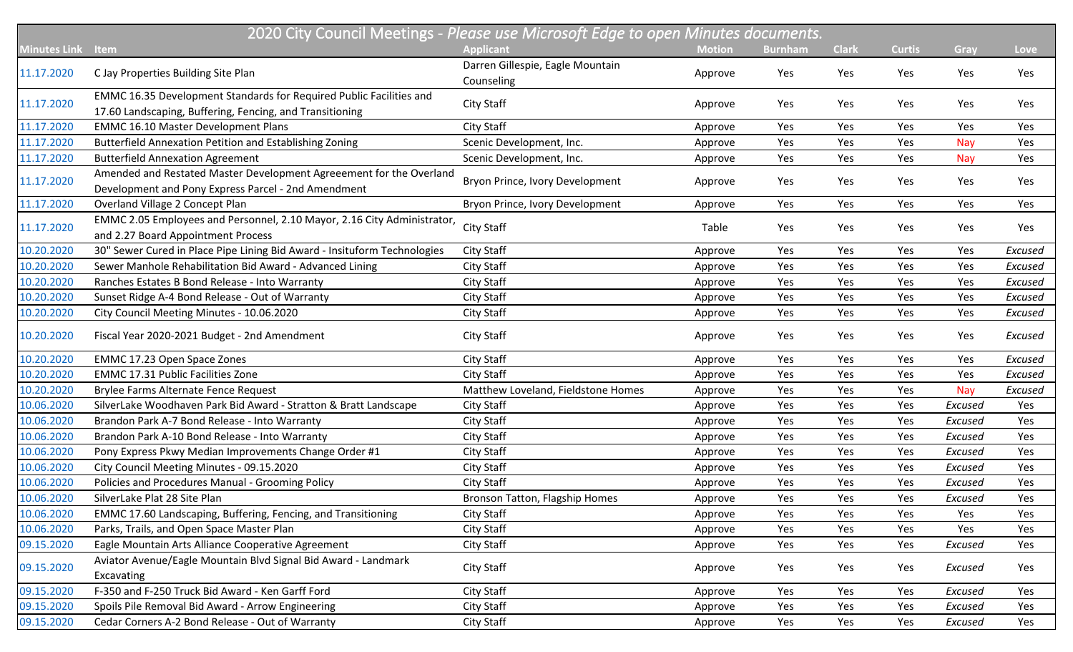|                     | 2020 City Council Meetings - Please use Microsoft Edge to open Minutes documents. |                                    |               |                |              |               |         |         |  |  |
|---------------------|-----------------------------------------------------------------------------------|------------------------------------|---------------|----------------|--------------|---------------|---------|---------|--|--|
| <b>Minutes Link</b> | Item                                                                              | <b>Applicant</b>                   | <b>Motion</b> | <b>Burnham</b> | <b>Clark</b> | <b>Curtis</b> | Gray    | Love    |  |  |
|                     |                                                                                   | Darren Gillespie, Eagle Mountain   |               |                |              |               |         |         |  |  |
| 11.17.2020          | C Jay Properties Building Site Plan                                               | Counseling                         | Approve       | Yes            | Yes          | Yes           | Yes     | Yes     |  |  |
| 11.17.2020          | EMMC 16.35 Development Standards for Required Public Facilities and               | <b>City Staff</b>                  |               | Yes            | Yes          | Yes           | Yes     | Yes     |  |  |
|                     | 17.60 Landscaping, Buffering, Fencing, and Transitioning                          |                                    | Approve       |                |              |               |         |         |  |  |
| 11.17.2020          | <b>EMMC 16.10 Master Development Plans</b>                                        | City Staff                         | Approve       | Yes            | Yes          | Yes           | Yes     | Yes     |  |  |
| 11.17.2020          | Butterfield Annexation Petition and Establishing Zoning                           | Scenic Development, Inc.           | Approve       | Yes            | Yes          | Yes           | Nay     | Yes     |  |  |
| 11.17.2020          | <b>Butterfield Annexation Agreement</b>                                           | Scenic Development, Inc.           | Approve       | Yes            | Yes          | Yes           | Nay     | Yes     |  |  |
| 11.17.2020          | Amended and Restated Master Development Agreeement for the Overland               | Bryon Prince, Ivory Development    |               | Yes            | Yes          | Yes           | Yes     | Yes     |  |  |
|                     | Development and Pony Express Parcel - 2nd Amendment                               |                                    | Approve       |                |              |               |         |         |  |  |
| 11.17.2020          | Overland Village 2 Concept Plan                                                   | Bryon Prince, Ivory Development    | Approve       | Yes            | Yes          | Yes           | Yes     | Yes     |  |  |
| 11.17.2020          | EMMC 2.05 Employees and Personnel, 2.10 Mayor, 2.16 City Administrator,           | City Staff                         | Table         | Yes            | Yes          | Yes           | Yes     | Yes     |  |  |
|                     | and 2.27 Board Appointment Process                                                |                                    |               |                |              |               |         |         |  |  |
| 10.20.2020          | 30" Sewer Cured in Place Pipe Lining Bid Award - Insituform Technologies          | <b>City Staff</b>                  | Approve       | Yes            | Yes          | Yes           | Yes     | Excused |  |  |
| 10.20.2020          | Sewer Manhole Rehabilitation Bid Award - Advanced Lining                          | City Staff                         | Approve       | Yes            | Yes          | Yes           | Yes     | Excused |  |  |
| 10.20.2020          | Ranches Estates B Bond Release - Into Warranty                                    | <b>City Staff</b>                  | Approve       | Yes            | Yes          | Yes           | Yes     | Excused |  |  |
| 10.20.2020          | Sunset Ridge A-4 Bond Release - Out of Warranty                                   | City Staff                         | Approve       | Yes            | Yes          | Yes           | Yes     | Excused |  |  |
| 10.20.2020          | City Council Meeting Minutes - 10.06.2020                                         | City Staff                         | Approve       | Yes            | Yes          | Yes           | Yes     | Excused |  |  |
| 10.20.2020          | Fiscal Year 2020-2021 Budget - 2nd Amendment                                      | City Staff                         | Approve       | Yes            | Yes          | Yes           | Yes     | Excused |  |  |
| 10.20.2020          | EMMC 17.23 Open Space Zones                                                       | City Staff                         | Approve       | Yes            | Yes          | Yes           | Yes     | Excused |  |  |
| 10.20.2020          | <b>EMMC 17.31 Public Facilities Zone</b>                                          | <b>City Staff</b>                  | Approve       | Yes            | Yes          | Yes           | Yes     | Excused |  |  |
| 10.20.2020          | Brylee Farms Alternate Fence Request                                              | Matthew Loveland, Fieldstone Homes | Approve       | Yes            | Yes          | Yes           | Nay     | Excused |  |  |
| 10.06.2020          | SilverLake Woodhaven Park Bid Award - Stratton & Bratt Landscape                  | <b>City Staff</b>                  | Approve       | Yes            | Yes          | Yes           | Excused | Yes     |  |  |
| 10.06.2020          | Brandon Park A-7 Bond Release - Into Warranty                                     | City Staff                         | Approve       | Yes            | Yes          | Yes           | Excused | Yes     |  |  |
| 10.06.2020          | Brandon Park A-10 Bond Release - Into Warranty                                    | City Staff                         | Approve       | Yes            | Yes          | Yes           | Excused | Yes     |  |  |
| 10.06.2020          | Pony Express Pkwy Median Improvements Change Order #1                             | City Staff                         | Approve       | Yes            | Yes          | Yes           | Excused | Yes     |  |  |
| 10.06.2020          | City Council Meeting Minutes - 09.15.2020                                         | City Staff                         | Approve       | Yes            | Yes          | Yes           | Excused | Yes     |  |  |
| 10.06.2020          | Policies and Procedures Manual - Grooming Policy                                  | City Staff                         | Approve       | Yes            | Yes          | Yes           | Excused | Yes     |  |  |
| 10.06.2020          | SilverLake Plat 28 Site Plan                                                      | Bronson Tatton, Flagship Homes     | Approve       | Yes            | Yes          | Yes           | Excused | Yes     |  |  |
| 10.06.2020          | EMMC 17.60 Landscaping, Buffering, Fencing, and Transitioning                     | City Staff                         | Approve       | Yes            | Yes          | Yes           | Yes     | Yes     |  |  |
| 10.06.2020          | Parks, Trails, and Open Space Master Plan                                         | City Staff                         | Approve       | Yes            | Yes          | Yes           | Yes     | Yes     |  |  |
| 09.15.2020          | Eagle Mountain Arts Alliance Cooperative Agreement                                | City Staff                         | Approve       | Yes            | Yes          | Yes           | Excused | Yes     |  |  |
|                     | Aviator Avenue/Eagle Mountain Blvd Signal Bid Award - Landmark                    |                                    |               |                |              |               |         |         |  |  |
| 09.15.2020          | Excavating                                                                        | City Staff                         | Approve       | Yes            | Yes          | Yes           | Excused | Yes     |  |  |
| 09.15.2020          | F-350 and F-250 Truck Bid Award - Ken Garff Ford                                  | City Staff                         | Approve       | Yes            | Yes          | Yes           | Excused | Yes     |  |  |
| 09.15.2020          | Spoils Pile Removal Bid Award - Arrow Engineering                                 | City Staff                         | Approve       | Yes            | Yes          | Yes           | Excused | Yes     |  |  |
| 09.15.2020          | Cedar Corners A-2 Bond Release - Out of Warranty                                  | City Staff                         | Approve       | Yes            | Yes          | Yes           | Excused | Yes     |  |  |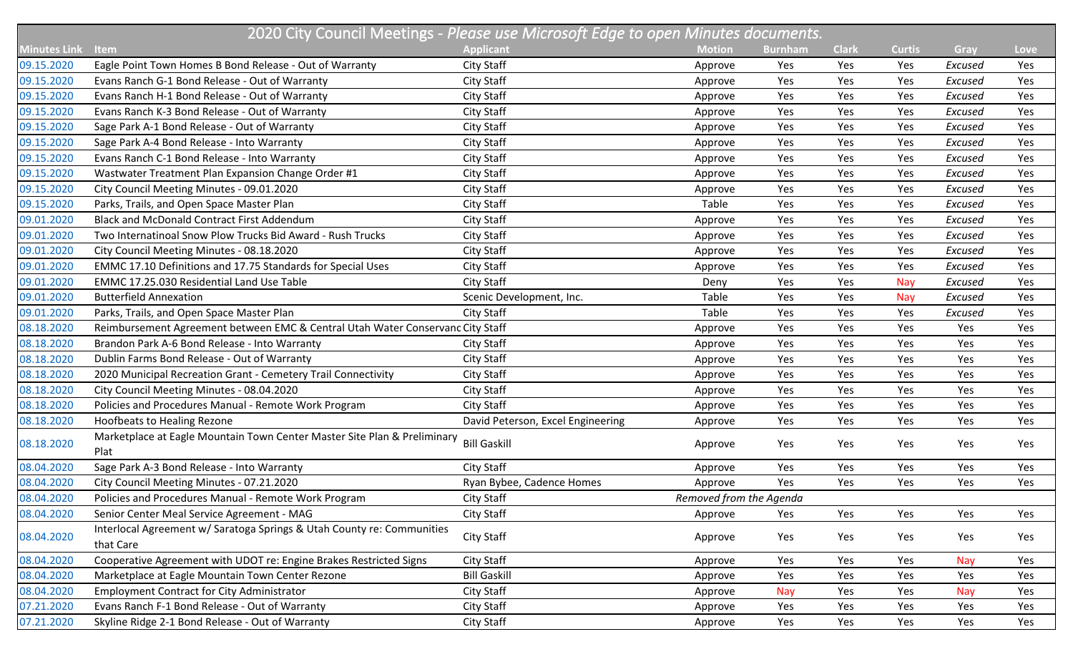|                     | 2020 City Council Meetings - Please use Microsoft Edge to open Minutes documents.   |                                   |                         |                |              |               |            |             |  |
|---------------------|-------------------------------------------------------------------------------------|-----------------------------------|-------------------------|----------------|--------------|---------------|------------|-------------|--|
| <b>Minutes Link</b> | Item                                                                                | <b>Applicant</b>                  | <b>Motion</b>           | <b>Burnham</b> | <b>Clark</b> | <b>Curtis</b> | Gray       | <b>Love</b> |  |
| 09.15.2020          | Eagle Point Town Homes B Bond Release - Out of Warranty                             | City Staff                        | Approve                 | Yes            | Yes          | Yes           | Excused    | Yes         |  |
| 09.15.2020          | Evans Ranch G-1 Bond Release - Out of Warranty                                      | City Staff                        | Approve                 | Yes            | Yes          | Yes           | Excused    | Yes         |  |
| 09.15.2020          | Evans Ranch H-1 Bond Release - Out of Warranty                                      | City Staff                        | Approve                 | Yes            | Yes          | Yes           | Excused    | Yes         |  |
| 09.15.2020          | Evans Ranch K-3 Bond Release - Out of Warranty                                      | City Staff                        | Approve                 | Yes            | Yes          | Yes           | Excused    | Yes         |  |
| 09.15.2020          | Sage Park A-1 Bond Release - Out of Warranty                                        | City Staff                        | Approve                 | Yes            | Yes          | Yes           | Excused    | Yes         |  |
| 09.15.2020          | Sage Park A-4 Bond Release - Into Warranty                                          | City Staff                        | Approve                 | Yes            | Yes          | Yes           | Excused    | Yes         |  |
| 09.15.2020          | Evans Ranch C-1 Bond Release - Into Warranty                                        | City Staff                        | Approve                 | Yes            | Yes          | Yes           | Excused    | Yes         |  |
| 09.15.2020          | Wastwater Treatment Plan Expansion Change Order #1                                  | City Staff                        | Approve                 | Yes            | Yes          | Yes           | Excused    | Yes         |  |
| 09.15.2020          | City Council Meeting Minutes - 09.01.2020                                           | City Staff                        | Approve                 | Yes            | Yes          | Yes           | Excused    | Yes         |  |
| 09.15.2020          | Parks, Trails, and Open Space Master Plan                                           | City Staff                        | Table                   | Yes            | Yes          | Yes           | Excused    | Yes         |  |
| 09.01.2020          | <b>Black and McDonald Contract First Addendum</b>                                   | City Staff                        | Approve                 | Yes            | Yes          | Yes           | Excused    | Yes         |  |
| 09.01.2020          | Two Internatinoal Snow Plow Trucks Bid Award - Rush Trucks                          | City Staff                        | Approve                 | Yes            | Yes          | Yes           | Excused    | Yes         |  |
| 09.01.2020          | City Council Meeting Minutes - 08.18.2020                                           | City Staff                        | Approve                 | Yes            | Yes          | Yes           | Excused    | Yes         |  |
| 09.01.2020          | EMMC 17.10 Definitions and 17.75 Standards for Special Uses                         | City Staff                        | Approve                 | Yes            | Yes          | Yes           | Excused    | Yes         |  |
| 09.01.2020          | EMMC 17.25.030 Residential Land Use Table                                           | City Staff                        | Deny                    | Yes            | Yes          | Nay           | Excused    | Yes         |  |
| 09.01.2020          | <b>Butterfield Annexation</b>                                                       | Scenic Development, Inc.          | Table                   | Yes            | Yes          | Nay           | Excused    | Yes         |  |
| 09.01.2020          | Parks, Trails, and Open Space Master Plan                                           | City Staff                        | Table                   | Yes            | Yes          | Yes           | Excused    | Yes         |  |
| 08.18.2020          | Reimbursement Agreement between EMC & Central Utah Water Conservanc City Staff      |                                   | Approve                 | Yes            | Yes          | Yes           | Yes        | Yes         |  |
| 08.18.2020          | Brandon Park A-6 Bond Release - Into Warranty                                       | City Staff                        | Approve                 | Yes            | Yes          | Yes           | Yes        | Yes         |  |
| 08.18.2020          | Dublin Farms Bond Release - Out of Warranty                                         | City Staff                        | Approve                 | Yes            | Yes          | Yes           | Yes        | Yes         |  |
| 08.18.2020          | 2020 Municipal Recreation Grant - Cemetery Trail Connectivity                       | City Staff                        | Approve                 | Yes            | Yes          | Yes           | Yes        | Yes         |  |
| 08.18.2020          | City Council Meeting Minutes - 08.04.2020                                           | City Staff                        | Approve                 | Yes            | Yes          | Yes           | Yes        | Yes         |  |
| 08.18.2020          | Policies and Procedures Manual - Remote Work Program                                | City Staff                        | Approve                 | Yes            | Yes          | Yes           | Yes        | Yes         |  |
| 08.18.2020          | Hoofbeats to Healing Rezone                                                         | David Peterson, Excel Engineering | Approve                 | Yes            | Yes          | Yes           | Yes        | Yes         |  |
| 08.18.2020          | Marketplace at Eagle Mountain Town Center Master Site Plan & Preliminary<br>Plat    | <b>Bill Gaskill</b>               | Approve                 | Yes            | Yes          | Yes           | Yes        | Yes         |  |
| 08.04.2020          | Sage Park A-3 Bond Release - Into Warranty                                          | City Staff                        | Approve                 | Yes            | Yes          | Yes           | Yes        | Yes         |  |
| 08.04.2020          | City Council Meeting Minutes - 07.21.2020                                           | Ryan Bybee, Cadence Homes         | Approve                 | Yes            | Yes          | Yes           | Yes        | Yes         |  |
| 08.04.2020          | Policies and Procedures Manual - Remote Work Program                                | City Staff                        | Removed from the Agenda |                |              |               |            |             |  |
| 08.04.2020          | Senior Center Meal Service Agreement - MAG                                          | City Staff                        | Approve                 | Yes            | Yes          | Yes           | Yes        | Yes         |  |
| 08.04.2020          | Interlocal Agreement w/ Saratoga Springs & Utah County re: Communities<br>that Care | City Staff                        | Approve                 | Yes            | Yes          | Yes           | Yes        | Yes         |  |
| 08.04.2020          | Cooperative Agreement with UDOT re: Engine Brakes Restricted Signs                  | City Staff                        | Approve                 | Yes            | Yes          | Yes           | <b>Nay</b> | Yes         |  |
| 08.04.2020          | Marketplace at Eagle Mountain Town Center Rezone                                    | <b>Bill Gaskill</b>               | Approve                 | Yes            | Yes          | Yes           | Yes        | Yes         |  |
| 08.04.2020          | <b>Employment Contract for City Administrator</b>                                   | City Staff                        | Approve                 | <b>Nay</b>     | Yes          | Yes           | <b>Nay</b> | Yes         |  |
| 07.21.2020          | Evans Ranch F-1 Bond Release - Out of Warranty                                      | City Staff                        | Approve                 | Yes            | Yes          | Yes           | Yes        | Yes         |  |
| 07.21.2020          | Skyline Ridge 2-1 Bond Release - Out of Warranty                                    | City Staff                        | Approve                 | Yes            | Yes          | Yes           | Yes        | Yes         |  |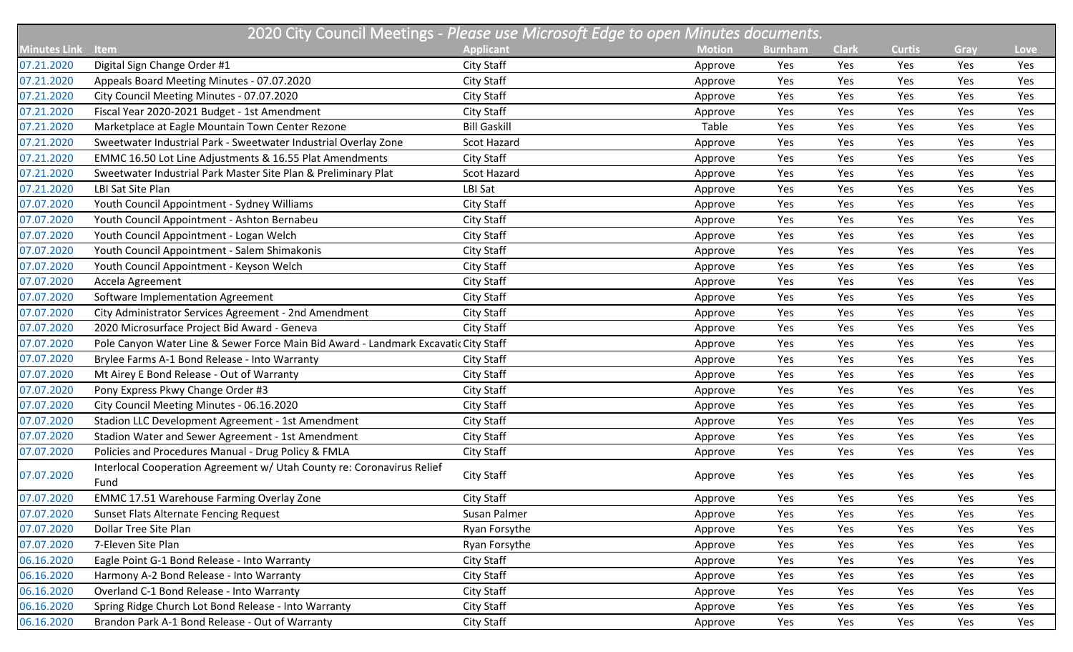|                     | 2020 City Council Meetings - Please use Microsoft Edge to open Minutes documents.   |                     |               |                |              |               |      |             |  |  |
|---------------------|-------------------------------------------------------------------------------------|---------------------|---------------|----------------|--------------|---------------|------|-------------|--|--|
| <b>Minutes Link</b> | Item                                                                                | <b>Applicant</b>    | <b>Motion</b> | <b>Burnham</b> | <b>Clark</b> | <b>Curtis</b> | Gray | <b>Love</b> |  |  |
| 07.21.2020          | Digital Sign Change Order #1                                                        | City Staff          | Approve       | Yes            | Yes          | Yes           | Yes  | Yes         |  |  |
| 07.21.2020          | Appeals Board Meeting Minutes - 07.07.2020                                          | City Staff          | Approve       | Yes            | Yes          | Yes           | Yes  | Yes         |  |  |
| 07.21.2020          | City Council Meeting Minutes - 07.07.2020                                           | City Staff          | Approve       | Yes            | Yes          | Yes           | Yes  | Yes         |  |  |
| 07.21.2020          | Fiscal Year 2020-2021 Budget - 1st Amendment                                        | City Staff          | Approve       | Yes            | Yes          | Yes           | Yes  | Yes         |  |  |
| 07.21.2020          | Marketplace at Eagle Mountain Town Center Rezone                                    | <b>Bill Gaskill</b> | Table         | Yes            | Yes          | Yes           | Yes  | Yes         |  |  |
| 07.21.2020          | Sweetwater Industrial Park - Sweetwater Industrial Overlay Zone                     | Scot Hazard         | Approve       | Yes            | Yes          | Yes           | Yes  | Yes         |  |  |
| 07.21.2020          | EMMC 16.50 Lot Line Adjustments & 16.55 Plat Amendments                             | City Staff          | Approve       | Yes            | Yes          | Yes           | Yes  | Yes         |  |  |
| 07.21.2020          | Sweetwater Industrial Park Master Site Plan & Preliminary Plat                      | Scot Hazard         | Approve       | Yes            | Yes          | Yes           | Yes  | Yes         |  |  |
| 07.21.2020          | LBI Sat Site Plan                                                                   | LBI Sat             | Approve       | Yes            | Yes          | Yes           | Yes  | Yes         |  |  |
| 07.07.2020          | Youth Council Appointment - Sydney Williams                                         | City Staff          | Approve       | Yes            | Yes          | Yes           | Yes  | Yes         |  |  |
| 07.07.2020          | Youth Council Appointment - Ashton Bernabeu                                         | City Staff          | Approve       | Yes            | Yes          | Yes           | Yes  | Yes         |  |  |
| 07.07.2020          | Youth Council Appointment - Logan Welch                                             | City Staff          | Approve       | Yes            | Yes          | Yes           | Yes  | Yes         |  |  |
| 07.07.2020          | Youth Council Appointment - Salem Shimakonis                                        | City Staff          | Approve       | Yes            | Yes          | Yes           | Yes  | Yes         |  |  |
| 07.07.2020          | Youth Council Appointment - Keyson Welch                                            | City Staff          | Approve       | Yes            | Yes          | Yes           | Yes  | Yes         |  |  |
| 07.07.2020          | Accela Agreement                                                                    | City Staff          | Approve       | Yes            | Yes          | Yes           | Yes  | Yes         |  |  |
| 07.07.2020          | Software Implementation Agreement                                                   | City Staff          | Approve       | Yes            | Yes          | Yes           | Yes  | Yes         |  |  |
| 07.07.2020          | City Administrator Services Agreement - 2nd Amendment                               | City Staff          | Approve       | Yes            | Yes          | Yes           | Yes  | Yes         |  |  |
| 07.07.2020          | 2020 Microsurface Project Bid Award - Geneva                                        | City Staff          | Approve       | Yes            | Yes          | Yes           | Yes  | Yes         |  |  |
| 07.07.2020          | Pole Canyon Water Line & Sewer Force Main Bid Award - Landmark Excavatic City Staff |                     | Approve       | Yes            | Yes          | Yes           | Yes  | Yes         |  |  |
| 07.07.2020          | Brylee Farms A-1 Bond Release - Into Warranty                                       | City Staff          | Approve       | Yes            | Yes          | Yes           | Yes  | Yes         |  |  |
| 07.07.2020          | Mt Airey E Bond Release - Out of Warranty                                           | City Staff          | Approve       | Yes            | Yes          | Yes           | Yes  | Yes         |  |  |
| 07.07.2020          | Pony Express Pkwy Change Order #3                                                   | City Staff          | Approve       | Yes            | Yes          | Yes           | Yes  | Yes         |  |  |
| 07.07.2020          | City Council Meeting Minutes - 06.16.2020                                           | City Staff          | Approve       | Yes            | Yes          | Yes           | Yes  | Yes         |  |  |
| 07.07.2020          | Stadion LLC Development Agreement - 1st Amendment                                   | City Staff          | Approve       | Yes            | Yes          | Yes           | Yes  | Yes         |  |  |
| 07.07.2020          | Stadion Water and Sewer Agreement - 1st Amendment                                   | City Staff          | Approve       | Yes            | Yes          | Yes           | Yes  | Yes         |  |  |
| 07.07.2020          | Policies and Procedures Manual - Drug Policy & FMLA                                 | City Staff          | Approve       | Yes            | Yes          | Yes           | Yes  | Yes         |  |  |
| 07.07.2020          | Interlocal Cooperation Agreement w/ Utah County re: Coronavirus Relief<br>Fund      | City Staff          | Approve       | Yes            | Yes          | Yes           | Yes  | Yes         |  |  |
| 07.07.2020          | <b>EMMC 17.51 Warehouse Farming Overlay Zone</b>                                    | City Staff          | Approve       | Yes            | Yes          | Yes           | Yes  | Yes         |  |  |
| 07.07.2020          | Sunset Flats Alternate Fencing Request                                              | Susan Palmer        | Approve       | Yes            | Yes          | Yes           | Yes  | Yes         |  |  |
| 07.07.2020          | Dollar Tree Site Plan                                                               | Ryan Forsythe       | Approve       | Yes            | Yes          | Yes           | Yes  | Yes         |  |  |
| 07.07.2020          | 7-Eleven Site Plan                                                                  | Ryan Forsythe       | Approve       | Yes            | Yes          | Yes           | Yes  | Yes         |  |  |
| 06.16.2020          | Eagle Point G-1 Bond Release - Into Warranty                                        | City Staff          | Approve       | Yes            | Yes          | Yes           | Yes  | Yes         |  |  |
| 06.16.2020          | Harmony A-2 Bond Release - Into Warranty                                            | City Staff          | Approve       | Yes            | Yes          | Yes           | Yes  | Yes         |  |  |
| 06.16.2020          | Overland C-1 Bond Release - Into Warranty                                           | City Staff          | Approve       | Yes            | Yes          | Yes           | Yes  | Yes         |  |  |
| 06.16.2020          | Spring Ridge Church Lot Bond Release - Into Warranty                                | City Staff          | Approve       | Yes            | Yes          | Yes           | Yes  | Yes         |  |  |
| 06.16.2020          | Brandon Park A-1 Bond Release - Out of Warranty                                     | City Staff          | Approve       | Yes            | Yes          | Yes           | Yes  | Yes         |  |  |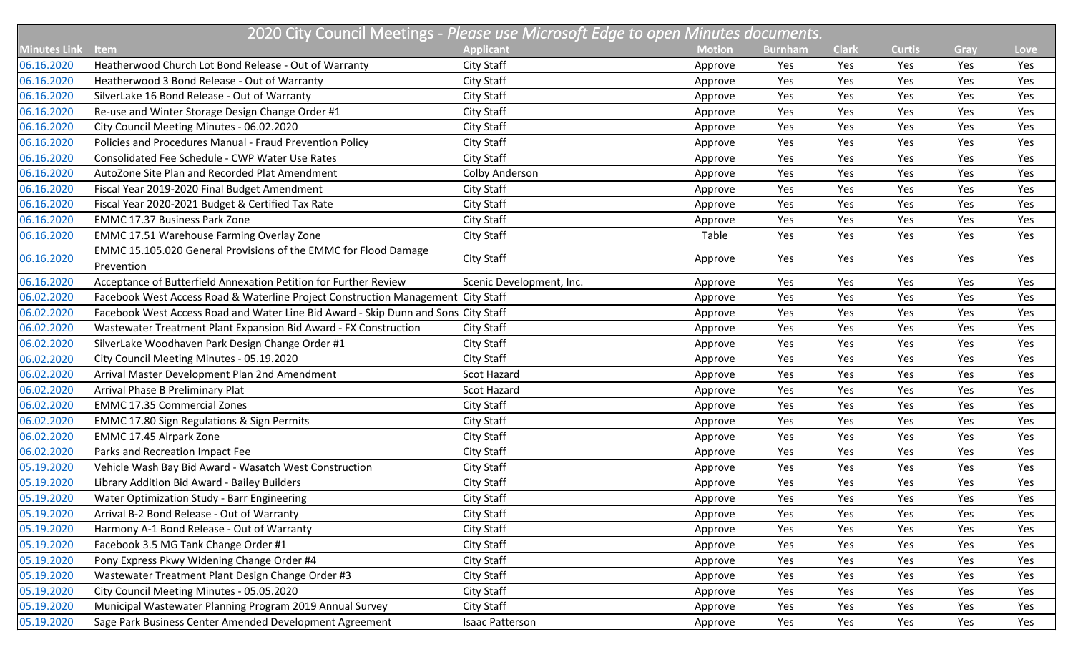|                     | 2020 City Council Meetings - Please use Microsoft Edge to open Minutes documents.  |                          |               |                |              |               |      |      |  |  |
|---------------------|------------------------------------------------------------------------------------|--------------------------|---------------|----------------|--------------|---------------|------|------|--|--|
| <b>Minutes Link</b> | Item                                                                               | <b>Applicant</b>         | <b>Motion</b> | <b>Burnham</b> | <b>Clark</b> | <b>Curtis</b> | Gray | Love |  |  |
| 06.16.2020          | Heatherwood Church Lot Bond Release - Out of Warranty                              | City Staff               | Approve       | Yes            | Yes          | Yes           | Yes  | Yes  |  |  |
| 06.16.2020          | Heatherwood 3 Bond Release - Out of Warranty                                       | <b>City Staff</b>        | Approve       | Yes            | Yes          | Yes           | Yes  | Yes  |  |  |
| 06.16.2020          | SilverLake 16 Bond Release - Out of Warranty                                       | City Staff               | Approve       | Yes            | Yes          | Yes           | Yes  | Yes  |  |  |
| 06.16.2020          | Re-use and Winter Storage Design Change Order #1                                   | City Staff               | Approve       | Yes            | Yes          | Yes           | Yes  | Yes  |  |  |
| 06.16.2020          | City Council Meeting Minutes - 06.02.2020                                          | City Staff               | Approve       | Yes            | Yes          | Yes           | Yes  | Yes  |  |  |
| 06.16.2020          | Policies and Procedures Manual - Fraud Prevention Policy                           | City Staff               | Approve       | Yes            | Yes          | Yes           | Yes  | Yes  |  |  |
| 06.16.2020          | Consolidated Fee Schedule - CWP Water Use Rates                                    | City Staff               | Approve       | Yes            | Yes          | Yes           | Yes  | Yes  |  |  |
| 06.16.2020          | AutoZone Site Plan and Recorded Plat Amendment                                     | Colby Anderson           | Approve       | Yes            | Yes          | Yes           | Yes  | Yes  |  |  |
| 06.16.2020          | Fiscal Year 2019-2020 Final Budget Amendment                                       | City Staff               | Approve       | Yes            | Yes          | Yes           | Yes  | Yes  |  |  |
| 06.16.2020          | Fiscal Year 2020-2021 Budget & Certified Tax Rate                                  | City Staff               | Approve       | Yes            | Yes          | Yes           | Yes  | Yes  |  |  |
| 06.16.2020          | <b>EMMC 17.37 Business Park Zone</b>                                               | City Staff               | Approve       | Yes            | Yes          | Yes           | Yes  | Yes  |  |  |
| 06.16.2020          | <b>EMMC 17.51 Warehouse Farming Overlay Zone</b>                                   | City Staff               | Table         | Yes            | Yes          | Yes           | Yes  | Yes  |  |  |
| 06.16.2020          | EMMC 15.105.020 General Provisions of the EMMC for Flood Damage<br>Prevention      | City Staff               | Approve       | Yes            | Yes          | Yes           | Yes  | Yes  |  |  |
| 06.16.2020          | Acceptance of Butterfield Annexation Petition for Further Review                   | Scenic Development, Inc. | Approve       | Yes            | Yes          | Yes           | Yes  | Yes  |  |  |
| 06.02.2020          | Facebook West Access Road & Waterline Project Construction Management City Staff   |                          | Approve       | Yes            | Yes          | Yes           | Yes  | Yes  |  |  |
| 06.02.2020          | Facebook West Access Road and Water Line Bid Award - Skip Dunn and Sons City Staff |                          | Approve       | Yes            | Yes          | Yes           | Yes  | Yes  |  |  |
| 06.02.2020          | Wastewater Treatment Plant Expansion Bid Award - FX Construction                   | City Staff               | Approve       | Yes            | Yes          | Yes           | Yes  | Yes  |  |  |
| 06.02.2020          | SilverLake Woodhaven Park Design Change Order #1                                   | City Staff               | Approve       | Yes            | Yes          | Yes           | Yes  | Yes  |  |  |
| 06.02.2020          | City Council Meeting Minutes - 05.19.2020                                          | City Staff               | Approve       | Yes            | Yes          | Yes           | Yes  | Yes  |  |  |
| 06.02.2020          | Arrival Master Development Plan 2nd Amendment                                      | Scot Hazard              | Approve       | Yes            | Yes          | Yes           | Yes  | Yes  |  |  |
| 06.02.2020          | Arrival Phase B Preliminary Plat                                                   | <b>Scot Hazard</b>       | Approve       | Yes            | Yes          | Yes           | Yes  | Yes  |  |  |
| 06.02.2020          | <b>EMMC 17.35 Commercial Zones</b>                                                 | City Staff               | Approve       | Yes            | Yes          | Yes           | Yes  | Yes  |  |  |
| 06.02.2020          | <b>EMMC 17.80 Sign Regulations &amp; Sign Permits</b>                              | City Staff               | Approve       | Yes            | Yes          | Yes           | Yes  | Yes  |  |  |
| 06.02.2020          | EMMC 17.45 Airpark Zone                                                            | City Staff               | Approve       | Yes            | Yes          | Yes           | Yes  | Yes  |  |  |
| 06.02.2020          | Parks and Recreation Impact Fee                                                    | City Staff               | Approve       | Yes            | Yes          | Yes           | Yes  | Yes  |  |  |
| 05.19.2020          | Vehicle Wash Bay Bid Award - Wasatch West Construction                             | City Staff               | Approve       | Yes            | Yes          | Yes           | Yes  | Yes  |  |  |
| 05.19.2020          | Library Addition Bid Award - Bailey Builders                                       | City Staff               | Approve       | Yes            | Yes          | Yes           | Yes  | Yes  |  |  |
| 05.19.2020          | Water Optimization Study - Barr Engineering                                        | City Staff               | Approve       | Yes            | Yes          | Yes           | Yes  | Yes  |  |  |
| 05.19.2020          | Arrival B-2 Bond Release - Out of Warranty                                         | City Staff               | Approve       | Yes            | Yes          | Yes           | Yes  | Yes  |  |  |
| 05.19.2020          | Harmony A-1 Bond Release - Out of Warranty                                         | City Staff               | Approve       | Yes            | Yes          | Yes           | Yes  | Yes  |  |  |
| 05.19.2020          | Facebook 3.5 MG Tank Change Order #1                                               | City Staff               | Approve       | Yes            | Yes          | Yes           | Yes  | Yes  |  |  |
| 05.19.2020          | Pony Express Pkwy Widening Change Order #4                                         | City Staff               | Approve       | Yes            | Yes          | Yes           | Yes  | Yes  |  |  |
| 05.19.2020          | Wastewater Treatment Plant Design Change Order #3                                  | City Staff               | Approve       | Yes            | Yes          | Yes           | Yes  | Yes  |  |  |
| 05.19.2020          | City Council Meeting Minutes - 05.05.2020                                          | City Staff               | Approve       | Yes            | Yes          | Yes           | Yes  | Yes  |  |  |
| 05.19.2020          | Municipal Wastewater Planning Program 2019 Annual Survey                           | City Staff               | Approve       | Yes            | Yes          | Yes           | Yes  | Yes  |  |  |
| 05.19.2020          | Sage Park Business Center Amended Development Agreement                            | <b>Isaac Patterson</b>   | Approve       | Yes            | Yes          | Yes           | Yes  | Yes  |  |  |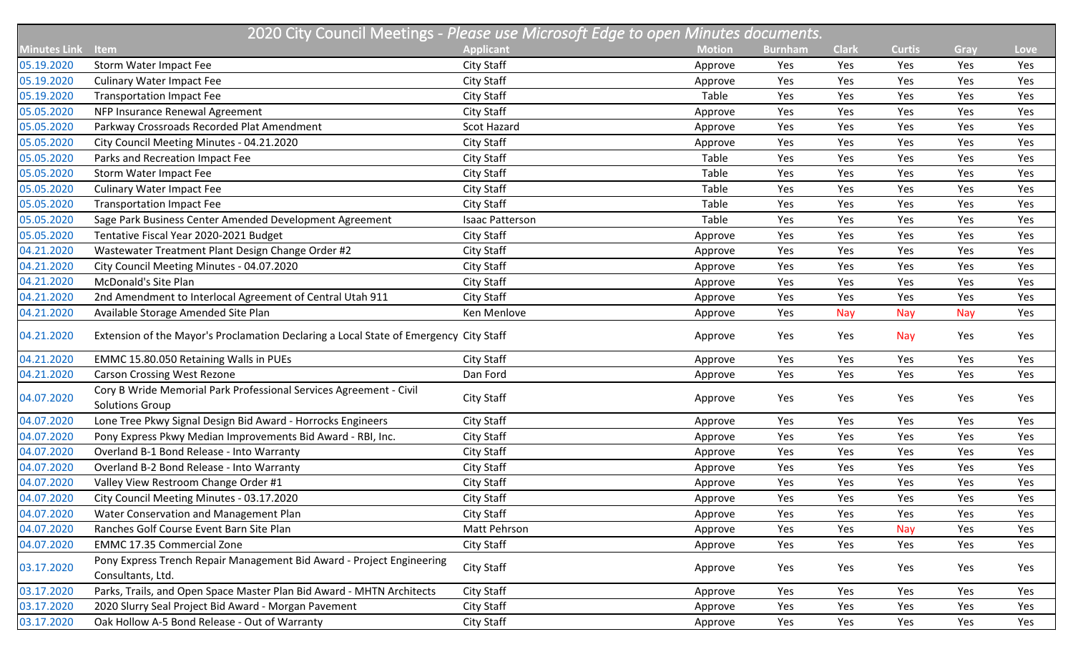|                     | 2020 City Council Meetings - Please use Microsoft Edge to open Minutes documents.            |                  |               |                |              |               |            |      |  |  |
|---------------------|----------------------------------------------------------------------------------------------|------------------|---------------|----------------|--------------|---------------|------------|------|--|--|
| <b>Minutes Link</b> | Item                                                                                         | <b>Applicant</b> | <b>Motion</b> | <b>Burnham</b> | <b>Clark</b> | <b>Curtis</b> | Gray       | Love |  |  |
| 05.19.2020          | Storm Water Impact Fee                                                                       | City Staff       | Approve       | Yes            | Yes          | Yes           | Yes        | Yes  |  |  |
| 05.19.2020          | <b>Culinary Water Impact Fee</b>                                                             | City Staff       | Approve       | Yes            | Yes          | Yes           | Yes        | Yes  |  |  |
| 05.19.2020          | <b>Transportation Impact Fee</b>                                                             | City Staff       | Table         | Yes            | Yes          | Yes           | Yes        | Yes  |  |  |
| 05.05.2020          | NFP Insurance Renewal Agreement                                                              | City Staff       | Approve       | Yes            | Yes          | Yes           | Yes        | Yes  |  |  |
| 05.05.2020          | Parkway Crossroads Recorded Plat Amendment                                                   | Scot Hazard      | Approve       | Yes            | Yes          | Yes           | Yes        | Yes  |  |  |
| 05.05.2020          | City Council Meeting Minutes - 04.21.2020                                                    | City Staff       | Approve       | Yes            | Yes          | Yes           | Yes        | Yes  |  |  |
| 05.05.2020          | Parks and Recreation Impact Fee                                                              | City Staff       | Table         | Yes            | Yes          | Yes           | Yes        | Yes  |  |  |
| 05.05.2020          | Storm Water Impact Fee                                                                       | City Staff       | Table         | Yes            | Yes          | Yes           | Yes        | Yes  |  |  |
| 05.05.2020          | <b>Culinary Water Impact Fee</b>                                                             | City Staff       | Table         | Yes            | Yes          | Yes           | Yes        | Yes  |  |  |
| 05.05.2020          | <b>Transportation Impact Fee</b>                                                             | City Staff       | Table         | Yes            | Yes          | Yes           | Yes        | Yes  |  |  |
| 05.05.2020          | Sage Park Business Center Amended Development Agreement                                      | Isaac Patterson  | Table         | Yes            | Yes          | Yes           | Yes        | Yes  |  |  |
| 05.05.2020          | Tentative Fiscal Year 2020-2021 Budget                                                       | City Staff       | Approve       | Yes            | Yes          | Yes           | Yes        | Yes  |  |  |
| 04.21.2020          | Wastewater Treatment Plant Design Change Order #2                                            | City Staff       | Approve       | Yes            | Yes          | Yes           | Yes        | Yes  |  |  |
| 04.21.2020          | City Council Meeting Minutes - 04.07.2020                                                    | City Staff       | Approve       | Yes            | Yes          | Yes           | Yes        | Yes  |  |  |
| 04.21.2020          | McDonald's Site Plan                                                                         | City Staff       | Approve       | Yes            | Yes          | Yes           | Yes        | Yes  |  |  |
| 04.21.2020          | 2nd Amendment to Interlocal Agreement of Central Utah 911                                    | City Staff       | Approve       | Yes            | Yes          | Yes           | Yes        | Yes  |  |  |
| 04.21.2020          | Available Storage Amended Site Plan                                                          | Ken Menlove      | Approve       | Yes            | Nay          | Nay           | <b>Nay</b> | Yes  |  |  |
| 04.21.2020          | Extension of the Mayor's Proclamation Declaring a Local State of Emergency City Staff        |                  | Approve       | Yes            | Yes          | <b>Nay</b>    | Yes        | Yes  |  |  |
| 04.21.2020          | EMMC 15.80.050 Retaining Walls in PUEs                                                       | City Staff       | Approve       | Yes            | Yes          | Yes           | Yes        | Yes  |  |  |
| 04.21.2020          | <b>Carson Crossing West Rezone</b>                                                           | Dan Ford         | Approve       | Yes            | Yes          | Yes           | Yes        | Yes  |  |  |
| 04.07.2020          | Cory B Wride Memorial Park Professional Services Agreement - Civil<br><b>Solutions Group</b> | City Staff       | Approve       | Yes            | Yes          | Yes           | Yes        | Yes  |  |  |
| 04.07.2020          | Lone Tree Pkwy Signal Design Bid Award - Horrocks Engineers                                  | City Staff       | Approve       | Yes            | Yes          | Yes           | Yes        | Yes  |  |  |
| 04.07.2020          | Pony Express Pkwy Median Improvements Bid Award - RBI, Inc.                                  | City Staff       | Approve       | Yes            | Yes          | Yes           | Yes        | Yes  |  |  |
| 04.07.2020          | Overland B-1 Bond Release - Into Warranty                                                    | City Staff       | Approve       | Yes            | Yes          | Yes           | Yes        | Yes  |  |  |
| 04.07.2020          | Overland B-2 Bond Release - Into Warranty                                                    | City Staff       | Approve       | Yes            | Yes          | Yes           | Yes        | Yes  |  |  |
| 04.07.2020          | Valley View Restroom Change Order #1                                                         | City Staff       | Approve       | Yes            | Yes          | Yes           | Yes        | Yes  |  |  |
| 04.07.2020          | City Council Meeting Minutes - 03.17.2020                                                    | City Staff       | Approve       | Yes            | Yes          | Yes           | Yes        | Yes  |  |  |
| 04.07.2020          | Water Conservation and Management Plan                                                       | City Staff       | Approve       | Yes            | Yes          | Yes           | Yes        | Yes  |  |  |
| 04.07.2020          | Ranches Golf Course Event Barn Site Plan                                                     | Matt Pehrson     | Approve       | Yes            | Yes          | Nay           | Yes        | Yes  |  |  |
| 04.07.2020          | <b>EMMC 17.35 Commercial Zone</b>                                                            | City Staff       | Approve       | Yes            | Yes          | Yes           | Yes        | Yes  |  |  |
| 03.17.2020          | Pony Express Trench Repair Management Bid Award - Project Engineering<br>Consultants, Ltd.   | City Staff       | Approve       | Yes            | Yes          | Yes           | Yes        | Yes  |  |  |
| 03.17.2020          | Parks, Trails, and Open Space Master Plan Bid Award - MHTN Architects                        | City Staff       | Approve       | Yes            | Yes          | Yes           | Yes        | Yes  |  |  |
| 03.17.2020          | 2020 Slurry Seal Project Bid Award - Morgan Pavement                                         | City Staff       | Approve       | Yes            | Yes          | Yes           | Yes        | Yes  |  |  |
| 03.17.2020          | Oak Hollow A-5 Bond Release - Out of Warranty                                                | City Staff       | Approve       | Yes            | Yes          | Yes           | Yes        | Yes  |  |  |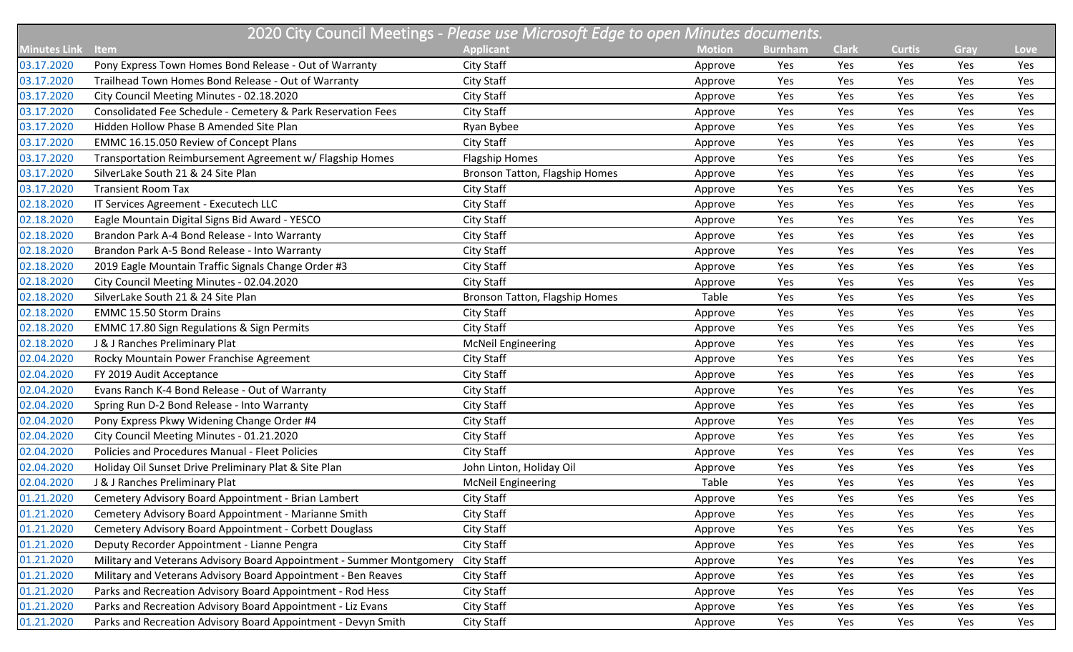|                     | 2020 City Council Meetings - Please use Microsoft Edge to open Minutes documents. |                                |               |                |              |               |      |      |  |  |
|---------------------|-----------------------------------------------------------------------------------|--------------------------------|---------------|----------------|--------------|---------------|------|------|--|--|
| <b>Minutes Link</b> | Item                                                                              | <b>Applicant</b>               | <b>Motion</b> | <b>Burnham</b> | <b>Clark</b> | <b>Curtis</b> | Gray | Love |  |  |
| 03.17.2020          | Pony Express Town Homes Bond Release - Out of Warranty                            | City Staff                     | Approve       | Yes            | Yes          | Yes           | Yes  | Yes  |  |  |
| 03.17.2020          | Trailhead Town Homes Bond Release - Out of Warranty                               | <b>City Staff</b>              | Approve       | Yes            | Yes          | Yes           | Yes  | Yes  |  |  |
| 03.17.2020          | City Council Meeting Minutes - 02.18.2020                                         | City Staff                     | Approve       | Yes            | Yes          | Yes           | Yes  | Yes  |  |  |
| 03.17.2020          | Consolidated Fee Schedule - Cemetery & Park Reservation Fees                      | City Staff                     | Approve       | Yes            | Yes          | Yes           | Yes  | Yes  |  |  |
| 03.17.2020          | Hidden Hollow Phase B Amended Site Plan                                           | Ryan Bybee                     | Approve       | Yes            | Yes          | Yes           | Yes  | Yes  |  |  |
| 03.17.2020          | EMMC 16.15.050 Review of Concept Plans                                            | City Staff                     | Approve       | Yes            | Yes          | Yes           | Yes  | Yes  |  |  |
| 03.17.2020          | Transportation Reimbursement Agreement w/ Flagship Homes                          | <b>Flagship Homes</b>          | Approve       | Yes            | Yes          | Yes           | Yes  | Yes  |  |  |
| 03.17.2020          | SilverLake South 21 & 24 Site Plan                                                | Bronson Tatton, Flagship Homes | Approve       | Yes            | Yes          | Yes           | Yes  | Yes  |  |  |
| 03.17.2020          | <b>Transient Room Tax</b>                                                         | City Staff                     | Approve       | Yes            | Yes          | Yes           | Yes  | Yes  |  |  |
| 02.18.2020          | IT Services Agreement - Executech LLC                                             | City Staff                     | Approve       | Yes            | Yes          | Yes           | Yes  | Yes  |  |  |
| 02.18.2020          | Eagle Mountain Digital Signs Bid Award - YESCO                                    | City Staff                     | Approve       | Yes            | Yes          | Yes           | Yes  | Yes  |  |  |
| 02.18.2020          | Brandon Park A-4 Bond Release - Into Warranty                                     | City Staff                     | Approve       | Yes            | Yes          | Yes           | Yes  | Yes  |  |  |
| 02.18.2020          | Brandon Park A-5 Bond Release - Into Warranty                                     | City Staff                     | Approve       | Yes            | Yes          | Yes           | Yes  | Yes  |  |  |
| 02.18.2020          | 2019 Eagle Mountain Traffic Signals Change Order #3                               | City Staff                     | Approve       | Yes            | Yes          | Yes           | Yes  | Yes  |  |  |
| 02.18.2020          | City Council Meeting Minutes - 02.04.2020                                         | City Staff                     | Approve       | Yes            | Yes          | Yes           | Yes  | Yes  |  |  |
| 02.18.2020          | SilverLake South 21 & 24 Site Plan                                                | Bronson Tatton, Flagship Homes | Table         | Yes            | Yes          | Yes           | Yes  | Yes  |  |  |
| 02.18.2020          | <b>EMMC 15.50 Storm Drains</b>                                                    | City Staff                     | Approve       | Yes            | Yes          | Yes           | Yes  | Yes  |  |  |
| 02.18.2020          | <b>EMMC 17.80 Sign Regulations &amp; Sign Permits</b>                             | City Staff                     | Approve       | Yes            | Yes          | Yes           | Yes  | Yes  |  |  |
| 02.18.2020          | J & J Ranches Preliminary Plat                                                    | <b>McNeil Engineering</b>      | Approve       | Yes            | Yes          | Yes           | Yes  | Yes  |  |  |
| 02.04.2020          | Rocky Mountain Power Franchise Agreement                                          | City Staff                     | Approve       | Yes            | Yes          | Yes           | Yes  | Yes  |  |  |
| 02.04.2020          | FY 2019 Audit Acceptance                                                          | City Staff                     | Approve       | Yes            | Yes          | Yes           | Yes  | Yes  |  |  |
| 02.04.2020          | Evans Ranch K-4 Bond Release - Out of Warranty                                    | City Staff                     | Approve       | Yes            | Yes          | Yes           | Yes  | Yes  |  |  |
| 02.04.2020          | Spring Run D-2 Bond Release - Into Warranty                                       | City Staff                     | Approve       | Yes            | Yes          | Yes           | Yes  | Yes  |  |  |
| 02.04.2020          | Pony Express Pkwy Widening Change Order #4                                        | City Staff                     | Approve       | Yes            | Yes          | Yes           | Yes  | Yes  |  |  |
| 02.04.2020          | City Council Meeting Minutes - 01.21.2020                                         | City Staff                     | Approve       | Yes            | Yes          | Yes           | Yes  | Yes  |  |  |
| 02.04.2020          | Policies and Procedures Manual - Fleet Policies                                   | City Staff                     | Approve       | Yes            | Yes          | Yes           | Yes  | Yes  |  |  |
| 02.04.2020          | Holiday Oil Sunset Drive Preliminary Plat & Site Plan                             | John Linton, Holiday Oil       | Approve       | Yes            | Yes          | Yes           | Yes  | Yes  |  |  |
| 02.04.2020          | J & J Ranches Preliminary Plat                                                    | <b>McNeil Engineering</b>      | Table         | Yes            | Yes          | Yes           | Yes  | Yes  |  |  |
| 01.21.2020          | Cemetery Advisory Board Appointment - Brian Lambert                               | City Staff                     | Approve       | Yes            | Yes          | Yes           | Yes  | Yes  |  |  |
| 01.21.2020          | Cemetery Advisory Board Appointment - Marianne Smith                              | City Staff                     | Approve       | Yes            | Yes          | Yes           | Yes  | Yes  |  |  |
| 01.21.2020          | Cemetery Advisory Board Appointment - Corbett Douglass                            | City Staff                     | Approve       | Yes            | Yes          | Yes           | Yes  | Yes  |  |  |
| 01.21.2020          | Deputy Recorder Appointment - Lianne Pengra                                       | City Staff                     | Approve       | Yes            | Yes          | Yes           | Yes  | Yes  |  |  |
| 01.21.2020          | Military and Veterans Advisory Board Appointment - Summer Montgomery              | City Staff                     | Approve       | Yes            | Yes          | Yes           | Yes  | Yes  |  |  |
| 01.21.2020          | Military and Veterans Advisory Board Appointment - Ben Reaves                     | City Staff                     | Approve       | Yes            | Yes          | Yes           | Yes  | Yes  |  |  |
| 01.21.2020          | Parks and Recreation Advisory Board Appointment - Rod Hess                        | City Staff                     | Approve       | Yes            | Yes          | Yes           | Yes  | Yes  |  |  |
| 01.21.2020          | Parks and Recreation Advisory Board Appointment - Liz Evans                       | City Staff                     | Approve       | Yes            | Yes          | Yes           | Yes  | Yes  |  |  |
| 01.21.2020          | Parks and Recreation Advisory Board Appointment - Devyn Smith                     | City Staff                     | Approve       | Yes            | Yes          | Yes           | Yes  | Yes  |  |  |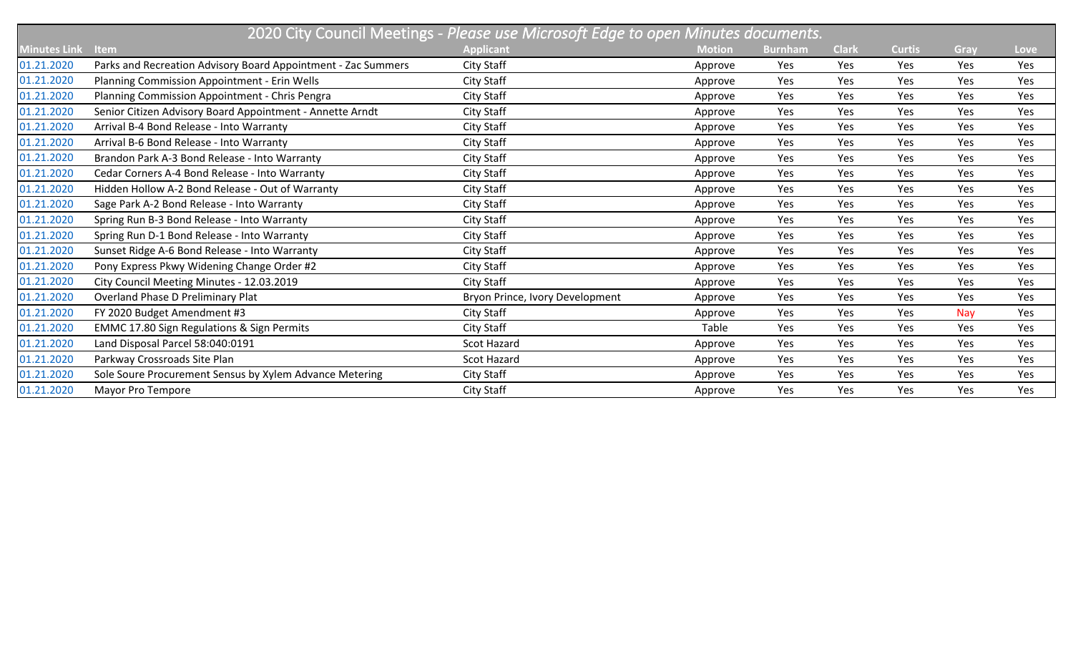|                     | 2020 City Council Meetings - Please use Microsoft Edge to open Minutes documents. |                                 |               |                |              |               |      |             |  |  |
|---------------------|-----------------------------------------------------------------------------------|---------------------------------|---------------|----------------|--------------|---------------|------|-------------|--|--|
| <b>Minutes Link</b> | Item                                                                              | <b>Applicant</b>                | <b>Motion</b> | <b>Burnham</b> | <b>Clark</b> | <b>Curtis</b> | Gray | <b>Love</b> |  |  |
| 01.21.2020          | Parks and Recreation Advisory Board Appointment - Zac Summers                     | City Staff                      | Approve       | Yes            | Yes          | Yes           | Yes  | Yes         |  |  |
| 01.21.2020          | Planning Commission Appointment - Erin Wells                                      | City Staff                      | Approve       | Yes            | Yes          | Yes           | Yes  | Yes         |  |  |
| 01.21.2020          | Planning Commission Appointment - Chris Pengra                                    | City Staff                      | Approve       | Yes            | Yes          | Yes           | Yes  | Yes         |  |  |
| 01.21.2020          | Senior Citizen Advisory Board Appointment - Annette Arndt                         | City Staff                      | Approve       | Yes            | Yes          | Yes           | Yes  | Yes         |  |  |
| 01.21.2020          | Arrival B-4 Bond Release - Into Warranty                                          | City Staff                      | Approve       | Yes            | Yes          | Yes           | Yes  | Yes         |  |  |
| 01.21.2020          | Arrival B-6 Bond Release - Into Warranty                                          | City Staff                      | Approve       | Yes            | Yes          | Yes           | Yes  | Yes         |  |  |
| 01.21.2020          | Brandon Park A-3 Bond Release - Into Warranty                                     | City Staff                      | Approve       | Yes            | Yes          | Yes           | Yes  | Yes         |  |  |
| 01.21.2020          | Cedar Corners A-4 Bond Release - Into Warranty                                    | City Staff                      | Approve       | Yes            | Yes          | Yes           | Yes  | Yes         |  |  |
| 01.21.2020          | Hidden Hollow A-2 Bond Release - Out of Warranty                                  | City Staff                      | Approve       | Yes            | Yes          | Yes           | Yes  | Yes         |  |  |
| 01.21.2020          | Sage Park A-2 Bond Release - Into Warranty                                        | City Staff                      | Approve       | Yes            | Yes          | Yes           | Yes  | Yes         |  |  |
| 01.21.2020          | Spring Run B-3 Bond Release - Into Warranty                                       | City Staff                      | Approve       | Yes            | Yes          | Yes           | Yes  | Yes         |  |  |
| 01.21.2020          | Spring Run D-1 Bond Release - Into Warranty                                       | City Staff                      | Approve       | Yes            | Yes          | Yes           | Yes  | Yes         |  |  |
| 01.21.2020          | Sunset Ridge A-6 Bond Release - Into Warranty                                     | City Staff                      | Approve       | Yes            | Yes          | Yes           | Yes  | Yes         |  |  |
| 01.21.2020          | Pony Express Pkwy Widening Change Order #2                                        | City Staff                      | Approve       | Yes            | Yes          | Yes           | Yes  | Yes         |  |  |
| 01.21.2020          | City Council Meeting Minutes - 12.03.2019                                         | City Staff                      | Approve       | Yes            | Yes          | Yes           | Yes  | Yes         |  |  |
| 01.21.2020          | Overland Phase D Preliminary Plat                                                 | Bryon Prince, Ivory Development | Approve       | Yes            | Yes          | Yes           | Yes  | Yes         |  |  |
| 01.21.2020          | FY 2020 Budget Amendment #3                                                       | City Staff                      | Approve       | Yes            | Yes          | Yes           | Nay  | Yes         |  |  |
| 01.21.2020          | <b>EMMC 17.80 Sign Regulations &amp; Sign Permits</b>                             | City Staff                      | Table         | Yes            | Yes          | Yes           | Yes  | Yes         |  |  |
| 01.21.2020          | Land Disposal Parcel 58:040:0191                                                  | Scot Hazard                     | Approve       | Yes            | Yes          | Yes           | Yes  | Yes         |  |  |
| 01.21.2020          | Parkway Crossroads Site Plan                                                      | Scot Hazard                     | Approve       | Yes            | Yes          | Yes           | Yes  | Yes         |  |  |
| 01.21.2020          | Sole Soure Procurement Sensus by Xylem Advance Metering                           | City Staff                      | Approve       | Yes            | Yes          | Yes           | Yes  | Yes         |  |  |
| 01.21.2020          | Mayor Pro Tempore                                                                 | City Staff                      | Approve       | Yes            | Yes          | Yes           | Yes  | Yes         |  |  |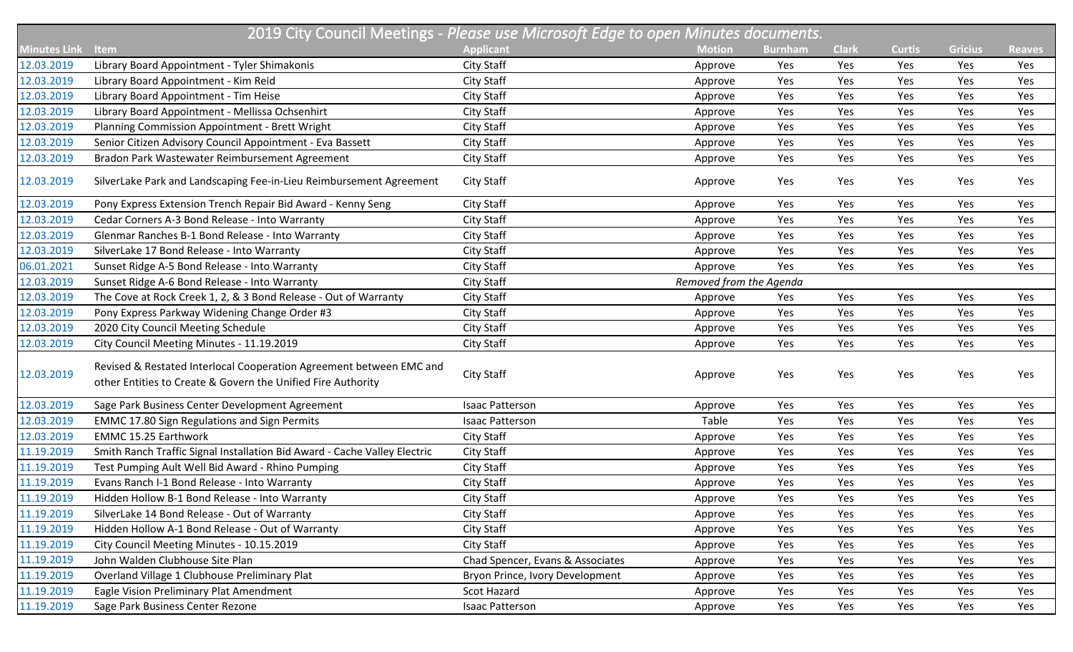| 2019 City Council Meetings - Please use Microsoft Edge to open Minutes documents. |                                                                                                                                     |                                  |                         |                |              |               |                |               |
|-----------------------------------------------------------------------------------|-------------------------------------------------------------------------------------------------------------------------------------|----------------------------------|-------------------------|----------------|--------------|---------------|----------------|---------------|
| <b>Minutes Link</b>                                                               | Item                                                                                                                                | <b>Applicant</b>                 | <b>Motion</b>           | <b>Burnham</b> | <b>Clark</b> | <b>Curtis</b> | <b>Gricius</b> | <b>Reaves</b> |
| 12.03.2019                                                                        | Library Board Appointment - Tyler Shimakonis                                                                                        | <b>City Staff</b>                | Approve                 | Yes            | Yes          | Yes           | Yes            | Yes           |
| 12.03.2019                                                                        | Library Board Appointment - Kim Reid                                                                                                | <b>City Staff</b>                | Approve                 | Yes            | Yes          | Yes           | Yes            | Yes           |
| 12.03.2019                                                                        | Library Board Appointment - Tim Heise                                                                                               | <b>City Staff</b>                | Approve                 | Yes            | Yes          | Yes           | Yes            | Yes           |
| 12.03.2019                                                                        | Library Board Appointment - Mellissa Ochsenhirt                                                                                     | <b>City Staff</b>                | Approve                 | Yes            | Yes          | Yes           | Yes            | Yes           |
| 12.03.2019                                                                        | Planning Commission Appointment - Brett Wright                                                                                      | City Staff                       | Approve                 | Yes            | Yes          | Yes           | Yes            | Yes           |
| 12.03.2019                                                                        | Senior Citizen Advisory Council Appointment - Eva Bassett                                                                           | City Staff                       | Approve                 | Yes            | Yes          | Yes           | Yes            | Yes           |
| 12.03.2019                                                                        | Bradon Park Wastewater Reimbursement Agreement                                                                                      | City Staff                       | Approve                 | Yes            | Yes          | Yes           | Yes            | Yes           |
| 12.03.2019                                                                        | SilverLake Park and Landscaping Fee-in-Lieu Reimbursement Agreement                                                                 | <b>City Staff</b>                | Approve                 | Yes            | Yes          | Yes           | Yes            | Yes           |
| 12.03.2019                                                                        | Pony Express Extension Trench Repair Bid Award - Kenny Seng                                                                         | City Staff                       | Approve                 | Yes            | Yes          | Yes           | Yes            | Yes           |
| 12.03.2019                                                                        | Cedar Corners A-3 Bond Release - Into Warranty                                                                                      | City Staff                       | Approve                 | Yes            | Yes          | Yes           | Yes            | Yes           |
| 12.03.2019                                                                        | Glenmar Ranches B-1 Bond Release - Into Warranty                                                                                    | City Staff                       | Approve                 | Yes            | Yes          | Yes           | Yes            | Yes           |
| 12.03.2019                                                                        | SilverLake 17 Bond Release - Into Warranty                                                                                          | <b>City Staff</b>                | Approve                 | Yes            | Yes          | Yes           | Yes            | Yes           |
| 06.01.2021                                                                        | Sunset Ridge A-5 Bond Release - Into Warranty                                                                                       | City Staff                       | Approve                 | Yes            | Yes          | Yes           | Yes            | Yes           |
| 12.03.2019                                                                        | Sunset Ridge A-6 Bond Release - Into Warranty                                                                                       | City Staff                       | Removed from the Agenda |                |              |               |                |               |
| 12.03.2019                                                                        | The Cove at Rock Creek 1, 2, & 3 Bond Release - Out of Warranty                                                                     | <b>City Staff</b>                | Approve                 | Yes            | Yes          | Yes           | Yes            | Yes           |
| 12.03.2019                                                                        | Pony Express Parkway Widening Change Order #3                                                                                       | <b>City Staff</b>                | Approve                 | Yes            | Yes          | Yes           | Yes            | Yes           |
| 12.03.2019                                                                        | 2020 City Council Meeting Schedule                                                                                                  | <b>City Staff</b>                | Approve                 | Yes            | Yes          | Yes           | Yes            | Yes           |
| 12.03.2019                                                                        | City Council Meeting Minutes - 11.19.2019                                                                                           | City Staff                       | Approve                 | Yes            | Yes          | Yes           | Yes            | Yes           |
| 12.03.2019                                                                        | Revised & Restated Interlocal Cooperation Agreement between EMC and<br>other Entities to Create & Govern the Unified Fire Authority | <b>City Staff</b>                | Approve                 | Yes            | Yes          | Yes           | Yes            | Yes           |
| 12.03.2019                                                                        | Sage Park Business Center Development Agreement                                                                                     | Isaac Patterson                  | Approve                 | Yes            | Yes          | Yes           | Yes            | Yes           |
| 12.03.2019                                                                        | <b>EMMC 17.80 Sign Regulations and Sign Permits</b>                                                                                 | Isaac Patterson                  | Table                   | Yes            | Yes          | Yes           | Yes            | Yes           |
| 12.03.2019                                                                        | <b>EMMC 15.25 Earthwork</b>                                                                                                         | <b>City Staff</b>                | Approve                 | Yes            | Yes          | Yes           | Yes            | Yes           |
| 11.19.2019                                                                        | Smith Ranch Traffic Signal Installation Bid Award - Cache Valley Electric                                                           | <b>City Staff</b>                | Approve                 | Yes            | Yes          | Yes           | Yes            | Yes           |
| 11.19.2019                                                                        | Test Pumping Ault Well Bid Award - Rhino Pumping                                                                                    | City Staff                       | Approve                 | Yes            | Yes          | Yes           | Yes            | Yes           |
| 11.19.2019                                                                        | Evans Ranch I-1 Bond Release - Into Warranty                                                                                        | <b>City Staff</b>                | Approve                 | Yes            | Yes          | Yes           | Yes            | Yes           |
| 11.19.2019                                                                        | Hidden Hollow B-1 Bond Release - Into Warranty                                                                                      | City Staff                       | Approve                 | Yes            | Yes          | Yes           | Yes            | Yes           |
| 11.19.2019                                                                        | SilverLake 14 Bond Release - Out of Warranty                                                                                        | City Staff                       | Approve                 | Yes            | Yes          | Yes           | Yes            | Yes           |
| 11.19.2019                                                                        | Hidden Hollow A-1 Bond Release - Out of Warranty                                                                                    | City Staff                       | Approve                 | Yes            | Yes          | Yes           | Yes            | Yes           |
| 11.19.2019                                                                        | City Council Meeting Minutes - 10.15.2019                                                                                           | City Staff                       | Approve                 | Yes            | Yes          | Yes           | Yes            | Yes           |
| 11.19.2019                                                                        | John Walden Clubhouse Site Plan                                                                                                     | Chad Spencer, Evans & Associates | Approve                 | Yes            | Yes          | Yes           | Yes            | Yes           |
| 11.19.2019                                                                        | Overland Village 1 Clubhouse Preliminary Plat                                                                                       | Bryon Prince, Ivory Development  | Approve                 | Yes            | Yes          | Yes           | Yes            | Yes           |
| 11.19.2019                                                                        | Eagle Vision Preliminary Plat Amendment                                                                                             | Scot Hazard                      | Approve                 | Yes            | Yes          | Yes           | Yes            | Yes           |
| 11.19.2019                                                                        | Sage Park Business Center Rezone                                                                                                    | <b>Isaac Patterson</b>           | Approve                 | Yes            | Yes          | Yes           | Yes            | Yes           |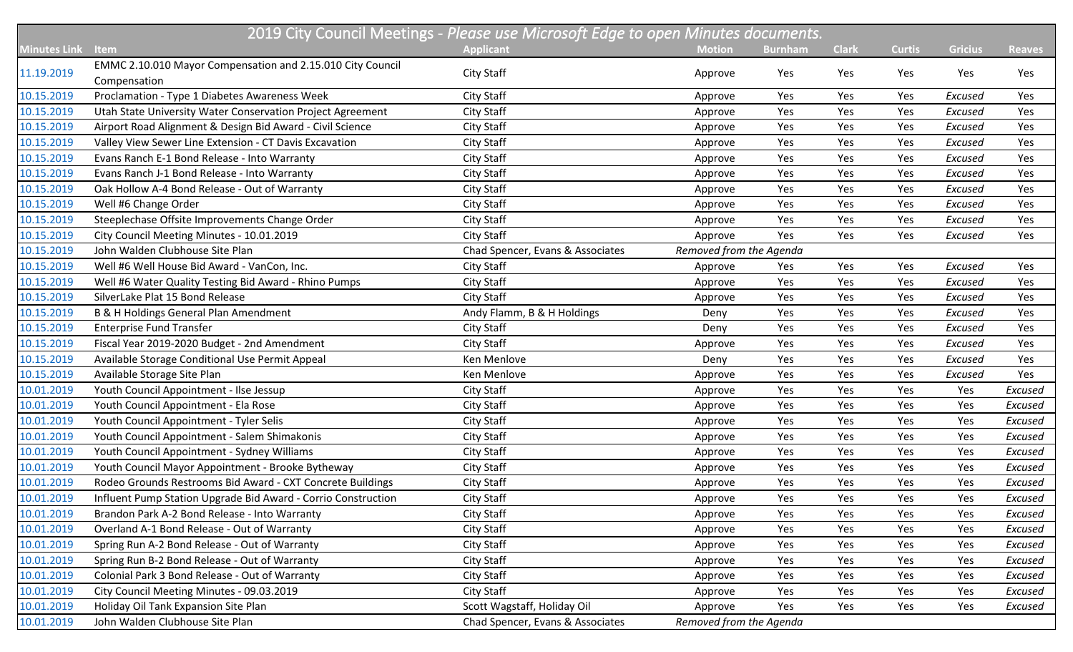|                     |                                                                            | 2019 City Council Meetings - Please use Microsoft Edge to open Minutes documents. |                         |                |              |               |                |               |
|---------------------|----------------------------------------------------------------------------|-----------------------------------------------------------------------------------|-------------------------|----------------|--------------|---------------|----------------|---------------|
| <b>Minutes Link</b> | <b>Item</b>                                                                | <b>Applicant</b>                                                                  | <b>Motion</b>           | <b>Burnham</b> | <b>Clark</b> | <b>Curtis</b> | <b>Gricius</b> | <b>Reaves</b> |
| 11.19.2019          | EMMC 2.10.010 Mayor Compensation and 2.15.010 City Council<br>Compensation | <b>City Staff</b>                                                                 | Approve                 | Yes            | Yes          | Yes           | Yes            | Yes           |
| 10.15.2019          | Proclamation - Type 1 Diabetes Awareness Week                              | <b>City Staff</b>                                                                 | Approve                 | Yes            | Yes          | Yes           | Excused        | Yes           |
| 10.15.2019          | Utah State University Water Conservation Project Agreement                 | <b>City Staff</b>                                                                 | Approve                 | Yes            | Yes          | Yes           | Excused        | Yes           |
| 10.15.2019          | Airport Road Alignment & Design Bid Award - Civil Science                  | City Staff                                                                        | Approve                 | Yes            | Yes          | Yes           | Excused        | Yes           |
| 10.15.2019          | Valley View Sewer Line Extension - CT Davis Excavation                     | City Staff                                                                        | Approve                 | Yes            | Yes          | Yes           | Excused        | Yes           |
| 10.15.2019          | Evans Ranch E-1 Bond Release - Into Warranty                               | City Staff                                                                        | Approve                 | Yes            | Yes          | Yes           | Excused        | Yes           |
| 10.15.2019          | Evans Ranch J-1 Bond Release - Into Warranty                               | City Staff                                                                        | Approve                 | Yes            | Yes          | Yes           | Excused        | Yes           |
| 10.15.2019          | Oak Hollow A-4 Bond Release - Out of Warranty                              | <b>City Staff</b>                                                                 | Approve                 | Yes            | Yes          | Yes           | Excused        | Yes           |
| 10.15.2019          | Well #6 Change Order                                                       | <b>City Staff</b>                                                                 | Approve                 | Yes            | Yes          | Yes           | Excused        | Yes           |
| 10.15.2019          | Steeplechase Offsite Improvements Change Order                             | <b>City Staff</b>                                                                 | Approve                 | Yes            | Yes          | Yes           | Excused        | Yes           |
| 10.15.2019          | City Council Meeting Minutes - 10.01.2019                                  | <b>City Staff</b>                                                                 | Approve                 | Yes            | Yes          | Yes           | Excused        | Yes           |
| 10.15.2019          | John Walden Clubhouse Site Plan                                            | Chad Spencer, Evans & Associates                                                  | Removed from the Agenda |                |              |               |                |               |
| 10.15.2019          | Well #6 Well House Bid Award - VanCon, Inc.                                | <b>City Staff</b>                                                                 | Approve                 | Yes            | Yes          | Yes           | Excused        | Yes           |
| 10.15.2019          | Well #6 Water Quality Testing Bid Award - Rhino Pumps                      | <b>City Staff</b>                                                                 | Approve                 | Yes            | Yes          | Yes           | Excused        | Yes           |
| 10.15.2019          | SilverLake Plat 15 Bond Release                                            | <b>City Staff</b>                                                                 | Approve                 | Yes            | Yes          | Yes           | Excused        | Yes           |
| 10.15.2019          | B & H Holdings General Plan Amendment                                      | Andy Flamm, B & H Holdings                                                        | Deny                    | Yes            | Yes          | Yes           | Excused        | Yes           |
| 10.15.2019          | <b>Enterprise Fund Transfer</b>                                            | <b>City Staff</b>                                                                 | Deny                    | Yes            | Yes          | Yes           | Excused        | Yes           |
| 10.15.2019          | Fiscal Year 2019-2020 Budget - 2nd Amendment                               | City Staff                                                                        | Approve                 | Yes            | Yes          | Yes           | Excused        | Yes           |
| 10.15.2019          | Available Storage Conditional Use Permit Appeal                            | Ken Menlove                                                                       | Deny                    | Yes            | Yes          | Yes           | Excused        | Yes           |
| 10.15.2019          | Available Storage Site Plan                                                | Ken Menlove                                                                       | Approve                 | Yes            | Yes          | Yes           | Excused        | Yes           |
| 10.01.2019          | Youth Council Appointment - Ilse Jessup                                    | <b>City Staff</b>                                                                 | Approve                 | Yes            | Yes          | Yes           | Yes            | Excused       |
| 10.01.2019          | Youth Council Appointment - Ela Rose                                       | <b>City Staff</b>                                                                 | Approve                 | Yes            | Yes          | Yes           | Yes            | Excused       |
| 10.01.2019          | Youth Council Appointment - Tyler Selis                                    | <b>City Staff</b>                                                                 | Approve                 | Yes            | Yes          | Yes           | Yes            | Excused       |
| 10.01.2019          | Youth Council Appointment - Salem Shimakonis                               | City Staff                                                                        | Approve                 | Yes            | Yes          | Yes           | Yes            | Excused       |
| 10.01.2019          | Youth Council Appointment - Sydney Williams                                | City Staff                                                                        | Approve                 | Yes            | Yes          | Yes           | Yes            | Excused       |
| 10.01.2019          | Youth Council Mayor Appointment - Brooke Bytheway                          | City Staff                                                                        | Approve                 | Yes            | Yes          | Yes           | Yes            | Excused       |
| 10.01.2019          | Rodeo Grounds Restrooms Bid Award - CXT Concrete Buildings                 | City Staff                                                                        | Approve                 | Yes            | Yes          | Yes           | Yes            | Excused       |
| 10.01.2019          | Influent Pump Station Upgrade Bid Award - Corrio Construction              | City Staff                                                                        | Approve                 | Yes            | Yes          | Yes           | Yes            | Excused       |
| 10.01.2019          | Brandon Park A-2 Bond Release - Into Warranty                              | City Staff                                                                        | Approve                 | Yes            | Yes          | Yes           | Yes            | Excused       |
| 10.01.2019          | Overland A-1 Bond Release - Out of Warranty                                | City Staff                                                                        | Approve                 | Yes            | Yes          | Yes           | Yes            | Excused       |
| 10.01.2019          | Spring Run A-2 Bond Release - Out of Warranty                              | City Staff                                                                        | Approve                 | Yes            | Yes          | Yes           | Yes            | Excused       |
| 10.01.2019          | Spring Run B-2 Bond Release - Out of Warranty                              | City Staff                                                                        | Approve                 | Yes            | Yes          | Yes           | Yes            | Excused       |
| 10.01.2019          | Colonial Park 3 Bond Release - Out of Warranty                             | City Staff                                                                        | Approve                 | Yes            | Yes          | Yes           | Yes            | Excused       |
| 10.01.2019          | City Council Meeting Minutes - 09.03.2019                                  | City Staff                                                                        | Approve                 | Yes            | Yes          | Yes           | Yes            | Excused       |
| 10.01.2019          | Holiday Oil Tank Expansion Site Plan                                       | Scott Wagstaff, Holiday Oil                                                       | Approve                 | Yes            | Yes          | Yes           | Yes            | Excused       |
| 10.01.2019          | John Walden Clubhouse Site Plan                                            | Chad Spencer, Evans & Associates                                                  | Removed from the Agenda |                |              |               |                |               |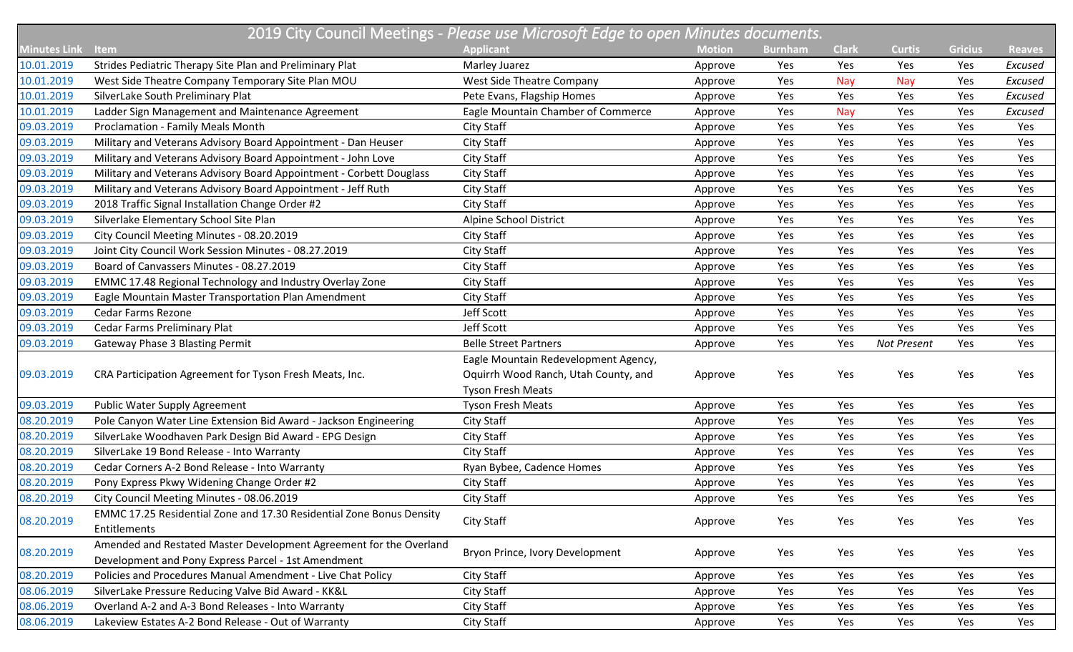| 2019 City Council Meetings - Please use Microsoft Edge to open Minutes documents. |                                                                      |                                      |               |                |              |               |                |               |  |
|-----------------------------------------------------------------------------------|----------------------------------------------------------------------|--------------------------------------|---------------|----------------|--------------|---------------|----------------|---------------|--|
| <b>Minutes Link</b>                                                               | <b>Item</b>                                                          | <b>Applicant</b>                     | <b>Motion</b> | <b>Burnham</b> | <b>Clark</b> | <b>Curtis</b> | <b>Gricius</b> | <b>Reaves</b> |  |
| 10.01.2019                                                                        | Strides Pediatric Therapy Site Plan and Preliminary Plat             | Marley Juarez                        | Approve       | Yes            | Yes          | Yes           | Yes            | Excused       |  |
| 10.01.2019                                                                        | West Side Theatre Company Temporary Site Plan MOU                    | West Side Theatre Company            | Approve       | Yes            | <b>Nay</b>   | Nay           | Yes            | Excused       |  |
| 10.01.2019                                                                        | SilverLake South Preliminary Plat                                    | Pete Evans, Flagship Homes           | Approve       | Yes            | Yes          | Yes           | Yes            | Excused       |  |
| 10.01.2019                                                                        | Ladder Sign Management and Maintenance Agreement                     | Eagle Mountain Chamber of Commerce   | Approve       | Yes            | Nay          | Yes           | Yes            | Excused       |  |
| 09.03.2019                                                                        | <b>Proclamation - Family Meals Month</b>                             | City Staff                           | Approve       | Yes            | Yes          | Yes           | Yes            | Yes           |  |
| 09.03.2019                                                                        | Military and Veterans Advisory Board Appointment - Dan Heuser        | <b>City Staff</b>                    | Approve       | Yes            | Yes          | Yes           | Yes            | Yes           |  |
| 09.03.2019                                                                        | Military and Veterans Advisory Board Appointment - John Love         | <b>City Staff</b>                    | Approve       | Yes            | Yes          | Yes           | Yes            | Yes           |  |
| 09.03.2019                                                                        | Military and Veterans Advisory Board Appointment - Corbett Douglass  | <b>City Staff</b>                    | Approve       | Yes            | Yes          | Yes           | Yes            | Yes           |  |
| 09.03.2019                                                                        | Military and Veterans Advisory Board Appointment - Jeff Ruth         | <b>City Staff</b>                    | Approve       | Yes            | Yes          | Yes           | Yes            | Yes           |  |
| 09.03.2019                                                                        | 2018 Traffic Signal Installation Change Order #2                     | <b>City Staff</b>                    | Approve       | Yes            | Yes          | Yes           | Yes            | Yes           |  |
| 09.03.2019                                                                        | Silverlake Elementary School Site Plan                               | Alpine School District               | Approve       | Yes            | Yes          | Yes           | Yes            | Yes           |  |
| 09.03.2019                                                                        | City Council Meeting Minutes - 08.20.2019                            | <b>City Staff</b>                    | Approve       | Yes            | Yes          | Yes           | Yes            | Yes           |  |
| 09.03.2019                                                                        | Joint City Council Work Session Minutes - 08.27.2019                 | <b>City Staff</b>                    | Approve       | Yes            | Yes          | Yes           | Yes            | Yes           |  |
| 09.03.2019                                                                        | Board of Canvassers Minutes - 08.27.2019                             | <b>City Staff</b>                    | Approve       | Yes            | Yes          | Yes           | Yes            | Yes           |  |
| 09.03.2019                                                                        | EMMC 17.48 Regional Technology and Industry Overlay Zone             | City Staff                           | Approve       | Yes            | Yes          | Yes           | Yes            | Yes           |  |
| 09.03.2019                                                                        | Eagle Mountain Master Transportation Plan Amendment                  | <b>City Staff</b>                    | Approve       | Yes            | Yes          | Yes           | Yes            | Yes           |  |
| 09.03.2019                                                                        | <b>Cedar Farms Rezone</b>                                            | Jeff Scott                           | Approve       | Yes            | Yes          | Yes           | Yes            | Yes           |  |
| 09.03.2019                                                                        | Cedar Farms Preliminary Plat                                         | Jeff Scott                           | Approve       | Yes            | Yes          | Yes           | Yes            | Yes           |  |
| 09.03.2019                                                                        | <b>Gateway Phase 3 Blasting Permit</b>                               | <b>Belle Street Partners</b>         | Approve       | Yes            | Yes          | Not Present   | Yes            | Yes           |  |
|                                                                                   |                                                                      | Eagle Mountain Redevelopment Agency, |               |                |              |               |                |               |  |
| 09.03.2019                                                                        | CRA Participation Agreement for Tyson Fresh Meats, Inc.              | Oquirrh Wood Ranch, Utah County, and | Approve       | Yes            | Yes          | Yes           | Yes            | Yes           |  |
|                                                                                   |                                                                      | <b>Tyson Fresh Meats</b>             |               |                |              |               |                |               |  |
| 09.03.2019                                                                        | Public Water Supply Agreement                                        | <b>Tyson Fresh Meats</b>             | Approve       | Yes            | Yes          | Yes           | Yes            | Yes           |  |
| 08.20.2019                                                                        | Pole Canyon Water Line Extension Bid Award - Jackson Engineering     | <b>City Staff</b>                    | Approve       | Yes            | Yes          | Yes           | Yes            | Yes           |  |
| 08.20.2019                                                                        | SilverLake Woodhaven Park Design Bid Award - EPG Design              | <b>City Staff</b>                    | Approve       | Yes            | Yes          | Yes           | Yes            | Yes           |  |
| 08.20.2019                                                                        | SilverLake 19 Bond Release - Into Warranty                           | City Staff                           | Approve       | Yes            | Yes          | Yes           | Yes            | Yes           |  |
| 08.20.2019                                                                        | Cedar Corners A-2 Bond Release - Into Warranty                       | Ryan Bybee, Cadence Homes            | Approve       | Yes            | Yes          | Yes           | Yes            | Yes           |  |
| 08.20.2019                                                                        | Pony Express Pkwy Widening Change Order #2                           | <b>City Staff</b>                    | Approve       | Yes            | Yes          | Yes           | Yes            | Yes           |  |
| 08.20.2019                                                                        | City Council Meeting Minutes - 08.06.2019                            | City Staff                           | Approve       | Yes            | Yes          | Yes           | Yes            | Yes           |  |
| 08.20.2019                                                                        | EMMC 17.25 Residential Zone and 17.30 Residential Zone Bonus Density | <b>City Staff</b>                    | Approve       | Yes            | Yes          | Yes           | Yes            | Yes           |  |
|                                                                                   | Entitlements                                                         |                                      |               |                |              |               |                |               |  |
| 08.20.2019                                                                        | Amended and Restated Master Development Agreement for the Overland   | Bryon Prince, Ivory Development      | Approve       | Yes            | Yes          | Yes           | Yes            | Yes           |  |
|                                                                                   | Development and Pony Express Parcel - 1st Amendment                  |                                      |               |                |              |               |                |               |  |
| 08.20.2019                                                                        | Policies and Procedures Manual Amendment - Live Chat Policy          | City Staff                           | Approve       | Yes            | Yes          | Yes           | Yes            | Yes           |  |
| 08.06.2019                                                                        | SilverLake Pressure Reducing Valve Bid Award - KK&L                  | City Staff                           | Approve       | Yes            | Yes          | Yes           | Yes            | Yes           |  |
| 08.06.2019                                                                        | Overland A-2 and A-3 Bond Releases - Into Warranty                   | City Staff                           | Approve       | Yes            | Yes          | Yes           | Yes            | Yes           |  |
| 08.06.2019                                                                        | Lakeview Estates A-2 Bond Release - Out of Warranty                  | City Staff                           | Approve       | Yes            | Yes          | Yes           | Yes            | Yes           |  |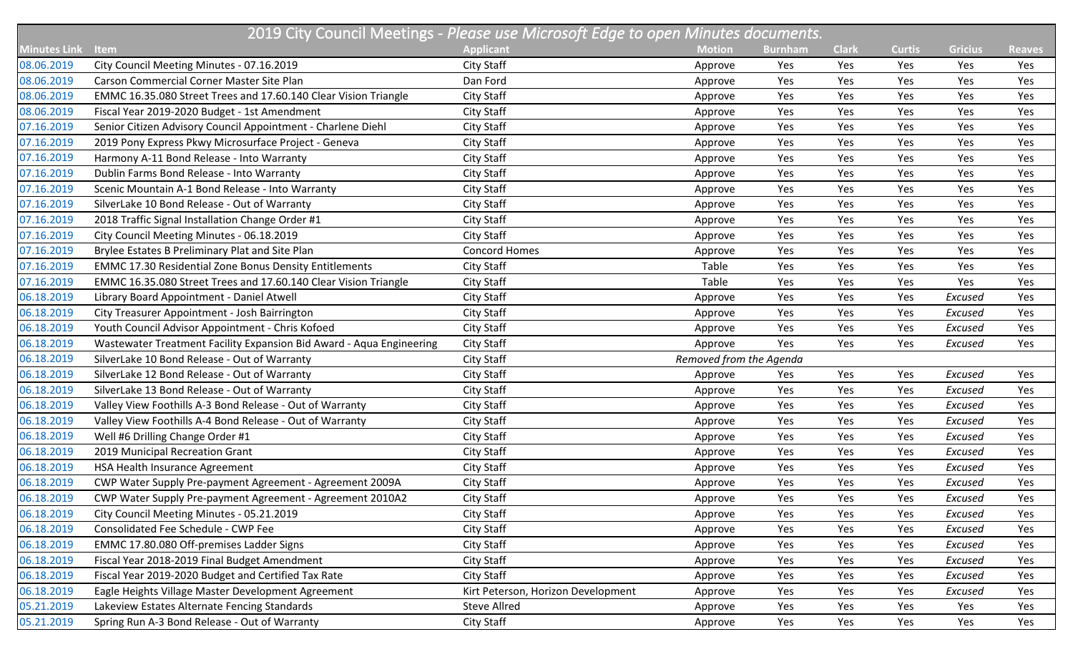|                     | 2019 City Council Meetings - Please use Microsoft Edge to open Minutes documents. |                                    |                         |                |              |               |                |               |  |  |
|---------------------|-----------------------------------------------------------------------------------|------------------------------------|-------------------------|----------------|--------------|---------------|----------------|---------------|--|--|
| <b>Minutes Link</b> | <b>Item</b>                                                                       | <b>Applicant</b>                   | <b>Motion</b>           | <b>Burnham</b> | <b>Clark</b> | <b>Curtis</b> | <b>Gricius</b> | <b>Reaves</b> |  |  |
| 08.06.2019          | City Council Meeting Minutes - 07.16.2019                                         | City Staff                         | Approve                 | Yes            | Yes          | Yes           | Yes            | Yes           |  |  |
| 08.06.2019          | Carson Commercial Corner Master Site Plan                                         | Dan Ford                           | Approve                 | Yes            | Yes          | Yes           | Yes            | Yes           |  |  |
| 08.06.2019          | EMMC 16.35.080 Street Trees and 17.60.140 Clear Vision Triangle                   | City Staff                         | Approve                 | Yes            | Yes          | Yes           | Yes            | Yes           |  |  |
| 08.06.2019          | Fiscal Year 2019-2020 Budget - 1st Amendment                                      | City Staff                         | Approve                 | Yes            | Yes          | Yes           | Yes            | Yes           |  |  |
| 07.16.2019          | Senior Citizen Advisory Council Appointment - Charlene Diehl                      | City Staff                         | Approve                 | Yes            | Yes          | Yes           | Yes            | Yes           |  |  |
| 07.16.2019          | 2019 Pony Express Pkwy Microsurface Project - Geneva                              | City Staff                         | Approve                 | Yes            | Yes          | Yes           | Yes            | Yes           |  |  |
| 07.16.2019          | Harmony A-11 Bond Release - Into Warranty                                         | City Staff                         | Approve                 | Yes            | Yes          | Yes           | Yes            | Yes           |  |  |
| 07.16.2019          | Dublin Farms Bond Release - Into Warranty                                         | City Staff                         | Approve                 | Yes            | Yes          | Yes           | Yes            | Yes           |  |  |
| 07.16.2019          | Scenic Mountain A-1 Bond Release - Into Warranty                                  | City Staff                         | Approve                 | Yes            | Yes          | Yes           | Yes            | Yes           |  |  |
| 07.16.2019          | SilverLake 10 Bond Release - Out of Warranty                                      | City Staff                         | Approve                 | Yes            | Yes          | Yes           | Yes            | Yes           |  |  |
| 07.16.2019          | 2018 Traffic Signal Installation Change Order #1                                  | City Staff                         | Approve                 | Yes            | Yes          | Yes           | Yes            | Yes           |  |  |
| 07.16.2019          | City Council Meeting Minutes - 06.18.2019                                         | City Staff                         | Approve                 | Yes            | Yes          | Yes           | Yes            | Yes           |  |  |
| 07.16.2019          | Brylee Estates B Preliminary Plat and Site Plan                                   | <b>Concord Homes</b>               | Approve                 | Yes            | Yes          | Yes           | Yes            | Yes           |  |  |
| 07.16.2019          | <b>EMMC 17.30 Residential Zone Bonus Density Entitlements</b>                     | City Staff                         | Table                   | Yes            | Yes          | Yes           | Yes            | Yes           |  |  |
| 07.16.2019          | EMMC 16.35.080 Street Trees and 17.60.140 Clear Vision Triangle                   | City Staff                         | Table                   | Yes            | Yes          | Yes           | Yes            | Yes           |  |  |
| 06.18.2019          | Library Board Appointment - Daniel Atwell                                         | City Staff                         | Approve                 | Yes            | Yes          | Yes           | Excused        | Yes           |  |  |
| 06.18.2019          | City Treasurer Appointment - Josh Bairrington                                     | City Staff                         | Approve                 | Yes            | Yes          | Yes           | Excused        | Yes           |  |  |
| 06.18.2019          | Youth Council Advisor Appointment - Chris Kofoed                                  | City Staff                         | Approve                 | Yes            | Yes          | Yes           | Excused        | Yes           |  |  |
| 06.18.2019          | Wastewater Treatment Facility Expansion Bid Award - Aqua Engineering              | City Staff                         | Approve                 | Yes            | Yes          | Yes           | Excused        | Yes           |  |  |
| 06.18.2019          | SilverLake 10 Bond Release - Out of Warranty                                      | City Staff                         | Removed from the Agenda |                |              |               |                |               |  |  |
| 06.18.2019          | SilverLake 12 Bond Release - Out of Warranty                                      | City Staff                         | Approve                 | Yes            | Yes          | Yes           | Excused        | Yes           |  |  |
| 06.18.2019          | SilverLake 13 Bond Release - Out of Warranty                                      | City Staff                         | Approve                 | Yes            | Yes          | Yes           | Excused        | Yes           |  |  |
| 06.18.2019          | Valley View Foothills A-3 Bond Release - Out of Warranty                          | City Staff                         | Approve                 | Yes            | Yes          | Yes           | Excused        | Yes           |  |  |
| 06.18.2019          | Valley View Foothills A-4 Bond Release - Out of Warranty                          | City Staff                         | Approve                 | Yes            | Yes          | Yes           | Excused        | Yes           |  |  |
| 06.18.2019          | Well #6 Drilling Change Order #1                                                  | City Staff                         | Approve                 | Yes            | Yes          | Yes           | Excused        | Yes           |  |  |
| 06.18.2019          | 2019 Municipal Recreation Grant                                                   | City Staff                         | Approve                 | Yes            | Yes          | Yes           | Excused        | Yes           |  |  |
| 06.18.2019          | HSA Health Insurance Agreement                                                    | City Staff                         | Approve                 | Yes            | Yes          | Yes           | Excused        | Yes           |  |  |
| 06.18.2019          | CWP Water Supply Pre-payment Agreement - Agreement 2009A                          | City Staff                         | Approve                 | Yes            | Yes          | Yes           | Excused        | Yes           |  |  |
| 06.18.2019          | CWP Water Supply Pre-payment Agreement - Agreement 2010A2                         | City Staff                         | Approve                 | Yes            | Yes          | Yes           | Excused        | Yes           |  |  |
| 06.18.2019          | City Council Meeting Minutes - 05.21.2019                                         | City Staff                         | Approve                 | Yes            | Yes          | Yes           | Excused        | Yes           |  |  |
| 06.18.2019          | Consolidated Fee Schedule - CWP Fee                                               | City Staff                         | Approve                 | Yes            | Yes          | Yes           | Excused        | Yes           |  |  |
| 06.18.2019          | EMMC 17.80.080 Off-premises Ladder Signs                                          | City Staff                         | Approve                 | Yes            | Yes          | Yes           | Excused        | Yes           |  |  |
| 06.18.2019          | Fiscal Year 2018-2019 Final Budget Amendment                                      | City Staff                         | Approve                 | Yes            | Yes          | Yes           | Excused        | Yes           |  |  |
| 06.18.2019          | Fiscal Year 2019-2020 Budget and Certified Tax Rate                               | City Staff                         | Approve                 | Yes            | Yes          | Yes           | Excused        | Yes           |  |  |
| 06.18.2019          | Eagle Heights Village Master Development Agreement                                | Kirt Peterson, Horizon Development | Approve                 | Yes            | Yes          | Yes           | Excused        | Yes           |  |  |
| 05.21.2019          | Lakeview Estates Alternate Fencing Standards                                      | <b>Steve Allred</b>                | Approve                 | Yes            | Yes          | Yes           | Yes            | Yes           |  |  |
| 05.21.2019          | Spring Run A-3 Bond Release - Out of Warranty                                     | City Staff                         | Approve                 | Yes            | Yes          | Yes           | Yes            | Yes           |  |  |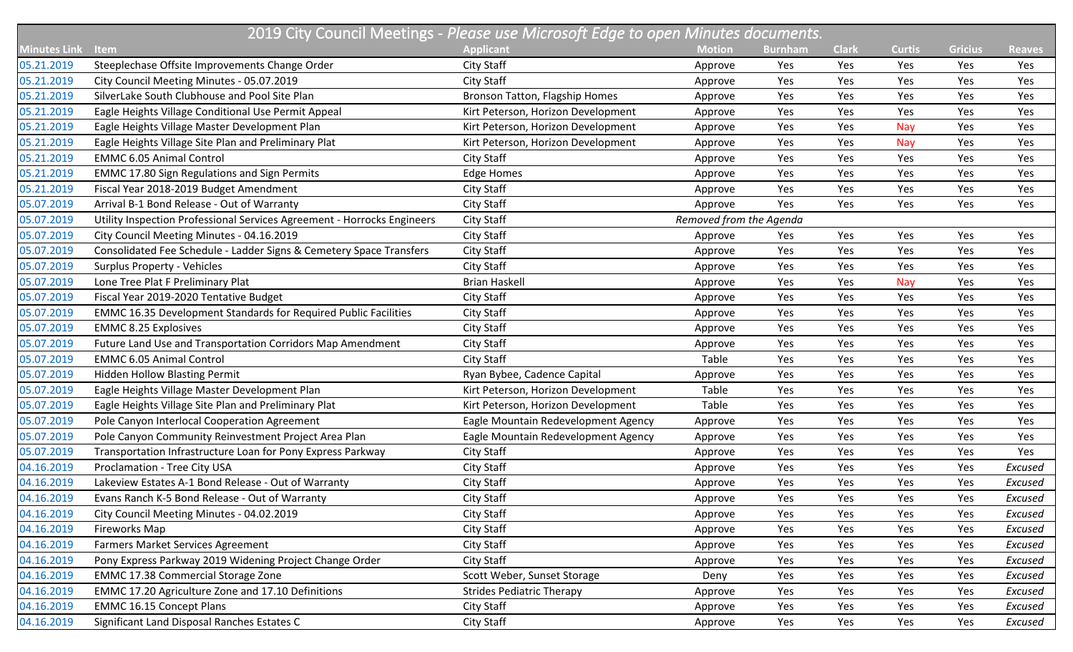|                     |                                                                         | 2019 City Council Meetings - Please use Microsoft Edge to open Minutes documents. |                         |                |              |               |                |               |
|---------------------|-------------------------------------------------------------------------|-----------------------------------------------------------------------------------|-------------------------|----------------|--------------|---------------|----------------|---------------|
| <b>Minutes Link</b> | <b>Item</b>                                                             | <b>Applicant</b>                                                                  | <b>Motion</b>           | <b>Burnham</b> | <b>Clark</b> | <b>Curtis</b> | <b>Gricius</b> | <b>Reaves</b> |
| 05.21.2019          | Steeplechase Offsite Improvements Change Order                          | City Staff                                                                        | Approve                 | Yes            | Yes          | Yes           | Yes            | Yes           |
| 05.21.2019          | City Council Meeting Minutes - 05.07.2019                               | City Staff                                                                        | Approve                 | Yes            | Yes          | Yes           | Yes            | Yes           |
| 05.21.2019          | SilverLake South Clubhouse and Pool Site Plan                           | Bronson Tatton, Flagship Homes                                                    | Approve                 | Yes            | Yes          | Yes           | Yes            | Yes           |
| 05.21.2019          | Eagle Heights Village Conditional Use Permit Appeal                     | Kirt Peterson, Horizon Development                                                | Approve                 | Yes            | Yes          | Yes           | Yes            | Yes           |
| 05.21.2019          | Eagle Heights Village Master Development Plan                           | Kirt Peterson, Horizon Development                                                | Approve                 | Yes            | Yes          | Nay           | Yes            | Yes           |
| 05.21.2019          | Eagle Heights Village Site Plan and Preliminary Plat                    | Kirt Peterson, Horizon Development                                                | Approve                 | Yes            | Yes          | <b>Nay</b>    | Yes            | Yes           |
| 05.21.2019          | <b>EMMC 6.05 Animal Control</b>                                         | City Staff                                                                        | Approve                 | Yes            | Yes          | Yes           | Yes            | Yes           |
| 05.21.2019          | <b>EMMC 17.80 Sign Regulations and Sign Permits</b>                     | <b>Edge Homes</b>                                                                 | Approve                 | Yes            | Yes          | Yes           | Yes            | Yes           |
| 05.21.2019          | Fiscal Year 2018-2019 Budget Amendment                                  | City Staff                                                                        | Approve                 | Yes            | Yes          | Yes           | Yes            | Yes           |
| 05.07.2019          | Arrival B-1 Bond Release - Out of Warranty                              | City Staff                                                                        | Approve                 | Yes            | Yes          | Yes           | Yes            | Yes           |
| 05.07.2019          | Utility Inspection Professional Services Agreement - Horrocks Engineers | City Staff                                                                        | Removed from the Agenda |                |              |               |                |               |
| 05.07.2019          | City Council Meeting Minutes - 04.16.2019                               | City Staff                                                                        | Approve                 | Yes            | Yes          | Yes           | Yes            | Yes           |
| 05.07.2019          | Consolidated Fee Schedule - Ladder Signs & Cemetery Space Transfers     | City Staff                                                                        | Approve                 | Yes            | Yes          | Yes           | Yes            | Yes           |
| 05.07.2019          | <b>Surplus Property - Vehicles</b>                                      | City Staff                                                                        | Approve                 | Yes            | Yes          | Yes           | Yes            | Yes           |
| 05.07.2019          | Lone Tree Plat F Preliminary Plat                                       | <b>Brian Haskell</b>                                                              | Approve                 | Yes            | Yes          | Nay           | Yes            | Yes           |
| 05.07.2019          | Fiscal Year 2019-2020 Tentative Budget                                  | <b>City Staff</b>                                                                 | Approve                 | Yes            | Yes          | Yes           | Yes            | Yes           |
| 05.07.2019          | <b>EMMC 16.35 Development Standards for Required Public Facilities</b>  | <b>City Staff</b>                                                                 | Approve                 | Yes            | Yes          | Yes           | Yes            | Yes           |
| 05.07.2019          | <b>EMMC 8.25 Explosives</b>                                             | City Staff                                                                        | Approve                 | Yes            | Yes          | Yes           | Yes            | Yes           |
| 05.07.2019          | Future Land Use and Transportation Corridors Map Amendment              | City Staff                                                                        | Approve                 | Yes            | Yes          | Yes           | Yes            | Yes           |
| 05.07.2019          | <b>EMMC 6.05 Animal Control</b>                                         | City Staff                                                                        | Table                   | Yes            | Yes          | Yes           | Yes            | Yes           |
| 05.07.2019          | <b>Hidden Hollow Blasting Permit</b>                                    | Ryan Bybee, Cadence Capital                                                       | Approve                 | Yes            | Yes          | Yes           | Yes            | Yes           |
| 05.07.2019          | Eagle Heights Village Master Development Plan                           | Kirt Peterson, Horizon Development                                                | Table                   | Yes            | Yes          | Yes           | Yes            | Yes           |
| 05.07.2019          | Eagle Heights Village Site Plan and Preliminary Plat                    | Kirt Peterson, Horizon Development                                                | Table                   | Yes            | Yes          | Yes           | Yes            | Yes           |
| 05.07.2019          | Pole Canyon Interlocal Cooperation Agreement                            | Eagle Mountain Redevelopment Agency                                               | Approve                 | Yes            | Yes          | Yes           | Yes            | Yes           |
| 05.07.2019          | Pole Canyon Community Reinvestment Project Area Plan                    | Eagle Mountain Redevelopment Agency                                               | Approve                 | Yes            | Yes          | Yes           | Yes            | Yes           |
| 05.07.2019          | Transportation Infrastructure Loan for Pony Express Parkway             | City Staff                                                                        | Approve                 | Yes            | Yes          | Yes           | Yes            | Yes           |
| 04.16.2019          | Proclamation - Tree City USA                                            | City Staff                                                                        | Approve                 | Yes            | Yes          | Yes           | Yes            | Excused       |
| 04.16.2019          | Lakeview Estates A-1 Bond Release - Out of Warranty                     | <b>City Staff</b>                                                                 | Approve                 | Yes            | Yes          | Yes           | Yes            | Excused       |
| 04.16.2019          | Evans Ranch K-5 Bond Release - Out of Warranty                          | City Staff                                                                        | Approve                 | Yes            | Yes          | Yes           | Yes            | Excused       |
| 04.16.2019          | City Council Meeting Minutes - 04.02.2019                               | City Staff                                                                        | Approve                 | Yes            | Yes          | Yes           | Yes            | Excused       |
| 04.16.2019          | Fireworks Map                                                           | City Staff                                                                        | Approve                 | Yes            | Yes          | Yes           | Yes            | Excused       |
| 04.16.2019          | <b>Farmers Market Services Agreement</b>                                | City Staff                                                                        | Approve                 | Yes            | Yes          | Yes           | Yes            | Excused       |
| 04.16.2019          | Pony Express Parkway 2019 Widening Project Change Order                 | City Staff                                                                        | Approve                 | Yes            | Yes          | Yes           | Yes            | Excused       |
| 04.16.2019          | <b>EMMC 17.38 Commercial Storage Zone</b>                               | Scott Weber, Sunset Storage                                                       | Deny                    | Yes            | Yes          | Yes           | Yes            | Excused       |
| 04.16.2019          | EMMC 17.20 Agriculture Zone and 17.10 Definitions                       | <b>Strides Pediatric Therapy</b>                                                  | Approve                 | Yes            | Yes          | Yes           | Yes            | Excused       |
| 04.16.2019          | <b>EMMC 16.15 Concept Plans</b>                                         | City Staff                                                                        | Approve                 | Yes            | Yes          | Yes           | Yes            | Excused       |
| 04.16.2019          | Significant Land Disposal Ranches Estates C                             | City Staff                                                                        | Approve                 | Yes            | Yes          | Yes           | Yes            | Excused       |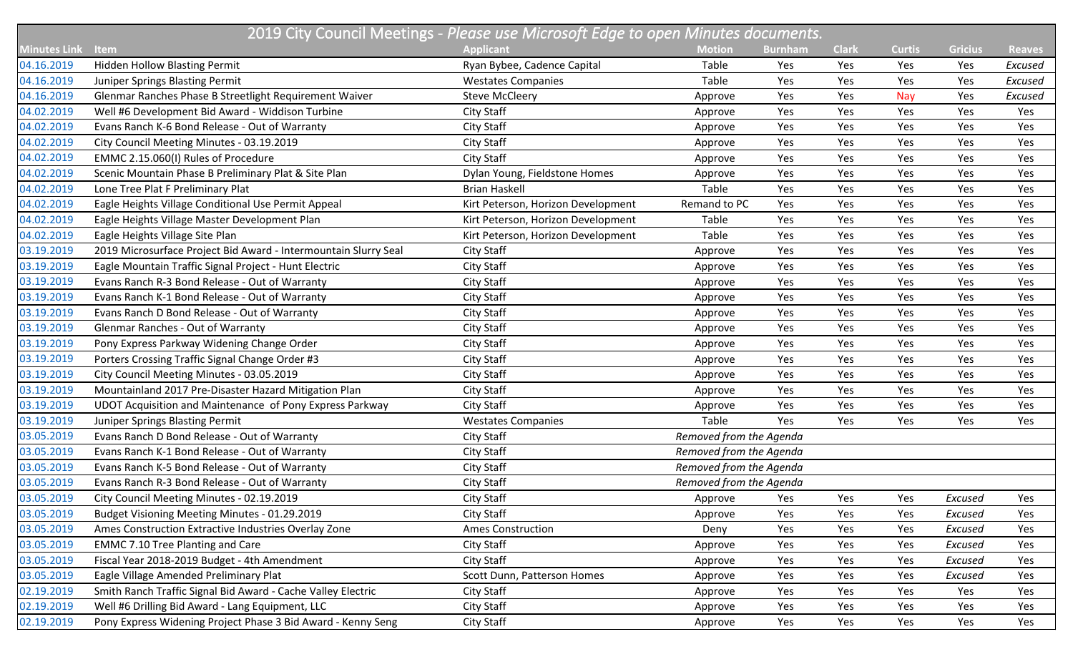|                     |                                                                 | 2019 City Council Meetings - Please use Microsoft Edge to open Minutes documents. |                         |                |              |               |                |               |
|---------------------|-----------------------------------------------------------------|-----------------------------------------------------------------------------------|-------------------------|----------------|--------------|---------------|----------------|---------------|
| <b>Minutes Link</b> | Item                                                            | <b>Applicant</b>                                                                  | <b>Motion</b>           | <b>Burnham</b> | <b>Clark</b> | <b>Curtis</b> | <b>Gricius</b> | <b>Reaves</b> |
| 04.16.2019          | Hidden Hollow Blasting Permit                                   | Ryan Bybee, Cadence Capital                                                       | Table                   | Yes            | Yes          | Yes           | Yes            | Excused       |
| 04.16.2019          | Juniper Springs Blasting Permit                                 | <b>Westates Companies</b>                                                         | Table                   | Yes            | Yes          | Yes           | Yes            | Excused       |
| 04.16.2019          | Glenmar Ranches Phase B Streetlight Requirement Waiver          | <b>Steve McCleery</b>                                                             | Approve                 | Yes            | Yes          | Nay           | Yes            | Excused       |
| 04.02.2019          | Well #6 Development Bid Award - Widdison Turbine                | <b>City Staff</b>                                                                 | Approve                 | Yes            | Yes          | Yes           | Yes            | Yes           |
| 04.02.2019          | Evans Ranch K-6 Bond Release - Out of Warranty                  | <b>City Staff</b>                                                                 | Approve                 | Yes            | Yes          | Yes           | Yes            | Yes           |
| 04.02.2019          | City Council Meeting Minutes - 03.19.2019                       | <b>City Staff</b>                                                                 | Approve                 | Yes            | Yes          | Yes           | Yes            | Yes           |
| 04.02.2019          | EMMC 2.15.060(I) Rules of Procedure                             | City Staff                                                                        | Approve                 | Yes            | Yes          | Yes           | Yes            | Yes           |
| 04.02.2019          | Scenic Mountain Phase B Preliminary Plat & Site Plan            | Dylan Young, Fieldstone Homes                                                     | Approve                 | Yes            | Yes          | Yes           | Yes            | Yes           |
| 04.02.2019          | Lone Tree Plat F Preliminary Plat                               | <b>Brian Haskell</b>                                                              | Table                   | Yes            | Yes          | Yes           | Yes            | Yes           |
| 04.02.2019          | Eagle Heights Village Conditional Use Permit Appeal             | Kirt Peterson, Horizon Development                                                | Remand to PC            | Yes            | Yes          | Yes           | Yes            | Yes           |
| 04.02.2019          | Eagle Heights Village Master Development Plan                   | Kirt Peterson, Horizon Development                                                | Table                   | Yes            | Yes          | Yes           | Yes            | Yes           |
| 04.02.2019          | Eagle Heights Village Site Plan                                 | Kirt Peterson, Horizon Development                                                | Table                   | Yes            | Yes          | Yes           | Yes            | Yes           |
| 03.19.2019          | 2019 Microsurface Project Bid Award - Intermountain Slurry Seal | <b>City Staff</b>                                                                 | Approve                 | Yes            | Yes          | Yes           | Yes            | Yes           |
| 03.19.2019          | Eagle Mountain Traffic Signal Project - Hunt Electric           | <b>City Staff</b>                                                                 | Approve                 | Yes            | Yes          | Yes           | Yes            | Yes           |
| 03.19.2019          | Evans Ranch R-3 Bond Release - Out of Warranty                  | <b>City Staff</b>                                                                 | Approve                 | Yes            | Yes          | Yes           | Yes            | Yes           |
| 03.19.2019          | Evans Ranch K-1 Bond Release - Out of Warranty                  | <b>City Staff</b>                                                                 | Approve                 | Yes            | Yes          | Yes           | Yes            | Yes           |
| 03.19.2019          | Evans Ranch D Bond Release - Out of Warranty                    | <b>City Staff</b>                                                                 | Approve                 | Yes            | Yes          | Yes           | Yes            | Yes           |
| 03.19.2019          | <b>Glenmar Ranches - Out of Warranty</b>                        | <b>City Staff</b>                                                                 | Approve                 | Yes            | Yes          | Yes           | Yes            | Yes           |
| 03.19.2019          | Pony Express Parkway Widening Change Order                      | City Staff                                                                        | Approve                 | Yes            | Yes          | Yes           | Yes            | Yes           |
| 03.19.2019          | Porters Crossing Traffic Signal Change Order #3                 | <b>City Staff</b>                                                                 | Approve                 | Yes            | Yes          | Yes           | Yes            | Yes           |
| 03.19.2019          | City Council Meeting Minutes - 03.05.2019                       | <b>City Staff</b>                                                                 | Approve                 | Yes            | Yes          | Yes           | Yes            | Yes           |
| 03.19.2019          | Mountainland 2017 Pre-Disaster Hazard Mitigation Plan           | City Staff                                                                        | Approve                 | Yes            | Yes          | Yes           | Yes            | Yes           |
| 03.19.2019          | UDOT Acquisition and Maintenance of Pony Express Parkway        | <b>City Staff</b>                                                                 | Approve                 | Yes            | Yes          | Yes           | Yes            | Yes           |
| 03.19.2019          | Juniper Springs Blasting Permit                                 | <b>Westates Companies</b>                                                         | Table                   | Yes            | Yes          | Yes           | Yes            | Yes           |
| 03.05.2019          | Evans Ranch D Bond Release - Out of Warranty                    | <b>City Staff</b>                                                                 | Removed from the Agenda |                |              |               |                |               |
| 03.05.2019          | Evans Ranch K-1 Bond Release - Out of Warranty                  | City Staff                                                                        | Removed from the Agenda |                |              |               |                |               |
| 03.05.2019          | Evans Ranch K-5 Bond Release - Out of Warranty                  | <b>City Staff</b>                                                                 | Removed from the Agenda |                |              |               |                |               |
| 03.05.2019          | Evans Ranch R-3 Bond Release - Out of Warranty                  | <b>City Staff</b>                                                                 | Removed from the Agenda |                |              |               |                |               |
| 03.05.2019          | City Council Meeting Minutes - 02.19.2019                       | City Staff                                                                        | Approve                 | Yes            | Yes          | Yes           | Excused        | Yes           |
| 03.05.2019          | Budget Visioning Meeting Minutes - 01.29.2019                   | City Staff                                                                        | Approve                 | Yes            | Yes          | Yes           | Excused        | Yes           |
| 03.05.2019          | Ames Construction Extractive Industries Overlay Zone            | <b>Ames Construction</b>                                                          | Deny                    | Yes            | Yes          | Yes           | Excused        | Yes           |
| 03.05.2019          | <b>EMMC 7.10 Tree Planting and Care</b>                         | City Staff                                                                        | Approve                 | Yes            | Yes          | Yes           | Excused        | Yes           |
| 03.05.2019          | Fiscal Year 2018-2019 Budget - 4th Amendment                    | City Staff                                                                        | Approve                 | Yes            | Yes          | Yes           | Excused        | Yes           |
| 03.05.2019          | Eagle Village Amended Preliminary Plat                          | Scott Dunn, Patterson Homes                                                       | Approve                 | Yes            | Yes          | Yes           | Excused        | Yes           |
| 02.19.2019          | Smith Ranch Traffic Signal Bid Award - Cache Valley Electric    | City Staff                                                                        | Approve                 | Yes            | Yes          | Yes           | Yes            | Yes           |
| 02.19.2019          | Well #6 Drilling Bid Award - Lang Equipment, LLC                | City Staff                                                                        | Approve                 | Yes            | Yes          | Yes           | Yes            | Yes           |
| 02.19.2019          | Pony Express Widening Project Phase 3 Bid Award - Kenny Seng    | City Staff                                                                        | Approve                 | Yes            | Yes          | Yes           | Yes            | Yes           |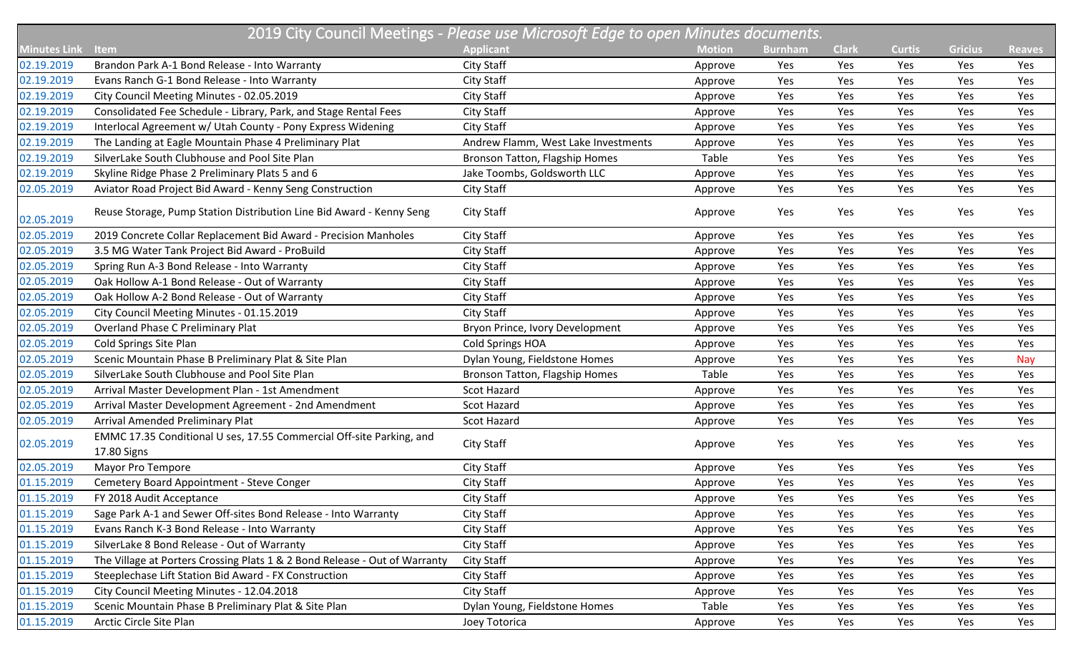|                     | 2019 City Council Meetings - Please use Microsoft Edge to open Minutes documents.   |                                     |               |                |              |               |                |               |  |  |
|---------------------|-------------------------------------------------------------------------------------|-------------------------------------|---------------|----------------|--------------|---------------|----------------|---------------|--|--|
| <b>Minutes Link</b> | Item                                                                                | <b>Applicant</b>                    | <b>Motion</b> | <b>Burnham</b> | <b>Clark</b> | <b>Curtis</b> | <b>Gricius</b> | <b>Reaves</b> |  |  |
| 02.19.2019          | Brandon Park A-1 Bond Release - Into Warranty                                       | City Staff                          | Approve       | Yes            | Yes          | Yes           | Yes            | Yes           |  |  |
| 02.19.2019          | Evans Ranch G-1 Bond Release - Into Warranty                                        | City Staff                          | Approve       | Yes            | Yes          | Yes           | Yes            | Yes           |  |  |
| 02.19.2019          | City Council Meeting Minutes - 02.05.2019                                           | City Staff                          | Approve       | Yes            | Yes          | Yes           | Yes            | Yes           |  |  |
| 02.19.2019          | Consolidated Fee Schedule - Library, Park, and Stage Rental Fees                    | City Staff                          | Approve       | Yes            | Yes          | Yes           | Yes            | Yes           |  |  |
| 02.19.2019          | Interlocal Agreement w/ Utah County - Pony Express Widening                         | City Staff                          | Approve       | Yes            | Yes          | Yes           | Yes            | Yes           |  |  |
| 02.19.2019          | The Landing at Eagle Mountain Phase 4 Preliminary Plat                              | Andrew Flamm, West Lake Investments | Approve       | Yes            | Yes          | Yes           | Yes            | Yes           |  |  |
| 02.19.2019          | SilverLake South Clubhouse and Pool Site Plan                                       | Bronson Tatton, Flagship Homes      | Table         | Yes            | Yes          | Yes           | Yes            | Yes           |  |  |
| 02.19.2019          | Skyline Ridge Phase 2 Preliminary Plats 5 and 6                                     | Jake Toombs, Goldsworth LLC         | Approve       | Yes            | Yes          | Yes           | Yes            | Yes           |  |  |
| 02.05.2019          | Aviator Road Project Bid Award - Kenny Seng Construction                            | City Staff                          | Approve       | Yes            | Yes          | Yes           | Yes            | Yes           |  |  |
| 02.05.2019          | Reuse Storage, Pump Station Distribution Line Bid Award - Kenny Seng                | City Staff                          | Approve       | Yes            | Yes          | Yes           | Yes            | Yes           |  |  |
| 02.05.2019          | 2019 Concrete Collar Replacement Bid Award - Precision Manholes                     | City Staff                          | Approve       | Yes            | Yes          | Yes           | Yes            | Yes           |  |  |
| 02.05.2019          | 3.5 MG Water Tank Project Bid Award - ProBuild                                      | City Staff                          | Approve       | Yes            | Yes          | Yes           | Yes            | Yes           |  |  |
| 02.05.2019          | Spring Run A-3 Bond Release - Into Warranty                                         | City Staff                          | Approve       | Yes            | Yes          | Yes           | Yes            | Yes           |  |  |
| 02.05.2019          | Oak Hollow A-1 Bond Release - Out of Warranty                                       | City Staff                          | Approve       | Yes            | Yes          | Yes           | Yes            | Yes           |  |  |
| 02.05.2019          | Oak Hollow A-2 Bond Release - Out of Warranty                                       | City Staff                          | Approve       | Yes            | Yes          | Yes           | Yes            | Yes           |  |  |
| 02.05.2019          | City Council Meeting Minutes - 01.15.2019                                           | City Staff                          | Approve       | Yes            | Yes          | Yes           | Yes            | Yes           |  |  |
| 02.05.2019          | <b>Overland Phase C Preliminary Plat</b>                                            | Bryon Prince, Ivory Development     | Approve       | Yes            | Yes          | Yes           | Yes            | Yes           |  |  |
| 02.05.2019          | Cold Springs Site Plan                                                              | Cold Springs HOA                    | Approve       | Yes            | Yes          | Yes           | Yes            | Yes           |  |  |
| 02.05.2019          | Scenic Mountain Phase B Preliminary Plat & Site Plan                                | Dylan Young, Fieldstone Homes       | Approve       | Yes            | Yes          | Yes           | Yes            | Nay           |  |  |
| 02.05.2019          | SilverLake South Clubhouse and Pool Site Plan                                       | Bronson Tatton, Flagship Homes      | Table         | Yes            | Yes          | Yes           | Yes            | Yes           |  |  |
| 02.05.2019          | Arrival Master Development Plan - 1st Amendment                                     | <b>Scot Hazard</b>                  | Approve       | Yes            | Yes          | Yes           | Yes            | Yes           |  |  |
| 02.05.2019          | Arrival Master Development Agreement - 2nd Amendment                                | <b>Scot Hazard</b>                  | Approve       | Yes            | Yes          | Yes           | Yes            | Yes           |  |  |
| 02.05.2019          | Arrival Amended Preliminary Plat                                                    | Scot Hazard                         | Approve       | Yes            | Yes          | Yes           | Yes            | Yes           |  |  |
| 02.05.2019          | EMMC 17.35 Conditional U ses, 17.55 Commercial Off-site Parking, and<br>17.80 Signs | City Staff                          | Approve       | Yes            | Yes          | Yes           | Yes            | Yes           |  |  |
| 02.05.2019          | Mayor Pro Tempore                                                                   | City Staff                          | Approve       | Yes            | Yes          | Yes           | Yes            | Yes           |  |  |
| 01.15.2019          | Cemetery Board Appointment - Steve Conger                                           | City Staff                          | Approve       | Yes            | Yes          | Yes           | Yes            | Yes           |  |  |
| 01.15.2019          | FY 2018 Audit Acceptance                                                            | City Staff                          | Approve       | Yes            | Yes          | Yes           | Yes            | Yes           |  |  |
| 01.15.2019          | Sage Park A-1 and Sewer Off-sites Bond Release - Into Warranty                      | City Staff                          | Approve       | Yes            | Yes          | Yes           | Yes            | Yes           |  |  |
| 01.15.2019          | Evans Ranch K-3 Bond Release - Into Warranty                                        | City Staff                          | Approve       | Yes            | Yes          | Yes           | Yes            | Yes           |  |  |
| 01.15.2019          | SilverLake 8 Bond Release - Out of Warranty                                         | City Staff                          | Approve       | Yes            | Yes          | Yes           | Yes            | Yes           |  |  |
| 01.15.2019          | The Village at Porters Crossing Plats 1 & 2 Bond Release - Out of Warranty          | City Staff                          | Approve       | Yes            | Yes          | Yes           | Yes            | Yes           |  |  |
| 01.15.2019          | Steeplechase Lift Station Bid Award - FX Construction                               | City Staff                          | Approve       | Yes            | Yes          | Yes           | Yes            | Yes           |  |  |
| 01.15.2019          | City Council Meeting Minutes - 12.04.2018                                           | City Staff                          | Approve       | Yes            | Yes          | Yes           | Yes            | Yes           |  |  |
| 01.15.2019          | Scenic Mountain Phase B Preliminary Plat & Site Plan                                | Dylan Young, Fieldstone Homes       | Table         | Yes            | Yes          | Yes           | Yes            | Yes           |  |  |
| 01.15.2019          | Arctic Circle Site Plan                                                             | Joey Totorica                       | Approve       | Yes            | Yes          | Yes           | Yes            | Yes           |  |  |